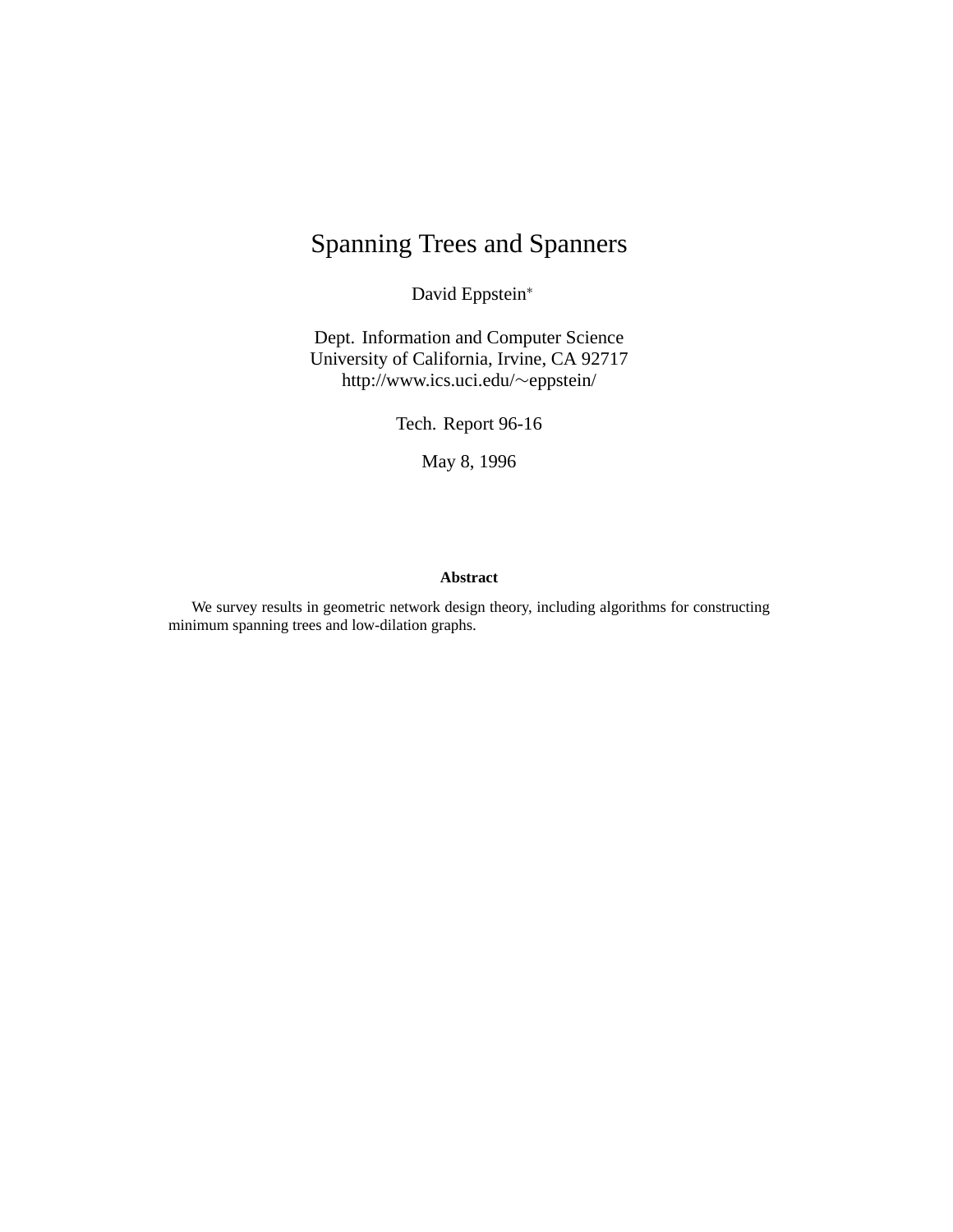# Spanning Trees and Spanners

David Eppstein<sup>∗</sup>

Dept. Information and Computer Science University of California, Irvine, CA 92717 http://www.ics.uci.edu/∼eppstein/

Tech. Report 96-16

May 8, 1996

# **Abstract**

We survey results in geometric network design theory, including algorithms for constructing minimum spanning trees and low-dilation graphs.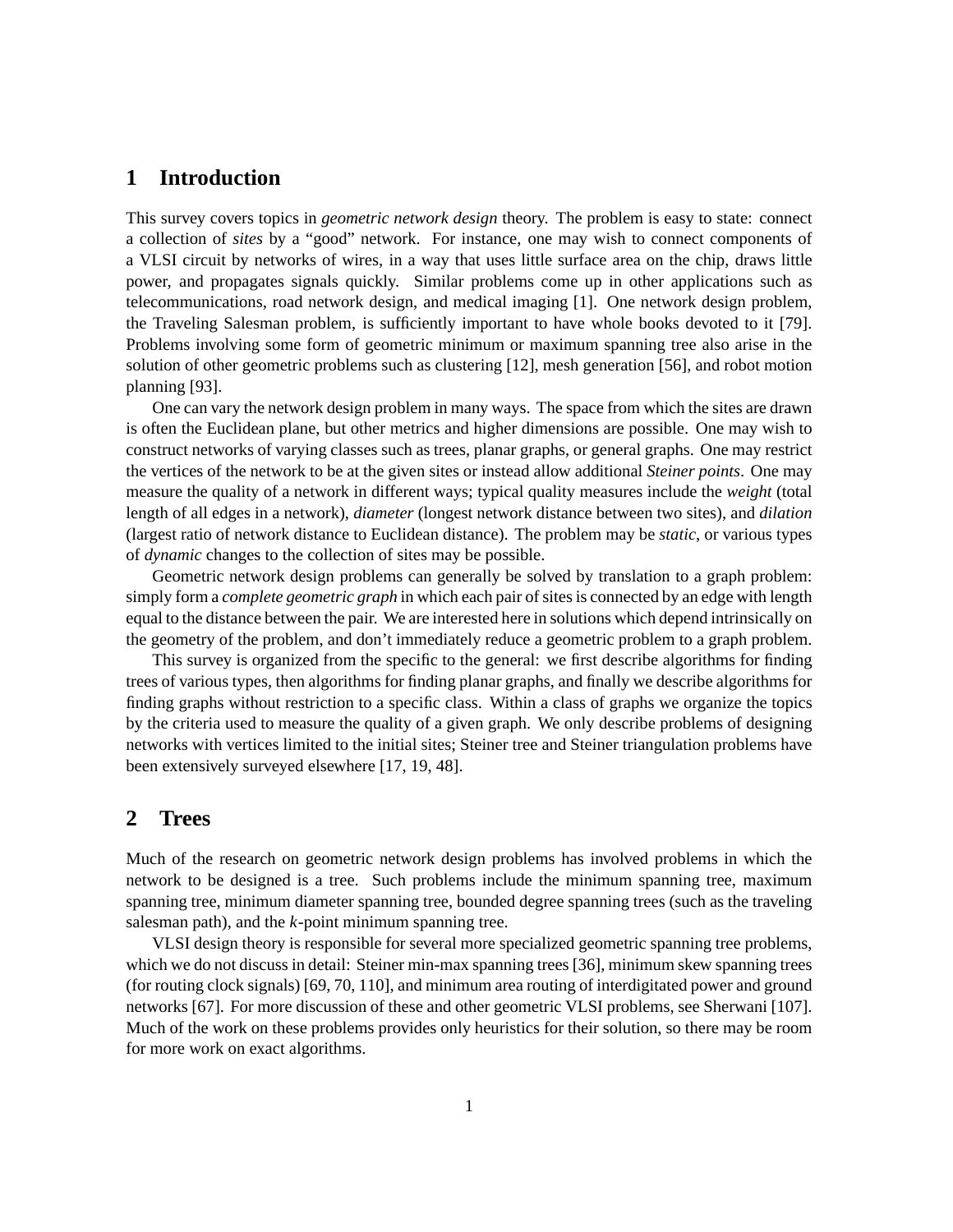# **1 Introduction**

This survey covers topics in *geometric network design* theory. The problem is easy to state: connect a collection of *sites* by a "good" network. For instance, one may wish to connect components of a VLSI circuit by networks of wires, in a way that uses little surface area on the chip, draws little power, and propagates signals quickly. Similar problems come up in other applications such as telecommunications, road network design, and medical imaging [1]. One network design problem, the Traveling Salesman problem, is sufficiently important to have whole books devoted to it [79]. Problems involving some form of geometric minimum or maximum spanning tree also arise in the solution of other geometric problems such as clustering [12], mesh generation [56], and robot motion planning [93].

One can vary the network design problem in many ways. The space from which the sites are drawn is often the Euclidean plane, but other metrics and higher dimensions are possible. One may wish to construct networks of varying classes such as trees, planar graphs, or general graphs. One may restrict the vertices of the network to be at the given sites or instead allow additional *Steiner points*. One may measure the quality of a network in different ways; typical quality measures include the *weight* (total length of all edges in a network), *diameter* (longest network distance between two sites), and *dilation* (largest ratio of network distance to Euclidean distance). The problem may be *static*, or various types of *dynamic* changes to the collection of sites may be possible.

Geometric network design problems can generally be solved by translation to a graph problem: simply form a *complete geometric graph* in which each pair of sites is connected by an edge with length equal to the distance between the pair. We are interested here in solutions which depend intrinsically on the geometry of the problem, and don't immediately reduce a geometric problem to a graph problem.

This survey is organized from the specific to the general: we first describe algorithms for finding trees of various types, then algorithms for finding planar graphs, and finally we describe algorithms for finding graphs without restriction to a specific class. Within a class of graphs we organize the topics by the criteria used to measure the quality of a given graph. We only describe problems of designing networks with vertices limited to the initial sites; Steiner tree and Steiner triangulation problems have been extensively surveyed elsewhere [17, 19, 48].

# **2 Trees**

Much of the research on geometric network design problems has involved problems in which the network to be designed is a tree. Such problems include the minimum spanning tree, maximum spanning tree, minimum diameter spanning tree, bounded degree spanning trees (such as the traveling salesman path), and the *k*-point minimum spanning tree.

VLSI design theory is responsible for several more specialized geometric spanning tree problems, which we do not discuss in detail: Steiner min-max spanning trees [36], minimum skew spanning trees (for routing clock signals) [69, 70, 110], and minimum area routing of interdigitated power and ground networks [67]. For more discussion of these and other geometric VLSI problems, see Sherwani [107]. Much of the work on these problems provides only heuristics for their solution, so there may be room for more work on exact algorithms.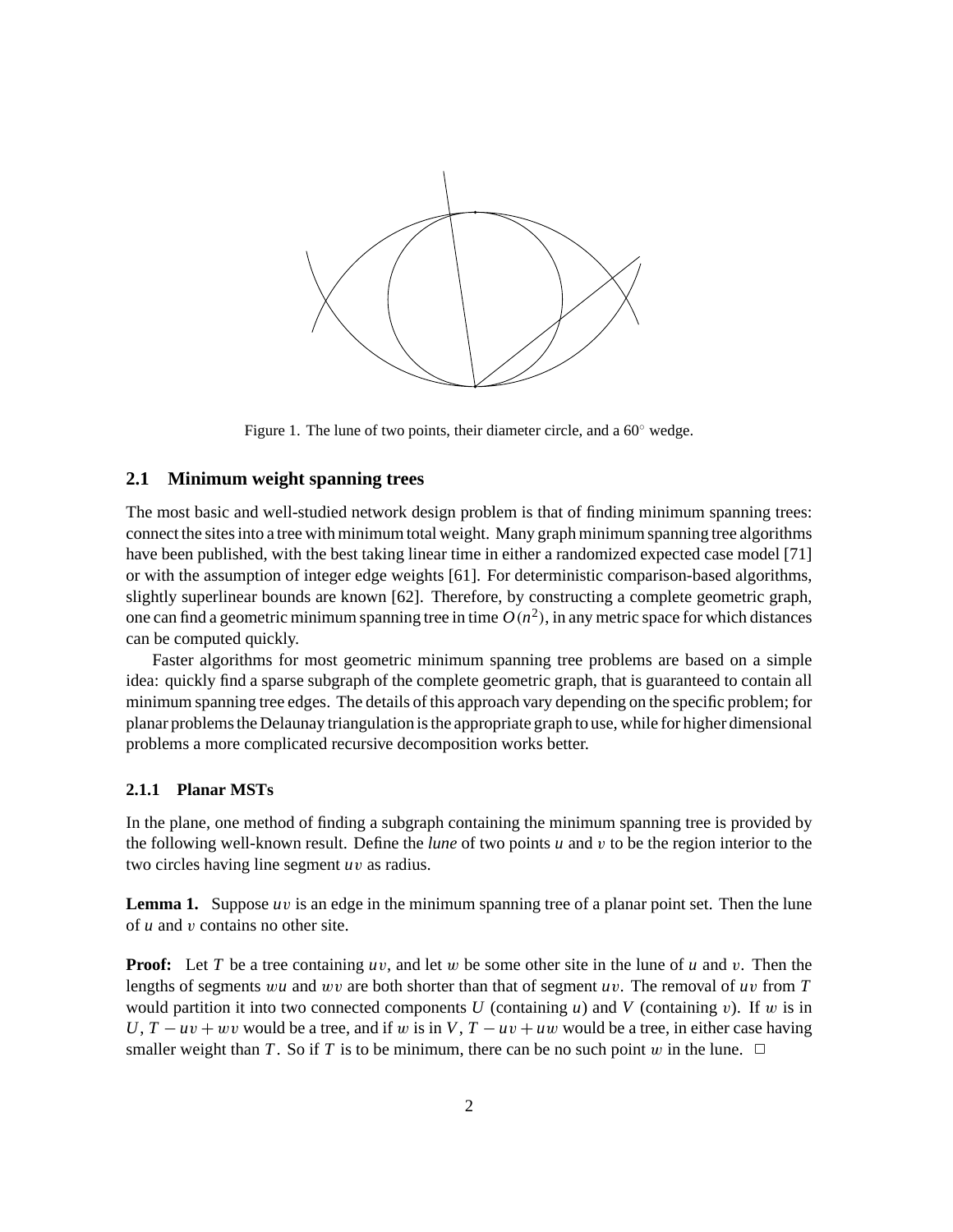

Figure 1. The lune of two points, their diameter circle, and a  $60^\circ$  wedge.

## **2.1 Minimum weight spanning trees**

The most basic and well-studied network design problem is that of finding minimum spanning trees: connect the sites into a tree with minimum total weight. Many graph minimum spanning tree algorithms have been published, with the best taking linear time in either a randomized expected case model [71] or with the assumption of integer edge weights [61]. For deterministic comparison-based algorithms, slightly superlinear bounds are known [62]. Therefore, by constructing a complete geometric graph, one can find a geometric minimum spanning tree in time  $O(n^2)$ , in any metric space for which distances can be computed quickly.

Faster algorithms for most geometric minimum spanning tree problems are based on a simple idea: quickly find a sparse subgraph of the complete geometric graph, that is guaranteed to contain all minimum spanning tree edges. The details of this approach vary depending on the specific problem; for planar problems the Delaunay triangulation is the appropriate graph to use, while for higher dimensional problems a more complicated recursive decomposition works better.

#### **2.1.1 Planar MSTs**

In the plane, one method of finding a subgraph containing the minimum spanning tree is provided by the following well-known result. Define the *lune* of two points *u* and v to be the region interior to the two circles having line segment *u*v as radius.

**Lemma 1.** Suppose *uv* is an edge in the minimum spanning tree of a planar point set. Then the lune of *u* and v contains no other site.

**Proof:** Let *T* be a tree containing *uv*, and let *w* be some other site in the lune of *u* and *v*. Then the lengths of segments w*u* and wv are both shorter than that of segment *u*v. The removal of *u*v from *T* would partition it into two connected components *U* (containing *u*) and *V* (containing *v*). If *w* is in *U*,  $T - uv + wv$  would be a tree, and if w is in *V*,  $T - uv + uw$  would be a tree, in either case having smaller weight than *T*. So if *T* is to be minimum, there can be no such point w in the lune.  $\Box$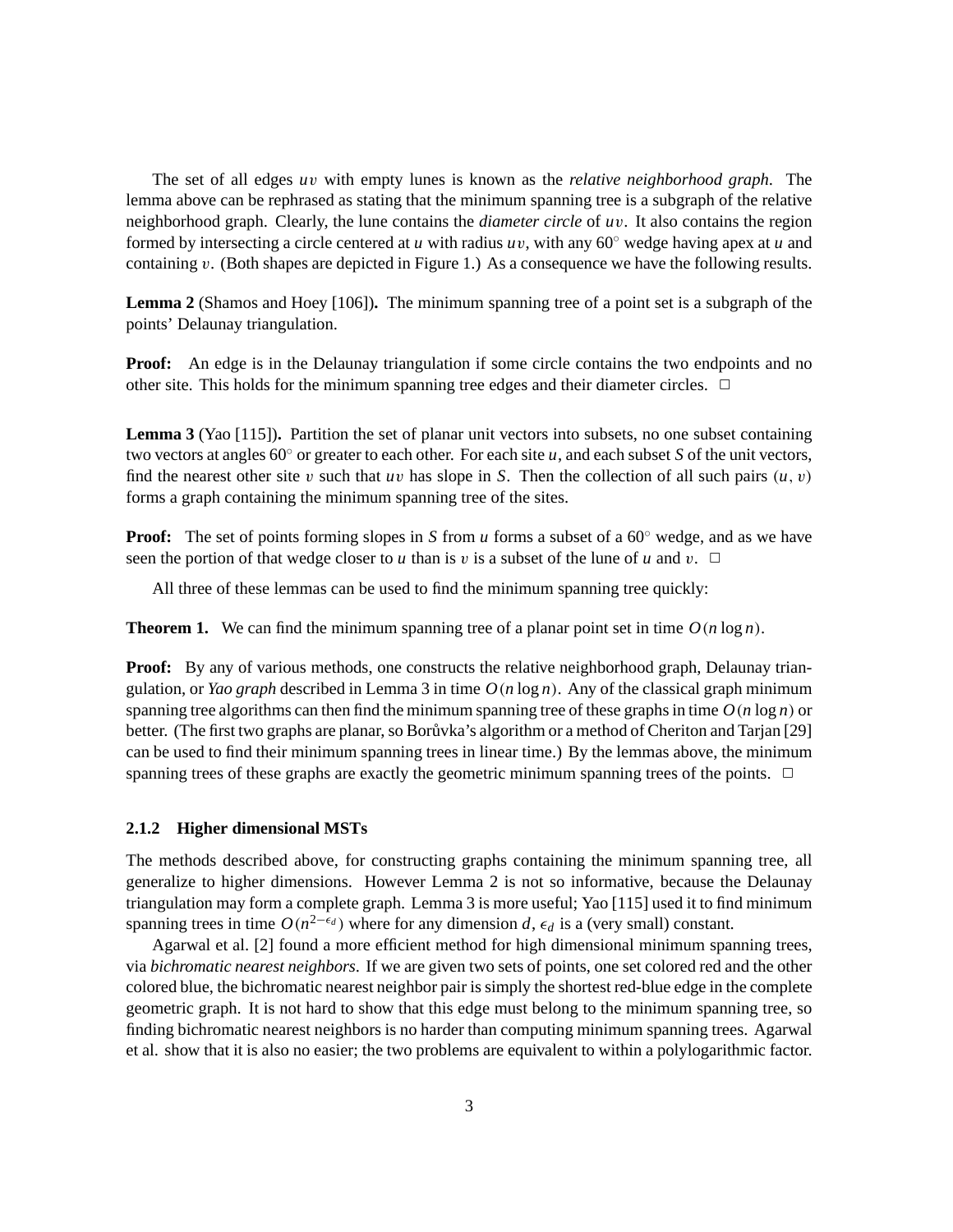The set of all edges *u*v with empty lunes is known as the *relative neighborhood graph*. The lemma above can be rephrased as stating that the minimum spanning tree is a subgraph of the relative neighborhood graph. Clearly, the lune contains the *diameter circle* of *u*v. It also contains the region formed by intersecting a circle centered at *u* with radius *u*v, with any 60◦ wedge having apex at *u* and containing v. (Both shapes are depicted in Figure 1.) As a consequence we have the following results.

**Lemma 2** (Shamos and Hoey [106])**.** The minimum spanning tree of a point set is a subgraph of the points' Delaunay triangulation.

**Proof:** An edge is in the Delaunay triangulation if some circle contains the two endpoints and no other site. This holds for the minimum spanning tree edges and their diameter circles.  $\Box$ 

**Lemma 3** (Yao [115])**.** Partition the set of planar unit vectors into subsets, no one subset containing two vectors at angles 60◦ or greater to each other. For each site *u*, and each subset *S* of the unit vectors, find the nearest other site v such that  $uv$  has slope in *S*. Then the collection of all such pairs  $(u, v)$ forms a graph containing the minimum spanning tree of the sites.

**Proof:** The set of points forming slopes in *S* from *u* forms a subset of a 60° wedge, and as we have seen the portion of that wedge closer to *u* than is *v* is a subset of the lune of *u* and *v*.  $\Box$ 

All three of these lemmas can be used to find the minimum spanning tree quickly:

**Theorem 1.** We can find the minimum spanning tree of a planar point set in time  $O(n \log n)$ .

**Proof:** By any of various methods, one constructs the relative neighborhood graph, Delaunay triangulation, or *Yao graph* described in Lemma 3 in time  $O(n \log n)$ . Any of the classical graph minimum spanning tree algorithms can then find the minimum spanning tree of these graphs in time  $O(n \log n)$  or better. (The first two graphs are planar, so Borůvka's algorithm or a method of Cheriton and Tarjan [29] can be used to find their minimum spanning trees in linear time.) By the lemmas above, the minimum spanning trees of these graphs are exactly the geometric minimum spanning trees of the points.  $\Box$ 

#### **2.1.2 Higher dimensional MSTs**

The methods described above, for constructing graphs containing the minimum spanning tree, all generalize to higher dimensions. However Lemma 2 is not so informative, because the Delaunay triangulation may form a complete graph. Lemma 3 is more useful; Yao [115] used it to find minimum spanning trees in time  $O(n^{2-\epsilon_d})$  where for any dimension *d*,  $\epsilon_d$  is a (very small) constant.

Agarwal et al. [2] found a more efficient method for high dimensional minimum spanning trees, via *bichromatic nearest neighbors*. If we are given two sets of points, one set colored red and the other colored blue, the bichromatic nearest neighbor pair is simply the shortest red-blue edge in the complete geometric graph. It is not hard to show that this edge must belong to the minimum spanning tree, so finding bichromatic nearest neighbors is no harder than computing minimum spanning trees. Agarwal et al. show that it is also no easier; the two problems are equivalent to within a polylogarithmic factor.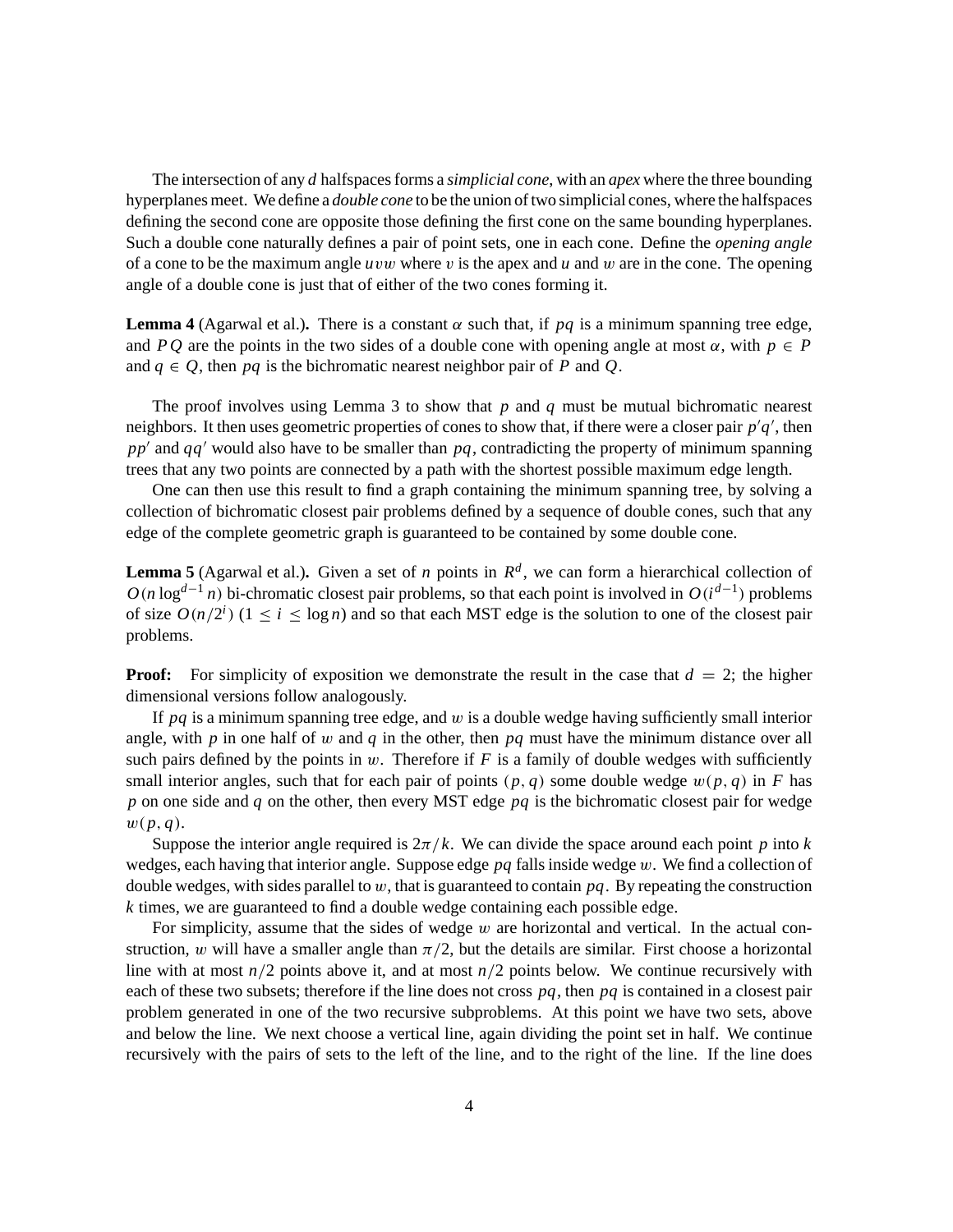The intersection of any *d* halfspaces forms a *simplicial cone*, with an *apex* where the three bounding hyperplanes meet. We define a *double cone* to be the union of two simplicial cones, where the halfspaces defining the second cone are opposite those defining the first cone on the same bounding hyperplanes. Such a double cone naturally defines a pair of point sets, one in each cone. Define the *opening angle* of a cone to be the maximum angle  $uvw$  where v is the apex and  $u$  and  $w$  are in the cone. The opening angle of a double cone is just that of either of the two cones forming it.

**Lemma 4** (Agarwal et al.). There is a constant  $\alpha$  such that, if  $pq$  is a minimum spanning tree edge, and *PQ* are the points in the two sides of a double cone with opening angle at most  $\alpha$ , with  $p \in P$ and  $q \in Q$ , then  $pq$  is the bichromatic nearest neighbor pair of *P* and *Q*.

The proof involves using Lemma 3 to show that *p* and *q* must be mutual bichromatic nearest neighbors. It then uses geometric properties of cones to show that, if there were a closer pair  $p'q'$ , then  $pp'$  and  $qq'$  would also have to be smaller than  $pq$ , contradicting the property of minimum spanning trees that any two points are connected by a path with the shortest possible maximum edge length.

One can then use this result to find a graph containing the minimum spanning tree, by solving a collection of bichromatic closest pair problems defined by a sequence of double cones, such that any edge of the complete geometric graph is guaranteed to be contained by some double cone.

**Lemma 5** (Agarwal et al.). Given a set of *n* points in  $R^d$ , we can form a hierarchical collection of  $O(n \log^{d-1} n)$  bi-chromatic closest pair problems, so that each point is involved in  $O(i^{d-1})$  problems of size  $O(n/2^i)$  ( $1 \le i \le \log n$ ) and so that each MST edge is the solution to one of the closest pair problems.

**Proof:** For simplicity of exposition we demonstrate the result in the case that  $d = 2$ ; the higher dimensional versions follow analogously.

If *pq* is a minimum spanning tree edge, and w is a double wedge having sufficiently small interior angle, with  $p$  in one half of  $w$  and  $q$  in the other, then  $pq$  must have the minimum distance over all such pairs defined by the points in  $w$ . Therefore if  $F$  is a family of double wedges with sufficiently small interior angles, such that for each pair of points  $(p, q)$  some double wedge  $w(p, q)$  in *F* has *p* on one side and *q* on the other, then every MST edge *pq* is the bichromatic closest pair for wedge  $w(p, q)$ .

Suppose the interior angle required is  $2\pi/k$ . We can divide the space around each point *p* into *k* wedges, each having that interior angle. Suppose edge *pq* falls inside wedge w. We find a collection of double wedges, with sides parallel to  $w$ , that is guaranteed to contain  $pq$ . By repeating the construction *k* times, we are guaranteed to find a double wedge containing each possible edge.

For simplicity, assume that the sides of wedge  $w$  are horizontal and vertical. In the actual construction, w will have a smaller angle than  $\pi/2$ , but the details are similar. First choose a horizontal line with at most *n*/2 points above it, and at most *n*/2 points below. We continue recursively with each of these two subsets; therefore if the line does not cross *pq*, then *pq* is contained in a closest pair problem generated in one of the two recursive subproblems. At this point we have two sets, above and below the line. We next choose a vertical line, again dividing the point set in half. We continue recursively with the pairs of sets to the left of the line, and to the right of the line. If the line does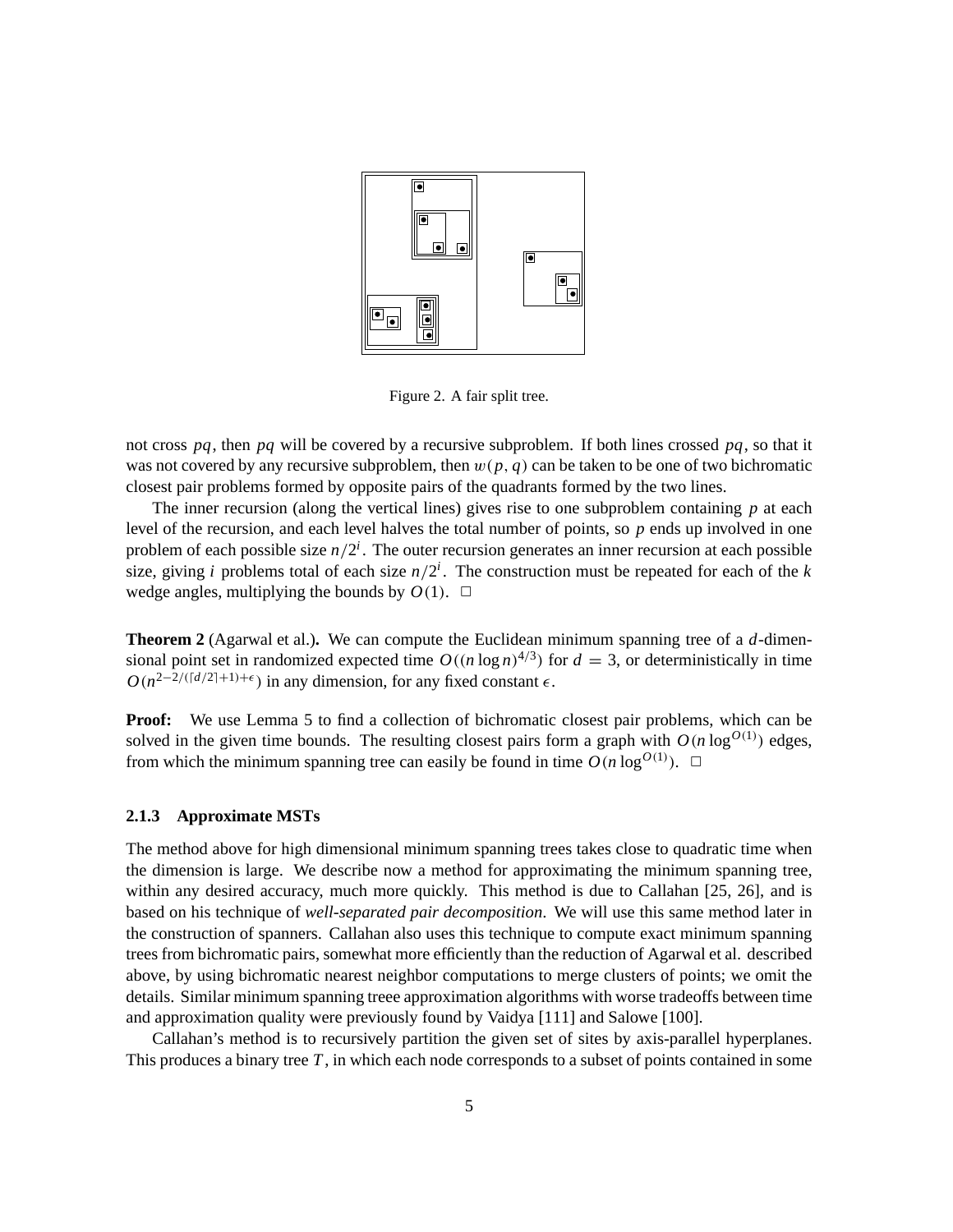

Figure 2. A fair split tree.

not cross *pq*, then *pq* will be covered by a recursive subproblem. If both lines crossed *pq*, so that it was not covered by any recursive subproblem, then  $w(p, q)$  can be taken to be one of two bichromatic closest pair problems formed by opposite pairs of the quadrants formed by the two lines.

The inner recursion (along the vertical lines) gives rise to one subproblem containing *p* at each level of the recursion, and each level halves the total number of points, so *p* ends up involved in one problem of each possible size  $n/2^i$ . The outer recursion generates an inner recursion at each possible size, giving *i* problems total of each size  $n/2^i$ . The construction must be repeated for each of the *k* wedge angles, multiplying the bounds by  $O(1)$ .  $\Box$ 

**Theorem 2** (Agarwal et al.)**.** We can compute the Euclidean minimum spanning tree of a *d*-dimensional point set in randomized expected time  $O((n \log n)^{4/3})$  for  $d = 3$ , or deterministically in time  $O(n^{2-2/(|d/2|+1)+\epsilon})$  in any dimension, for any fixed constant  $\epsilon$ .

**Proof:** We use Lemma 5 to find a collection of bichromatic closest pair problems, which can be solved in the given time bounds. The resulting closest pairs form a graph with  $O(n \log^{O(1)})$  edges, from which the minimum spanning tree can easily be found in time  $O(n \log^{O(1)})$ .  $\Box$ 

#### **2.1.3 Approximate MSTs**

The method above for high dimensional minimum spanning trees takes close to quadratic time when the dimension is large. We describe now a method for approximating the minimum spanning tree, within any desired accuracy, much more quickly. This method is due to Callahan [25, 26], and is based on his technique of *well-separated pair decomposition*. We will use this same method later in the construction of spanners. Callahan also uses this technique to compute exact minimum spanning trees from bichromatic pairs, somewhat more efficiently than the reduction of Agarwal et al. described above, by using bichromatic nearest neighbor computations to merge clusters of points; we omit the details. Similar minimum spanning treee approximation algorithms with worse tradeoffs between time and approximation quality were previously found by Vaidya [111] and Salowe [100].

Callahan's method is to recursively partition the given set of sites by axis-parallel hyperplanes. This produces a binary tree *T* , in which each node corresponds to a subset of points contained in some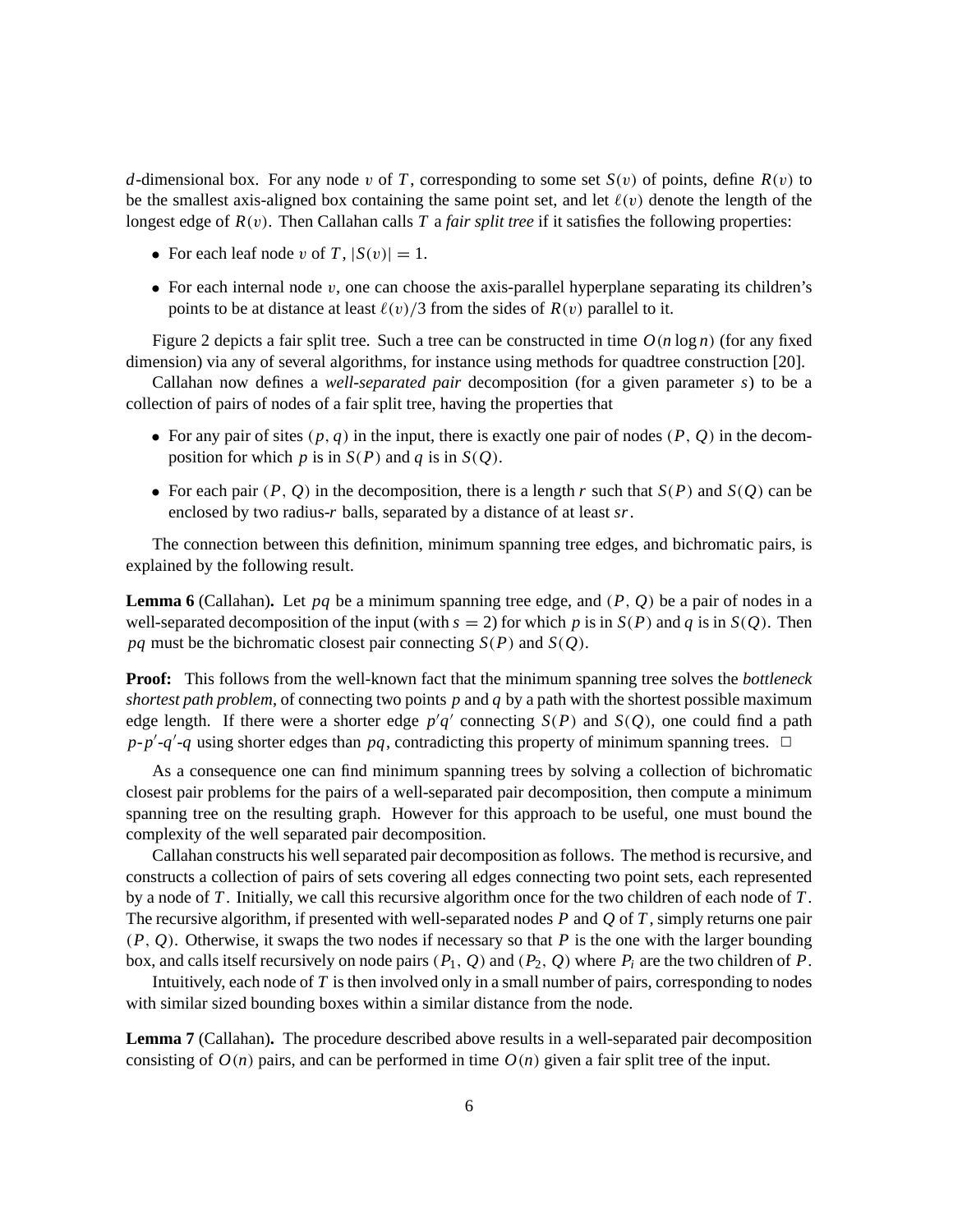*d*-dimensional box. For any node v of *T*, corresponding to some set  $S(v)$  of points, define  $R(v)$  to be the smallest axis-aligned box containing the same point set, and let  $\ell(v)$  denote the length of the longest edge of *R*(v). Then Callahan calls *T* a *fair split tree* if it satisfies the following properties:

- For each leaf node v of *T*,  $|S(v)| = 1$ .
- For each internal node  $v$ , one can choose the axis-parallel hyperplane separating its children's points to be at distance at least  $\ell(v)/3$  from the sides of  $R(v)$  parallel to it.

Figure 2 depicts a fair split tree. Such a tree can be constructed in time  $O(n \log n)$  (for any fixed dimension) via any of several algorithms, for instance using methods for quadtree construction [20].

Callahan now defines a *well-separated pair* decomposition (for a given parameter *s*) to be a collection of pairs of nodes of a fair split tree, having the properties that

- For any pair of sites  $(p, q)$  in the input, there is exactly one pair of nodes  $(P, Q)$  in the decomposition for which  $p$  is in  $S(P)$  and  $q$  is in  $S(Q)$ .
- For each pair  $(P, Q)$  in the decomposition, there is a length r such that  $S(P)$  and  $S(Q)$  can be enclosed by two radius-*r* balls, separated by a distance of at least *sr*.

The connection between this definition, minimum spanning tree edges, and bichromatic pairs, is explained by the following result.

**Lemma 6** (Callahan)**.** Let *pq* be a minimum spanning tree edge, and (*P*, *Q*) be a pair of nodes in a well-separated decomposition of the input (with  $s = 2$ ) for which p is in  $S(P)$  and q is in  $S(Q)$ . Then *pq* must be the bichromatic closest pair connecting  $S(P)$  and  $S(Q)$ .

**Proof:** This follows from the well-known fact that the minimum spanning tree solves the *bottleneck shortest path problem*, of connecting two points *p* and *q* by a path with the shortest possible maximum edge length. If there were a shorter edge  $p'q'$  connecting  $S(P)$  and  $S(Q)$ , one could find a path  $p-p'-q'-q$  using shorter edges than  $pq$ , contradicting this property of minimum spanning trees.  $\Box$ 

As a consequence one can find minimum spanning trees by solving a collection of bichromatic closest pair problems for the pairs of a well-separated pair decomposition, then compute a minimum spanning tree on the resulting graph. However for this approach to be useful, one must bound the complexity of the well separated pair decomposition.

Callahan constructs his well separated pair decomposition as follows. The method is recursive, and constructs a collection of pairs of sets covering all edges connecting two point sets, each represented by a node of *T* . Initially, we call this recursive algorithm once for the two children of each node of *T* . The recursive algorithm, if presented with well-separated nodes *P* and *Q* of *T* , simply returns one pair (*P*, *Q*). Otherwise, it swaps the two nodes if necessary so that *P* is the one with the larger bounding box, and calls itself recursively on node pairs  $(P_1, Q)$  and  $(P_2, Q)$  where  $P_i$  are the two children of  $P$ .

Intuitively, each node of *T* is then involved only in a small number of pairs, corresponding to nodes with similar sized bounding boxes within a similar distance from the node.

**Lemma 7** (Callahan)**.** The procedure described above results in a well-separated pair decomposition consisting of  $O(n)$  pairs, and can be performed in time  $O(n)$  given a fair split tree of the input.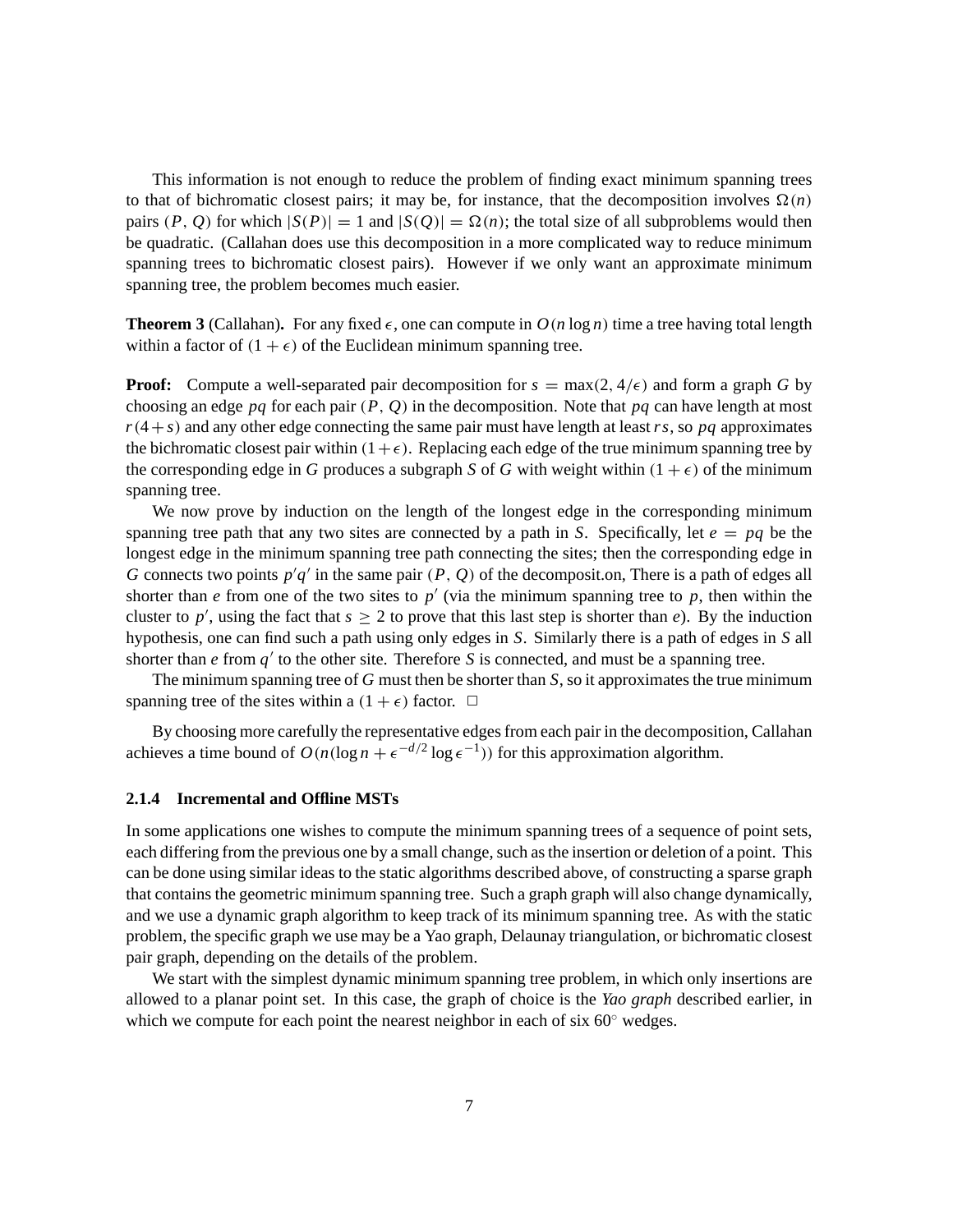This information is not enough to reduce the problem of finding exact minimum spanning trees to that of bichromatic closest pairs; it may be, for instance, that the decomposition involves  $\Omega(n)$ pairs  $(P, Q)$  for which  $|S(P)| = 1$  and  $|S(Q)| = \Omega(n)$ ; the total size of all subproblems would then be quadratic. (Callahan does use this decomposition in a more complicated way to reduce minimum spanning trees to bichromatic closest pairs). However if we only want an approximate minimum spanning tree, the problem becomes much easier.

**Theorem 3** (Callahan). For any fixed  $\epsilon$ , one can compute in  $O(n \log n)$  time a tree having total length within a factor of  $(1 + \epsilon)$  of the Euclidean minimum spanning tree.

**Proof:** Compute a well-separated pair decomposition for  $s = \max(2, 4/\epsilon)$  and form a graph G by choosing an edge  $pq$  for each pair  $(P, Q)$  in the decomposition. Note that  $pq$  can have length at most  $r(4+s)$  and any other edge connecting the same pair must have length at least *rs*, so  $pq$  approximates the bichromatic closest pair within  $(1+\epsilon)$ . Replacing each edge of the true minimum spanning tree by the corresponding edge in *G* produces a subgraph *S* of *G* with weight within  $(1 + \epsilon)$  of the minimum spanning tree.

We now prove by induction on the length of the longest edge in the corresponding minimum spanning tree path that any two sites are connected by a path in *S*. Specifically, let  $e = pq$  be the longest edge in the minimum spanning tree path connecting the sites; then the corresponding edge in *G* connects two points  $p'q'$  in the same pair  $(P, Q)$  of the decomposit.on, There is a path of edges all shorter than *e* from one of the two sites to  $p'$  (via the minimum spanning tree to  $p$ , then within the cluster to  $p'$ , using the fact that  $s \geq 2$  to prove that this last step is shorter than *e*). By the induction hypothesis, one can find such a path using only edges in *S*. Similarly there is a path of edges in *S* all shorter than  $e$  from  $q'$  to the other site. Therefore  $S$  is connected, and must be a spanning tree.

The minimum spanning tree of *G* must then be shorter than *S*, so it approximates the true minimum spanning tree of the sites within a  $(1 + \epsilon)$  factor.  $\Box$ 

By choosing more carefully the representative edges from each pair in the decomposition, Callahan achieves a time bound of  $O(n(\log n + \epsilon^{-d/2} \log \epsilon^{-1}))$  for this approximation algorithm.

#### **2.1.4 Incremental and Offline MSTs**

In some applications one wishes to compute the minimum spanning trees of a sequence of point sets, each differing from the previous one by a small change, such as the insertion or deletion of a point. This can be done using similar ideas to the static algorithms described above, of constructing a sparse graph that contains the geometric minimum spanning tree. Such a graph graph will also change dynamically, and we use a dynamic graph algorithm to keep track of its minimum spanning tree. As with the static problem, the specific graph we use may be a Yao graph, Delaunay triangulation, or bichromatic closest pair graph, depending on the details of the problem.

We start with the simplest dynamic minimum spanning tree problem, in which only insertions are allowed to a planar point set. In this case, the graph of choice is the *Yao graph* described earlier, in which we compute for each point the nearest neighbor in each of six  $60°$  wedges.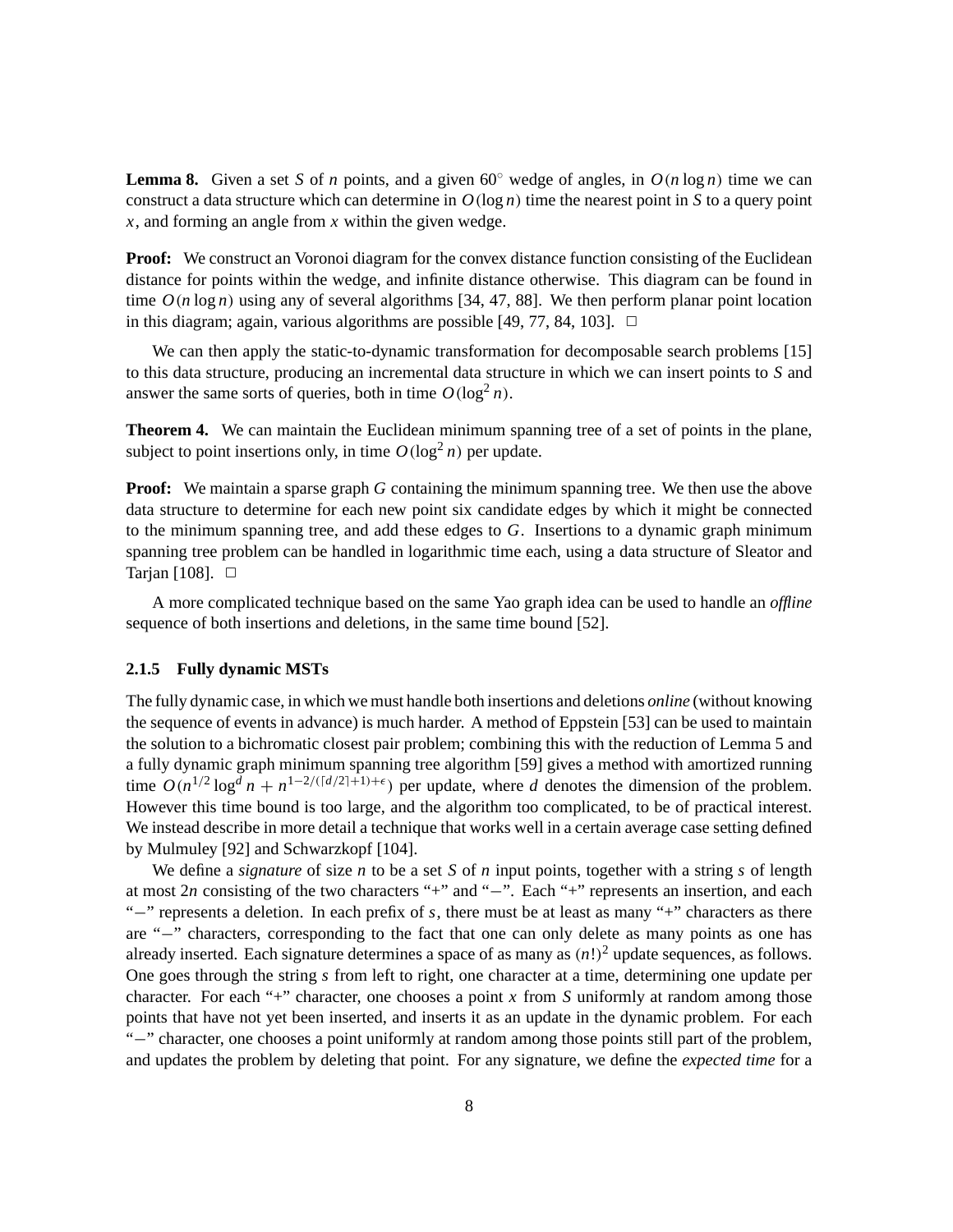**Lemma 8.** Given a set *S* of *n* points, and a given 60 $\degree$  wedge of angles, in  $O(n \log n)$  time we can construct a data structure which can determine in  $O(\log n)$  time the nearest point in *S* to a query point *x*, and forming an angle from *x* within the given wedge.

**Proof:** We construct an Voronoi diagram for the convex distance function consisting of the Euclidean distance for points within the wedge, and infinite distance otherwise. This diagram can be found in time  $O(n \log n)$  using any of several algorithms [34, 47, 88]. We then perform planar point location in this diagram; again, various algorithms are possible [49, 77, 84, 103].  $\Box$ 

We can then apply the static-to-dynamic transformation for decomposable search problems [15] to this data structure, producing an incremental data structure in which we can insert points to *S* and answer the same sorts of queries, both in time  $O(\log^2 n)$ .

**Theorem 4.** We can maintain the Euclidean minimum spanning tree of a set of points in the plane, subject to point insertions only, in time  $O(\log^2 n)$  per update.

**Proof:** We maintain a sparse graph *G* containing the minimum spanning tree. We then use the above data structure to determine for each new point six candidate edges by which it might be connected to the minimum spanning tree, and add these edges to *G*. Insertions to a dynamic graph minimum spanning tree problem can be handled in logarithmic time each, using a data structure of Sleator and Tarjan [108].  $\Box$ 

A more complicated technique based on the same Yao graph idea can be used to handle an *offline* sequence of both insertions and deletions, in the same time bound [52].

#### **2.1.5 Fully dynamic MSTs**

The fully dynamic case, in which we must handle both insertions and deletions *online* (without knowing the sequence of events in advance) is much harder. A method of Eppstein [53] can be used to maintain the solution to a bichromatic closest pair problem; combining this with the reduction of Lemma 5 and a fully dynamic graph minimum spanning tree algorithm [59] gives a method with amortized running time  $O(n^{1/2} \log^d n + n^{1-2/((d/2)+1)+\epsilon})$  per update, where *d* denotes the dimension of the problem. However this time bound is too large, and the algorithm too complicated, to be of practical interest. We instead describe in more detail a technique that works well in a certain average case setting defined by Mulmuley [92] and Schwarzkopf [104].

We define a *signature* of size *n* to be a set *S* of *n* input points, together with a string *s* of length at most 2*n* consisting of the two characters "+" and "−". Each "+" represents an insertion, and each "−" represents a deletion. In each prefix of *s*, there must be at least as many "+" characters as there are "−" characters, corresponding to the fact that one can only delete as many points as one has already inserted. Each signature determines a space of as many as  $(n!)^2$  update sequences, as follows. One goes through the string *s* from left to right, one character at a time, determining one update per character. For each "+" character, one chooses a point *x* from *S* uniformly at random among those points that have not yet been inserted, and inserts it as an update in the dynamic problem. For each "−" character, one chooses a point uniformly at random among those points still part of the problem, and updates the problem by deleting that point. For any signature, we define the *expected time* for a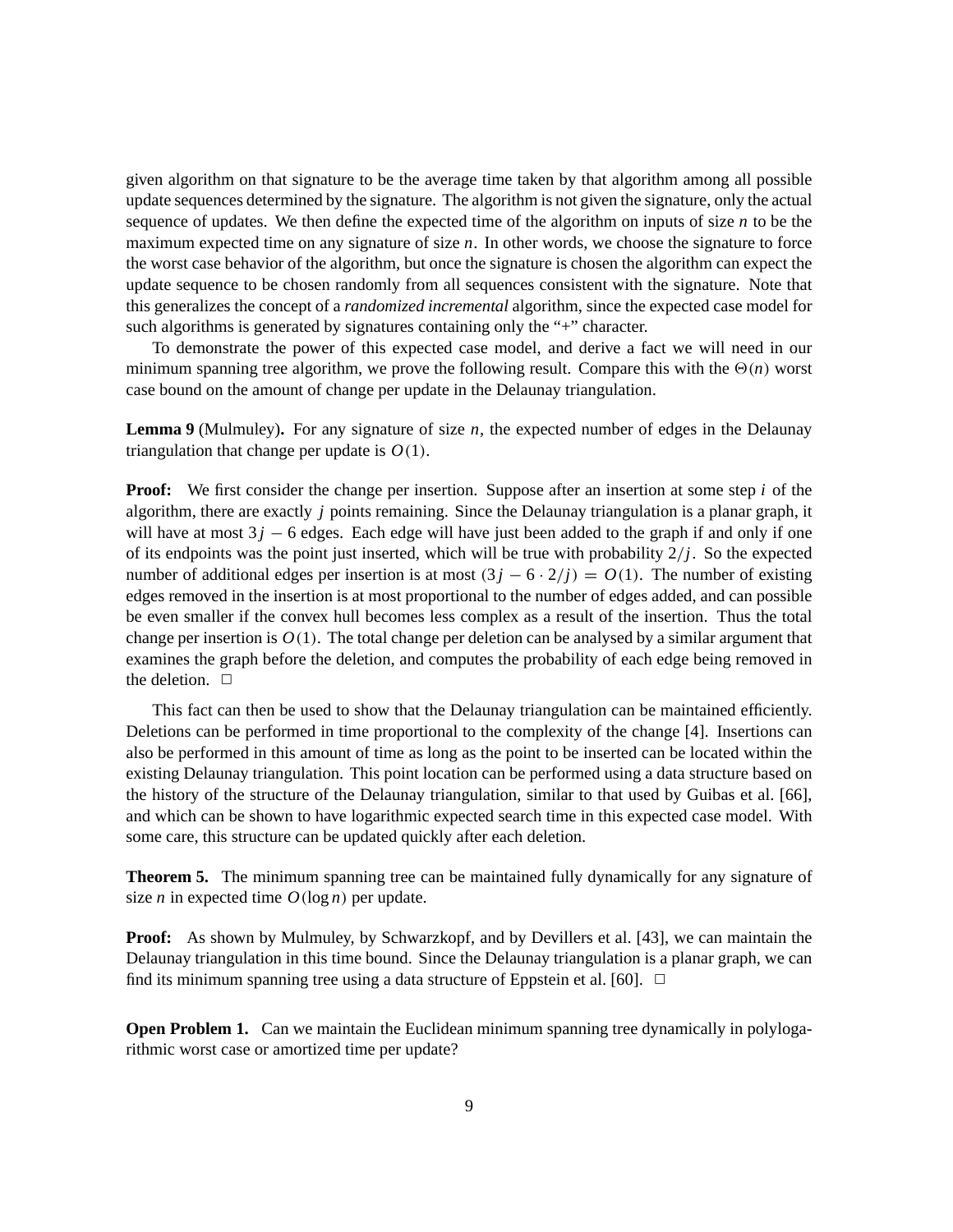given algorithm on that signature to be the average time taken by that algorithm among all possible update sequences determined by the signature. The algorithm is not given the signature, only the actual sequence of updates. We then define the expected time of the algorithm on inputs of size  $n$  to be the maximum expected time on any signature of size *n*. In other words, we choose the signature to force the worst case behavior of the algorithm, but once the signature is chosen the algorithm can expect the update sequence to be chosen randomly from all sequences consistent with the signature. Note that this generalizes the concept of a *randomized incremental* algorithm, since the expected case model for such algorithms is generated by signatures containing only the "+" character.

To demonstrate the power of this expected case model, and derive a fact we will need in our minimum spanning tree algorithm, we prove the following result. Compare this with the  $\Theta(n)$  worst case bound on the amount of change per update in the Delaunay triangulation.

**Lemma 9** (Mulmuley)**.** For any signature of size *n*, the expected number of edges in the Delaunay triangulation that change per update is  $O(1)$ .

**Proof:** We first consider the change per insertion. Suppose after an insertion at some step *i* of the algorithm, there are exactly *j* points remaining. Since the Delaunay triangulation is a planar graph, it will have at most  $3j - 6$  edges. Each edge will have just been added to the graph if and only if one of its endpoints was the point just inserted, which will be true with probability  $2/j$ . So the expected number of additional edges per insertion is at most  $(3j - 6 \cdot 2/j) = O(1)$ . The number of existing edges removed in the insertion is at most proportional to the number of edges added, and can possible be even smaller if the convex hull becomes less complex as a result of the insertion. Thus the total change per insertion is  $O(1)$ . The total change per deletion can be analysed by a similar argument that examines the graph before the deletion, and computes the probability of each edge being removed in the deletion.  $\square$ 

This fact can then be used to show that the Delaunay triangulation can be maintained efficiently. Deletions can be performed in time proportional to the complexity of the change [4]. Insertions can also be performed in this amount of time as long as the point to be inserted can be located within the existing Delaunay triangulation. This point location can be performed using a data structure based on the history of the structure of the Delaunay triangulation, similar to that used by Guibas et al. [66], and which can be shown to have logarithmic expected search time in this expected case model. With some care, this structure can be updated quickly after each deletion.

**Theorem 5.** The minimum spanning tree can be maintained fully dynamically for any signature of size *n* in expected time  $O(\log n)$  per update.

**Proof:** As shown by Mulmuley, by Schwarzkopf, and by Devillers et al. [43], we can maintain the Delaunay triangulation in this time bound. Since the Delaunay triangulation is a planar graph, we can find its minimum spanning tree using a data structure of Eppstein et al. [60].  $\Box$ 

**Open Problem 1.** Can we maintain the Euclidean minimum spanning tree dynamically in polylogarithmic worst case or amortized time per update?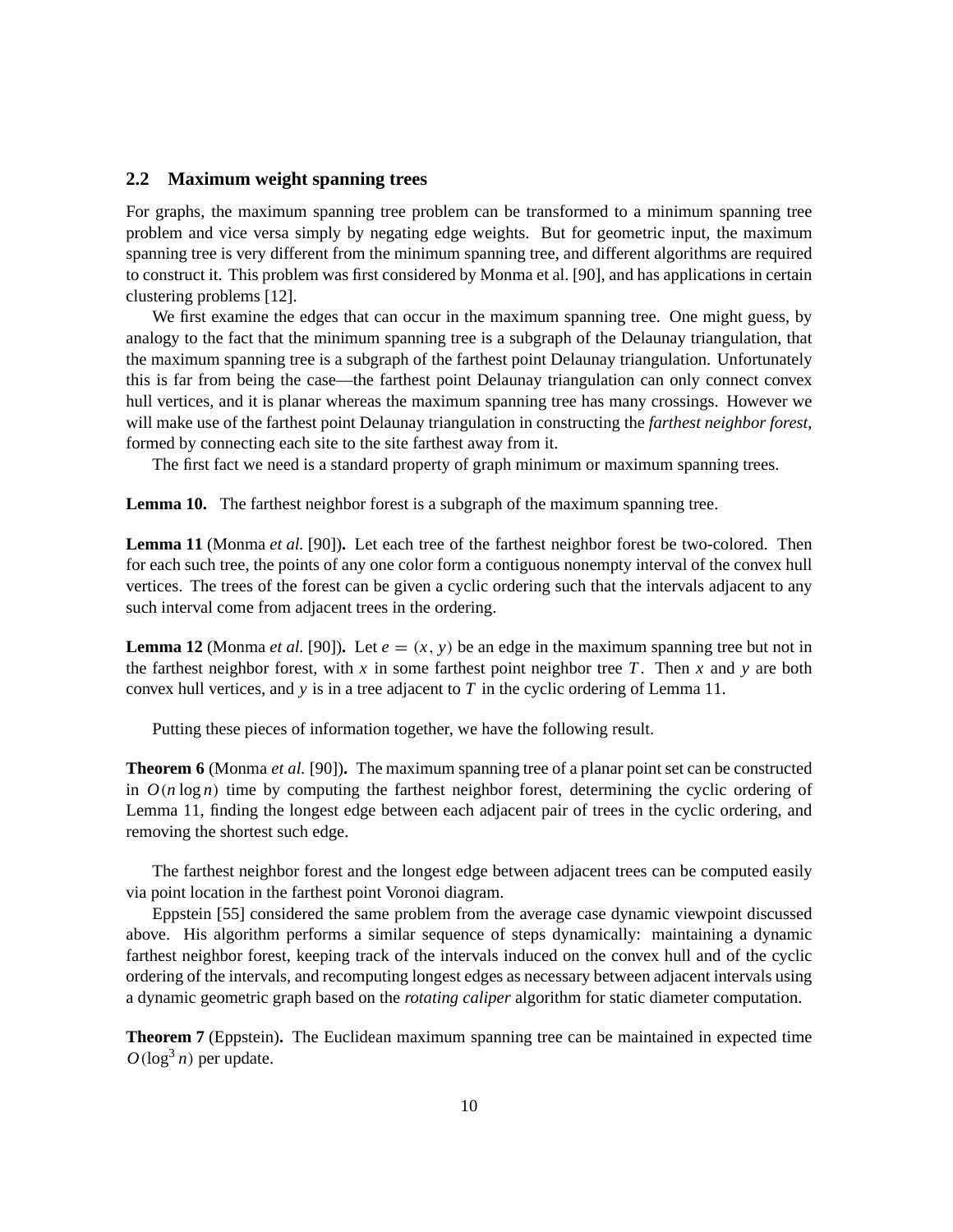## **2.2 Maximum weight spanning trees**

For graphs, the maximum spanning tree problem can be transformed to a minimum spanning tree problem and vice versa simply by negating edge weights. But for geometric input, the maximum spanning tree is very different from the minimum spanning tree, and different algorithms are required to construct it. This problem was first considered by Monma et al. [90], and has applications in certain clustering problems [12].

We first examine the edges that can occur in the maximum spanning tree. One might guess, by analogy to the fact that the minimum spanning tree is a subgraph of the Delaunay triangulation, that the maximum spanning tree is a subgraph of the farthest point Delaunay triangulation. Unfortunately this is far from being the case—the farthest point Delaunay triangulation can only connect convex hull vertices, and it is planar whereas the maximum spanning tree has many crossings. However we will make use of the farthest point Delaunay triangulation in constructing the *farthest neighbor forest*, formed by connecting each site to the site farthest away from it.

The first fact we need is a standard property of graph minimum or maximum spanning trees.

**Lemma 10.** The farthest neighbor forest is a subgraph of the maximum spanning tree.

**Lemma 11** (Monma *et al.* [90])**.** Let each tree of the farthest neighbor forest be two-colored. Then for each such tree, the points of any one color form a contiguous nonempty interval of the convex hull vertices. The trees of the forest can be given a cyclic ordering such that the intervals adjacent to any such interval come from adjacent trees in the ordering.

**Lemma 12** (Monma *et al.* [90]). Let  $e = (x, y)$  be an edge in the maximum spanning tree but not in the farthest neighbor forest, with  $x$  in some farthest point neighbor tree  $T$ . Then  $x$  and  $y$  are both convex hull vertices, and *y* is in a tree adjacent to *T* in the cyclic ordering of Lemma 11.

Putting these pieces of information together, we have the following result.

**Theorem 6** (Monma *et al.* [90])**.** The maximum spanning tree of a planar point set can be constructed in  $O(n \log n)$  time by computing the farthest neighbor forest, determining the cyclic ordering of Lemma 11, finding the longest edge between each adjacent pair of trees in the cyclic ordering, and removing the shortest such edge.

The farthest neighbor forest and the longest edge between adjacent trees can be computed easily via point location in the farthest point Voronoi diagram.

Eppstein [55] considered the same problem from the average case dynamic viewpoint discussed above. His algorithm performs a similar sequence of steps dynamically: maintaining a dynamic farthest neighbor forest, keeping track of the intervals induced on the convex hull and of the cyclic ordering of the intervals, and recomputing longest edges as necessary between adjacent intervals using a dynamic geometric graph based on the *rotating caliper* algorithm for static diameter computation.

**Theorem 7** (Eppstein)**.** The Euclidean maximum spanning tree can be maintained in expected time  $O(\log^3 n)$  per update.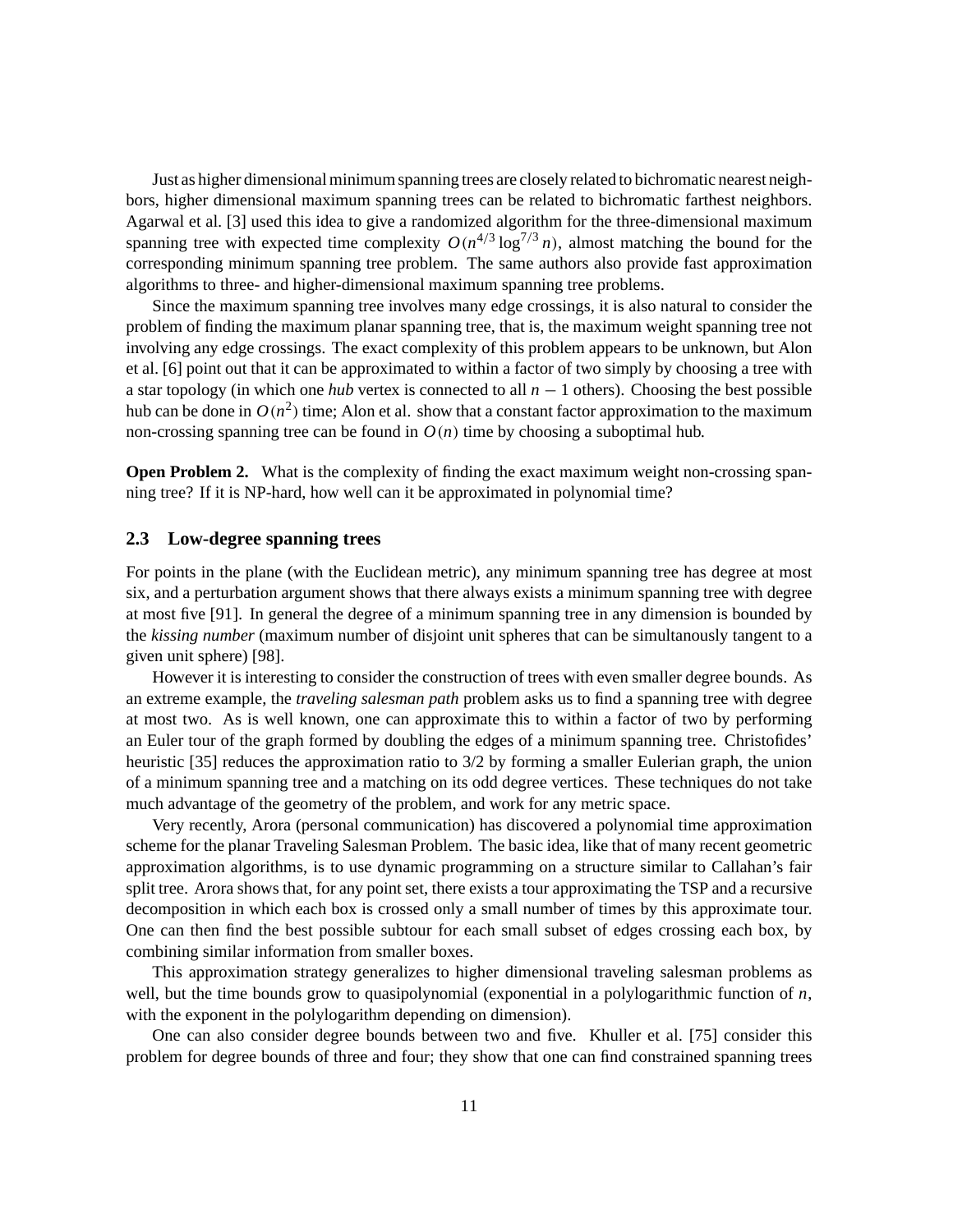Just as higher dimensional minimum spanning trees are closely related to bichromatic nearest neighbors, higher dimensional maximum spanning trees can be related to bichromatic farthest neighbors. Agarwal et al. [3] used this idea to give a randomized algorithm for the three-dimensional maximum spanning tree with expected time complexity  $O(n^{4/3} \log^{7/3} n)$ , almost matching the bound for the corresponding minimum spanning tree problem. The same authors also provide fast approximation algorithms to three- and higher-dimensional maximum spanning tree problems.

Since the maximum spanning tree involves many edge crossings, it is also natural to consider the problem of finding the maximum planar spanning tree, that is, the maximum weight spanning tree not involving any edge crossings. The exact complexity of this problem appears to be unknown, but Alon et al. [6] point out that it can be approximated to within a factor of two simply by choosing a tree with a star topology (in which one *hub* vertex is connected to all  $n - 1$  others). Choosing the best possible hub can be done in  $O(n^2)$  time; Alon et al. show that a constant factor approximation to the maximum non-crossing spanning tree can be found in  $O(n)$  time by choosing a suboptimal hub.

**Open Problem 2.** What is the complexity of finding the exact maximum weight non-crossing spanning tree? If it is NP-hard, how well can it be approximated in polynomial time?

## **2.3 Low-degree spanning trees**

For points in the plane (with the Euclidean metric), any minimum spanning tree has degree at most six, and a perturbation argument shows that there always exists a minimum spanning tree with degree at most five [91]. In general the degree of a minimum spanning tree in any dimension is bounded by the *kissing number* (maximum number of disjoint unit spheres that can be simultanously tangent to a given unit sphere) [98].

However it is interesting to consider the construction of trees with even smaller degree bounds. As an extreme example, the *traveling salesman path* problem asks us to find a spanning tree with degree at most two. As is well known, one can approximate this to within a factor of two by performing an Euler tour of the graph formed by doubling the edges of a minimum spanning tree. Christofides' heuristic [35] reduces the approximation ratio to 3/2 by forming a smaller Eulerian graph, the union of a minimum spanning tree and a matching on its odd degree vertices. These techniques do not take much advantage of the geometry of the problem, and work for any metric space.

Very recently, Arora (personal communication) has discovered a polynomial time approximation scheme for the planar Traveling Salesman Problem. The basic idea, like that of many recent geometric approximation algorithms, is to use dynamic programming on a structure similar to Callahan's fair split tree. Arora shows that, for any point set, there exists a tour approximating the TSP and a recursive decomposition in which each box is crossed only a small number of times by this approximate tour. One can then find the best possible subtour for each small subset of edges crossing each box, by combining similar information from smaller boxes.

This approximation strategy generalizes to higher dimensional traveling salesman problems as well, but the time bounds grow to quasipolynomial (exponential in a polylogarithmic function of *n*, with the exponent in the polylogarithm depending on dimension).

One can also consider degree bounds between two and five. Khuller et al. [75] consider this problem for degree bounds of three and four; they show that one can find constrained spanning trees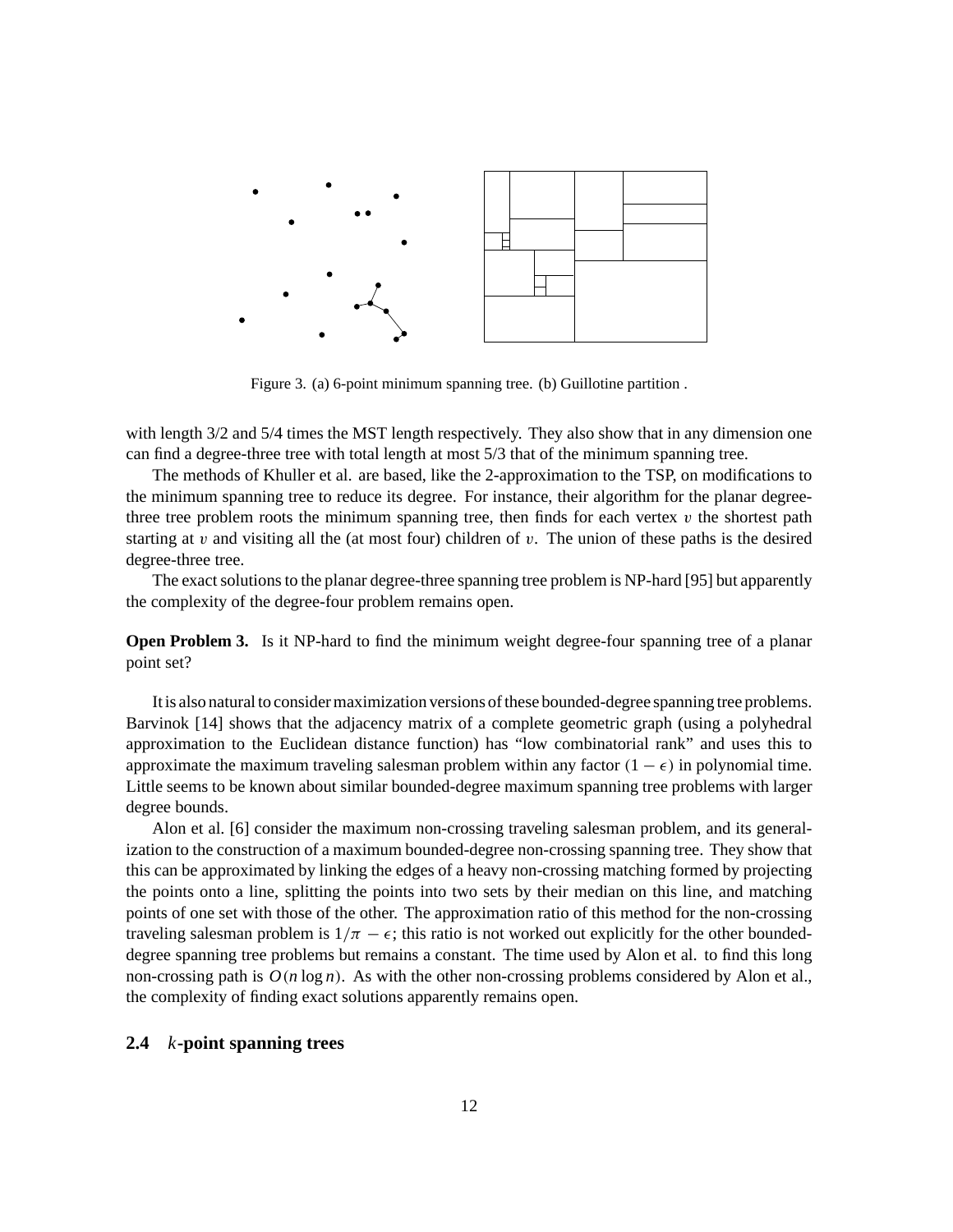

Figure 3. (a) 6-point minimum spanning tree. (b) Guillotine partition .

with length  $3/2$  and  $5/4$  times the MST length respectively. They also show that in any dimension one can find a degree-three tree with total length at most 5/3 that of the minimum spanning tree.

The methods of Khuller et al. are based, like the 2-approximation to the TSP, on modifications to the minimum spanning tree to reduce its degree. For instance, their algorithm for the planar degreethree tree problem roots the minimum spanning tree, then finds for each vertex  $\nu$  the shortest path starting at v and visiting all the (at most four) children of v. The union of these paths is the desired degree-three tree.

The exact solutions to the planar degree-three spanning tree problem is NP-hard [95] but apparently the complexity of the degree-four problem remains open.

**Open Problem 3.** Is it NP-hard to find the minimum weight degree-four spanning tree of a planar point set?

It is also natural to consider maximization versions of these bounded-degree spanning tree problems. Barvinok [14] shows that the adjacency matrix of a complete geometric graph (using a polyhedral approximation to the Euclidean distance function) has "low combinatorial rank" and uses this to approximate the maximum traveling salesman problem within any factor  $(1 - \epsilon)$  in polynomial time. Little seems to be known about similar bounded-degree maximum spanning tree problems with larger degree bounds.

Alon et al. [6] consider the maximum non-crossing traveling salesman problem, and its generalization to the construction of a maximum bounded-degree non-crossing spanning tree. They show that this can be approximated by linking the edges of a heavy non-crossing matching formed by projecting the points onto a line, splitting the points into two sets by their median on this line, and matching points of one set with those of the other. The approximation ratio of this method for the non-crossing traveling salesman problem is  $1/\pi - \epsilon$ ; this ratio is not worked out explicitly for the other boundeddegree spanning tree problems but remains a constant. The time used by Alon et al. to find this long non-crossing path is  $O(n \log n)$ . As with the other non-crossing problems considered by Alon et al., the complexity of finding exact solutions apparently remains open.

# **2.4** *k***-point spanning trees**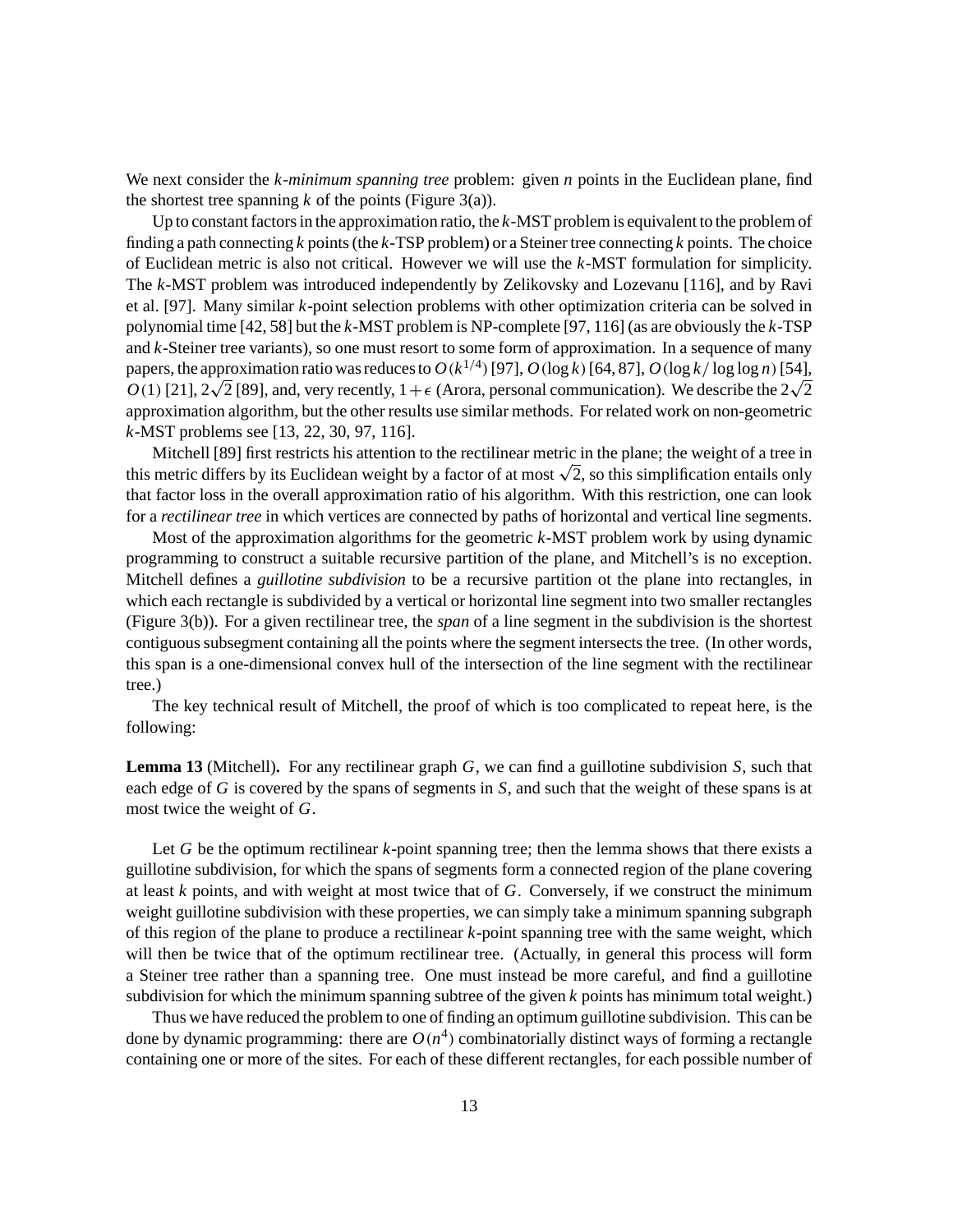We next consider the *k-minimum spanning tree* problem: given *n* points in the Euclidean plane, find the shortest tree spanning  $k$  of the points (Figure 3(a)).

Up to constant factors in the approximation ratio, the *k*-MST problem is equivalent to the problem of finding a path connecting *k* points (the *k*-TSP problem) or a Steiner tree connecting *k* points. The choice of Euclidean metric is also not critical. However we will use the *k*-MST formulation for simplicity. The *k*-MST problem was introduced independently by Zelikovsky and Lozevanu [116], and by Ravi et al. [97]. Many similar *k*-point selection problems with other optimization criteria can be solved in polynomial time [42, 58] but the *k*-MST problem is NP-complete [97, 116] (as are obviously the *k*-TSP and *k*-Steiner tree variants), so one must resort to some form of approximation. In a sequence of many papers, the approximation ratio was reduces to  $O(k^{1/4})$  [97],  $O(\log k)$  [64, 87],  $O(\log k / \log \log n)$  [54], *O*(1) [21],  $2\sqrt{2}$  [89], and, very recently,  $1+\epsilon$  (Arora, personal communication). We describe the  $2\sqrt{2}$ approximation algorithm, but the other results use similar methods. For related work on non-geometric *k*-MST problems see [13, 22, 30, 97, 116].

Mitchell [89] first restricts his attention to the rectilinear metric in the plane; the weight of a tree in this metric differs by its Euclidean weight by a factor of at most  $\sqrt{2}$ , so this simplification entails only that factor loss in the overall approximation ratio of his algorithm. With this restriction, one can look for a *rectilinear tree* in which vertices are connected by paths of horizontal and vertical line segments.

Most of the approximation algorithms for the geometric *k*-MST problem work by using dynamic programming to construct a suitable recursive partition of the plane, and Mitchell's is no exception. Mitchell defines a *guillotine subdivision* to be a recursive partition ot the plane into rectangles, in which each rectangle is subdivided by a vertical or horizontal line segment into two smaller rectangles (Figure 3(b)). For a given rectilinear tree, the *span* of a line segment in the subdivision is the shortest contiguous subsegment containing all the points where the segment intersects the tree. (In other words, this span is a one-dimensional convex hull of the intersection of the line segment with the rectilinear tree.)

The key technical result of Mitchell, the proof of which is too complicated to repeat here, is the following:

**Lemma 13** (Mitchell)**.** For any rectilinear graph *G*, we can find a guillotine subdivision *S*, such that each edge of *G* is covered by the spans of segments in *S*, and such that the weight of these spans is at most twice the weight of *G*.

Let *G* be the optimum rectilinear *k*-point spanning tree; then the lemma shows that there exists a guillotine subdivision, for which the spans of segments form a connected region of the plane covering at least *k* points, and with weight at most twice that of *G*. Conversely, if we construct the minimum weight guillotine subdivision with these properties, we can simply take a minimum spanning subgraph of this region of the plane to produce a rectilinear *k*-point spanning tree with the same weight, which will then be twice that of the optimum rectilinear tree. (Actually, in general this process will form a Steiner tree rather than a spanning tree. One must instead be more careful, and find a guillotine subdivision for which the minimum spanning subtree of the given *k* points has minimum total weight.)

Thus we have reduced the problem to one of finding an optimum guillotine subdivision. This can be done by dynamic programming: there are  $O(n^4)$  combinatorially distinct ways of forming a rectangle containing one or more of the sites. For each of these different rectangles, for each possible number of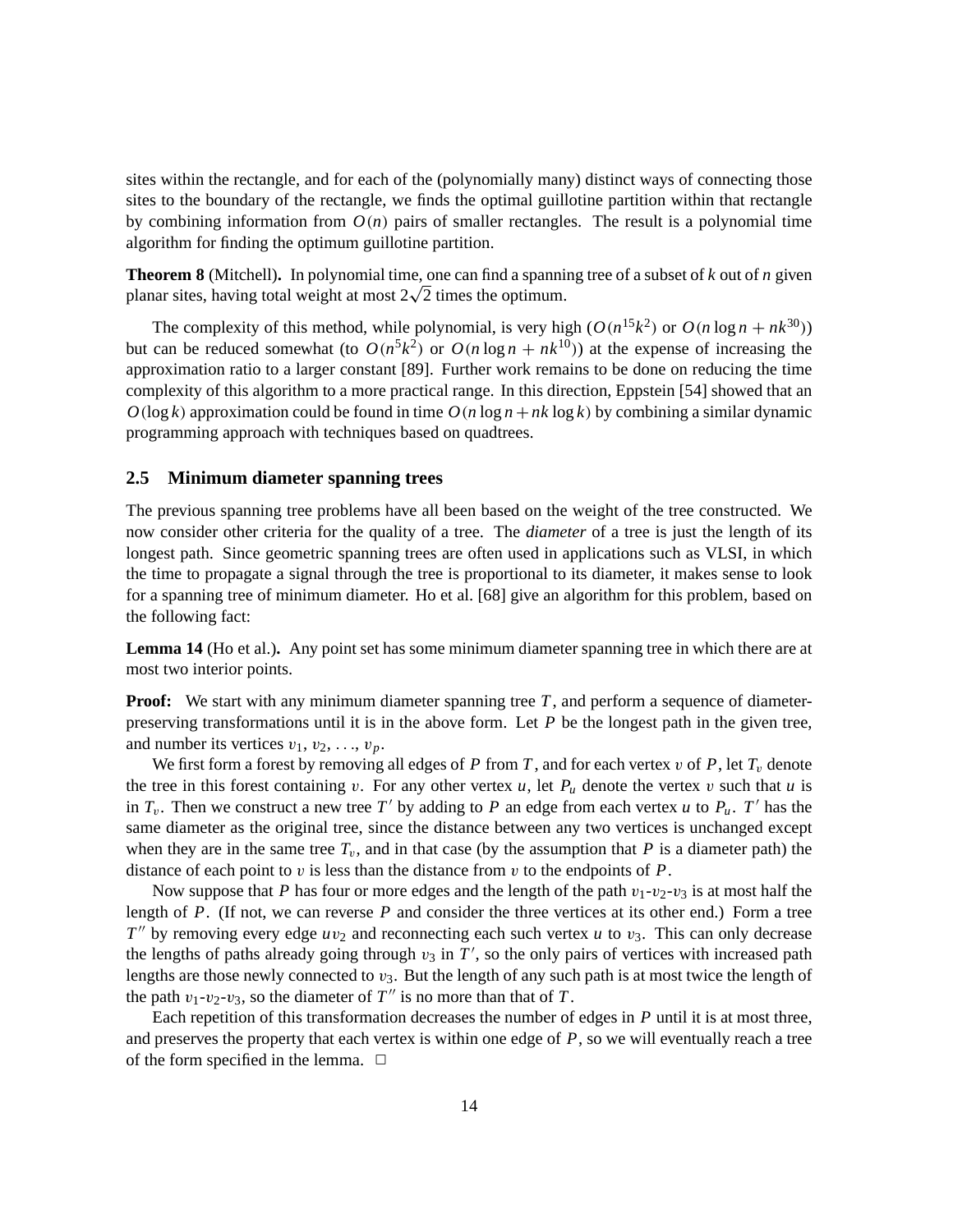sites within the rectangle, and for each of the (polynomially many) distinct ways of connecting those sites to the boundary of the rectangle, we finds the optimal guillotine partition within that rectangle by combining information from  $O(n)$  pairs of smaller rectangles. The result is a polynomial time algorithm for finding the optimum guillotine partition.

**Theorem 8** (Mitchell)**.** In polynomial time, one can find a spanning tree of a subset of *k* out of *n* given planar sites, having total weight at most  $2\sqrt{2}$  times the optimum.

The complexity of this method, while polynomial, is very high  $(O(n^{15}k^2))$  or  $O(n \log n + nk^{30}))$ but can be reduced somewhat (to  $O(n^5k^2)$  or  $O(n \log n + nk^{10})$ ) at the expense of increasing the approximation ratio to a larger constant [89]. Further work remains to be done on reducing the time complexity of this algorithm to a more practical range. In this direction, Eppstein [54] showed that an  $O(\log k)$  approximation could be found in time  $O(n \log n + nk \log k)$  by combining a similar dynamic programming approach with techniques based on quadtrees.

## **2.5 Minimum diameter spanning trees**

The previous spanning tree problems have all been based on the weight of the tree constructed. We now consider other criteria for the quality of a tree. The *diameter* of a tree is just the length of its longest path. Since geometric spanning trees are often used in applications such as VLSI, in which the time to propagate a signal through the tree is proportional to its diameter, it makes sense to look for a spanning tree of minimum diameter. Ho et al. [68] give an algorithm for this problem, based on the following fact:

**Lemma 14** (Ho et al.)**.** Any point set has some minimum diameter spanning tree in which there are at most two interior points.

**Proof:** We start with any minimum diameter spanning tree T, and perform a sequence of diameterpreserving transformations until it is in the above form. Let *P* be the longest path in the given tree, and number its vertices  $v_1, v_2, \ldots, v_p$ .

We first form a forest by removing all edges of *P* from *T*, and for each vertex v of *P*, let  $T_v$  denote the tree in this forest containing  $v$ . For any other vertex  $u$ , let  $P_u$  denote the vertex  $v$  such that  $u$  is in  $T_v$ . Then we construct a new tree T' by adding to P an edge from each vertex *u* to  $P_u$ . T' has the same diameter as the original tree, since the distance between any two vertices is unchanged except when they are in the same tree  $T_v$ , and in that case (by the assumption that *P* is a diameter path) the distance of each point to  $v$  is less than the distance from  $v$  to the endpoints of  $P$ .

Now suppose that *P* has four or more edges and the length of the path  $v_1-v_2-v_3$  is at most half the length of *P*. (If not, we can reverse *P* and consider the three vertices at its other end.) Form a tree  $T''$  by removing every edge *uv*<sub>2</sub> and reconnecting each such vertex *u* to  $v_3$ . This can only decrease the lengths of paths already going through  $v_3$  in  $T'$ , so the only pairs of vertices with increased path lengths are those newly connected to  $v_3$ . But the length of any such path is at most twice the length of the path  $v_1-v_2-v_3$ , so the diameter of  $T''$  is no more than that of  $T$ .

Each repetition of this transformation decreases the number of edges in *P* until it is at most three, and preserves the property that each vertex is within one edge of *P*, so we will eventually reach a tree of the form specified in the lemma.  $\Box$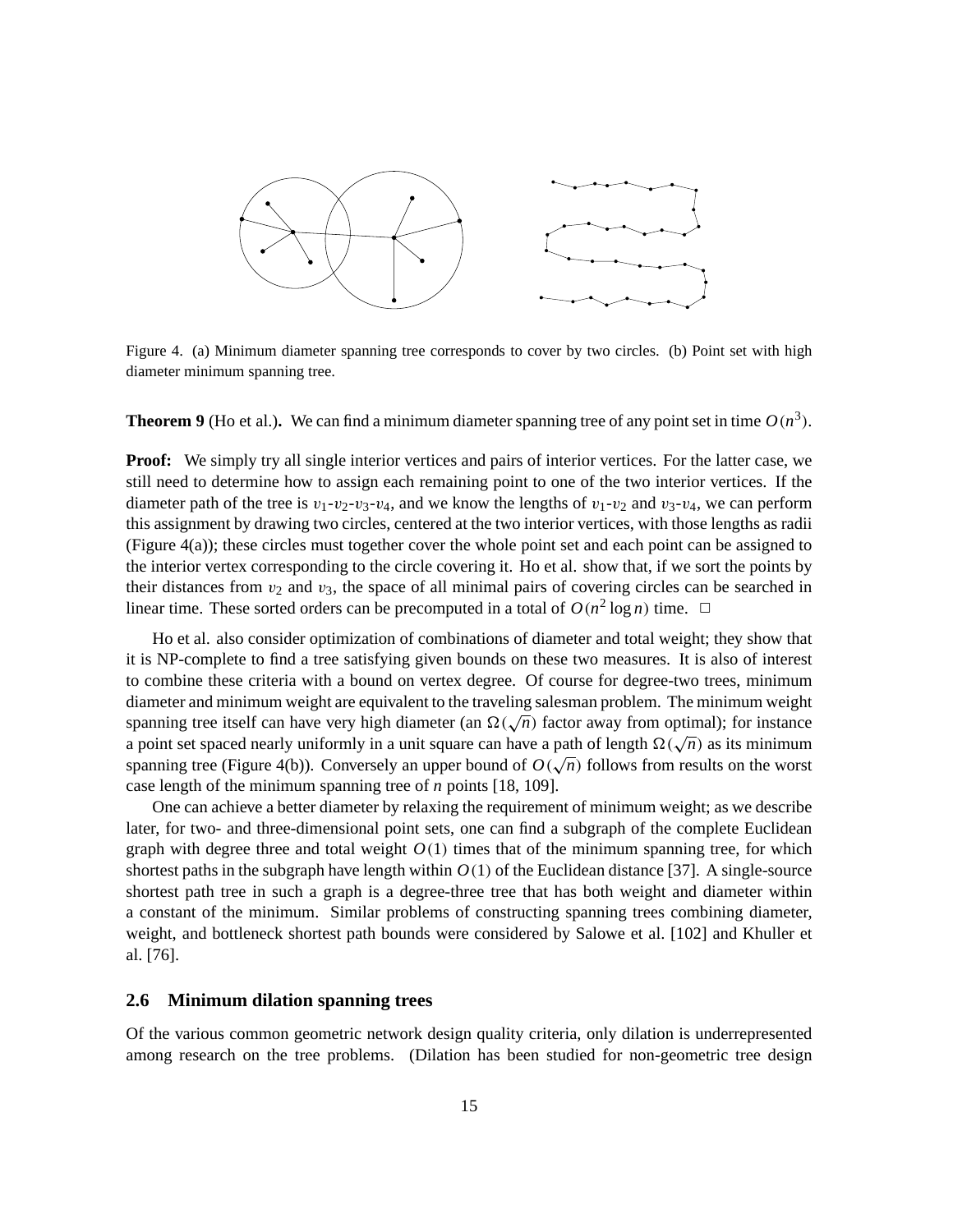

Figure 4. (a) Minimum diameter spanning tree corresponds to cover by two circles. (b) Point set with high diameter minimum spanning tree.

**Theorem 9** (Ho et al.). We can find a minimum diameter spanning tree of any point set in time  $O(n^3)$ .

**Proof:** We simply try all single interior vertices and pairs of interior vertices. For the latter case, we still need to determine how to assign each remaining point to one of the two interior vertices. If the diameter path of the tree is  $v_1-v_2-v_3-v_4$ , and we know the lengths of  $v_1-v_2$  and  $v_3-v_4$ , we can perform this assignment by drawing two circles, centered at the two interior vertices, with those lengths as radii (Figure 4(a)); these circles must together cover the whole point set and each point can be assigned to the interior vertex corresponding to the circle covering it. Ho et al. show that, if we sort the points by their distances from  $v_2$  and  $v_3$ , the space of all minimal pairs of covering circles can be searched in linear time. These sorted orders can be precomputed in a total of  $O(n^2 \log n)$  time.  $\Box$ 

Ho et al. also consider optimization of combinations of diameter and total weight; they show that it is NP-complete to find a tree satisfying given bounds on these two measures. It is also of interest to combine these criteria with a bound on vertex degree. Of course for degree-two trees, minimum diameter and minimum weight are equivalent to the traveling salesman problem. The minimum weight spanning tree itself can have very high diameter (an  $\Omega(\sqrt{n})$  factor away from optimal); for instance a point set spaced nearly uniformly in a unit square can have a path of length  $\Omega(\sqrt{n})$  as its minimum spanning tree (Figure 4(b)). Conversely an upper bound of  $O(\sqrt{n})$  follows from results on the worst case length of the minimum spanning tree of *n* points [18, 109].

One can achieve a better diameter by relaxing the requirement of minimum weight; as we describe later, for two- and three-dimensional point sets, one can find a subgraph of the complete Euclidean graph with degree three and total weight  $O(1)$  times that of the minimum spanning tree, for which shortest paths in the subgraph have length within  $O(1)$  of the Euclidean distance [37]. A single-source shortest path tree in such a graph is a degree-three tree that has both weight and diameter within a constant of the minimum. Similar problems of constructing spanning trees combining diameter, weight, and bottleneck shortest path bounds were considered by Salowe et al. [102] and Khuller et al. [76].

#### **2.6 Minimum dilation spanning trees**

Of the various common geometric network design quality criteria, only dilation is underrepresented among research on the tree problems. (Dilation has been studied for non-geometric tree design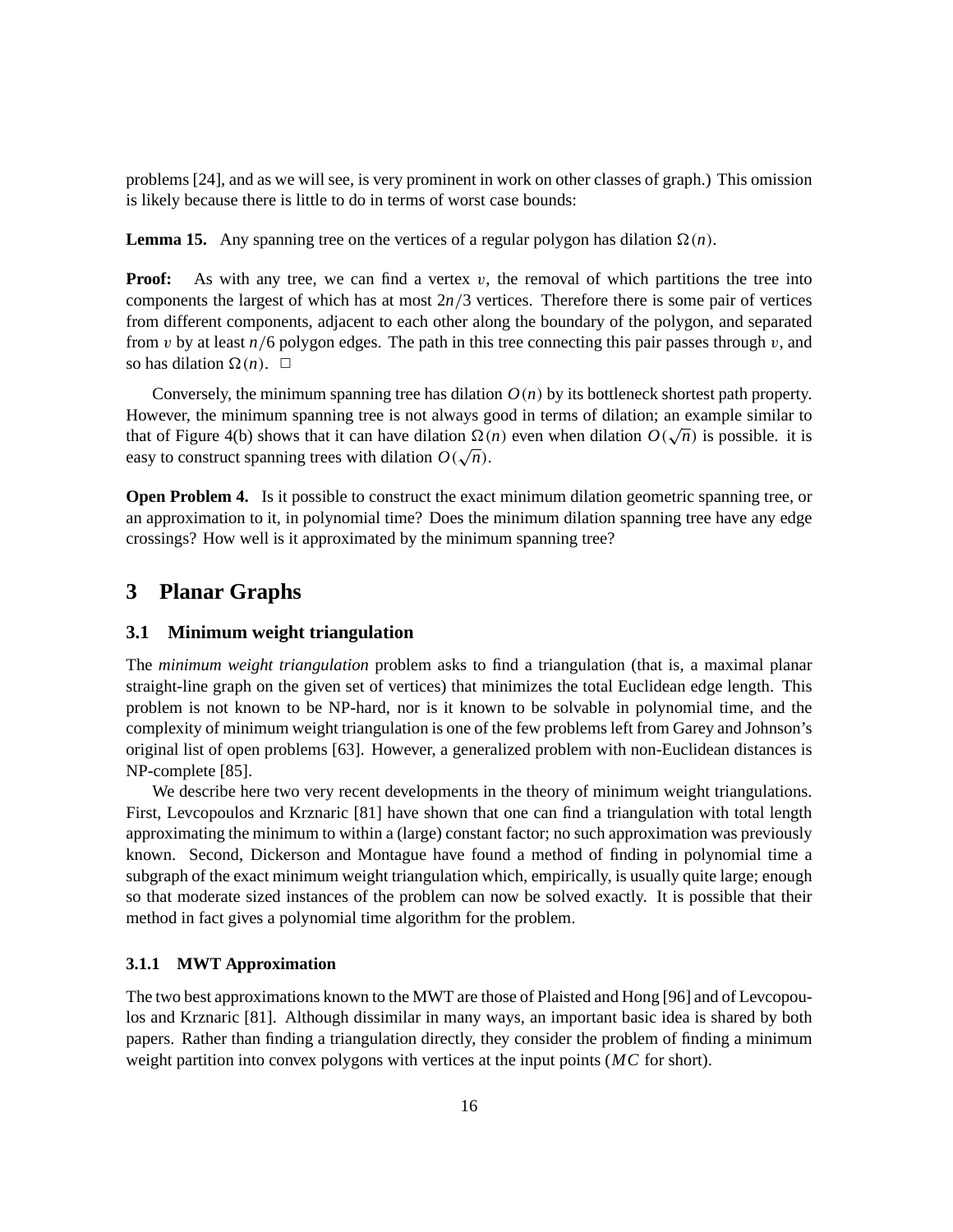problems [24], and as we will see, is very prominent in work on other classes of graph.) This omission is likely because there is little to do in terms of worst case bounds:

**Lemma 15.** Any spanning tree on the vertices of a regular polygon has dilation  $\Omega(n)$ .

**Proof:** As with any tree, we can find a vertex  $v$ , the removal of which partitions the tree into components the largest of which has at most 2*n*/3 vertices. Therefore there is some pair of vertices from different components, adjacent to each other along the boundary of the polygon, and separated from v by at least  $n/6$  polygon edges. The path in this tree connecting this pair passes through v, and so has dilation  $\Omega(n)$ .  $\Box$ 

Conversely, the minimum spanning tree has dilation  $O(n)$  by its bottleneck shortest path property. However, the minimum spanning tree is not always good in terms of dilation; an example similar to that of Figure 4(b) shows that it can have dilation  $\Omega(n)$  even when dilation  $O(\sqrt{n})$  is possible. it is easy to construct spanning trees with dilation  $O(\sqrt{n})$ .

**Open Problem 4.** Is it possible to construct the exact minimum dilation geometric spanning tree, or an approximation to it, in polynomial time? Does the minimum dilation spanning tree have any edge crossings? How well is it approximated by the minimum spanning tree?

# **3 Planar Graphs**

# **3.1 Minimum weight triangulation**

The *minimum weight triangulation* problem asks to find a triangulation (that is, a maximal planar straight-line graph on the given set of vertices) that minimizes the total Euclidean edge length. This problem is not known to be NP-hard, nor is it known to be solvable in polynomial time, and the complexity of minimum weight triangulation is one of the few problems left from Garey and Johnson's original list of open problems [63]. However, a generalized problem with non-Euclidean distances is NP-complete [85].

We describe here two very recent developments in the theory of minimum weight triangulations. First, Levcopoulos and Krznaric [81] have shown that one can find a triangulation with total length approximating the minimum to within a (large) constant factor; no such approximation was previously known. Second, Dickerson and Montague have found a method of finding in polynomial time a subgraph of the exact minimum weight triangulation which, empirically, is usually quite large; enough so that moderate sized instances of the problem can now be solved exactly. It is possible that their method in fact gives a polynomial time algorithm for the problem.

#### **3.1.1 MWT Approximation**

The two best approximations known to the MWT are those of Plaisted and Hong [96] and of Levcopoulos and Krznaric [81]. Although dissimilar in many ways, an important basic idea is shared by both papers. Rather than finding a triangulation directly, they consider the problem of finding a minimum weight partition into convex polygons with vertices at the input points (*MC* for short).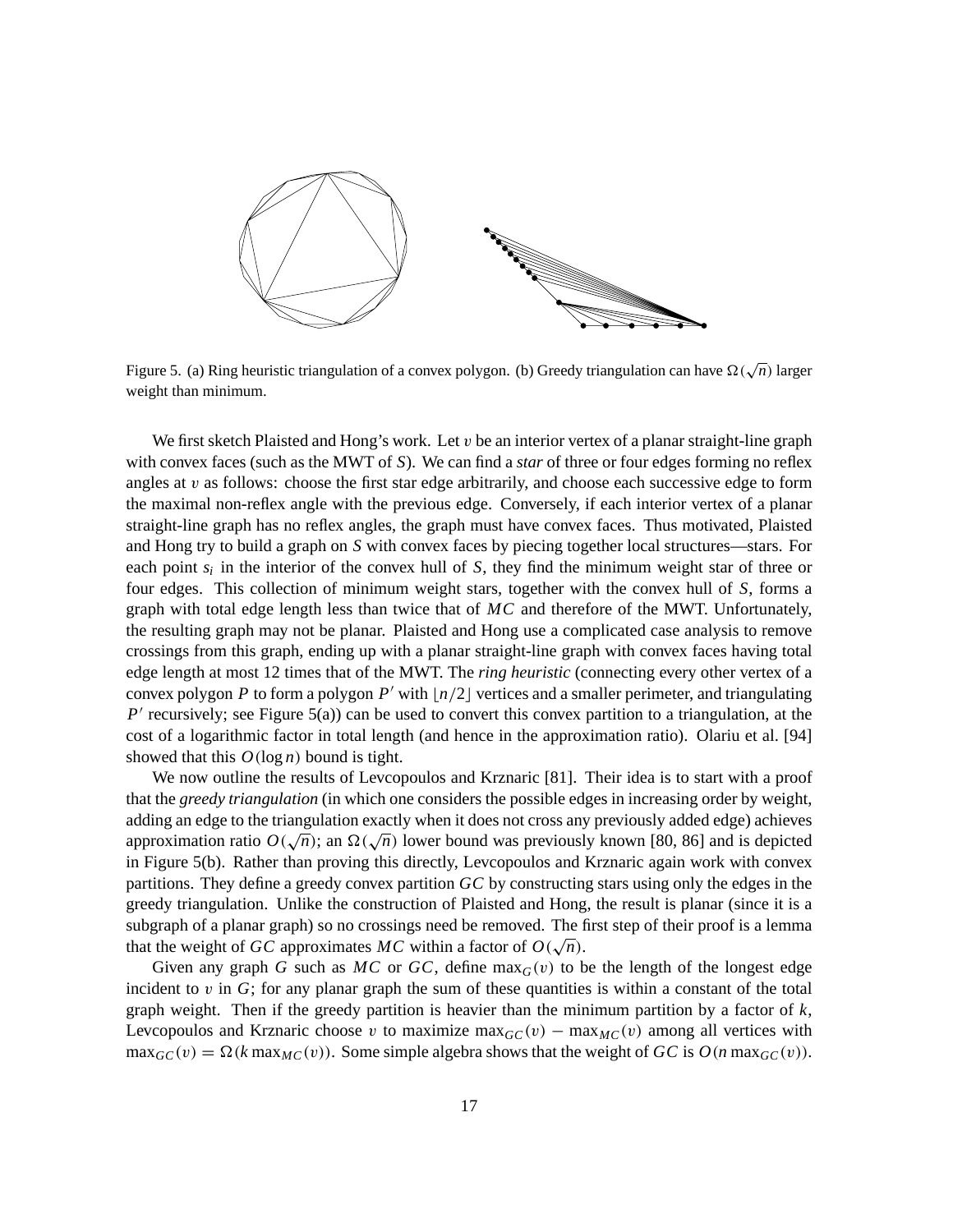

Figure 5. (a) Ring heuristic triangulation of a convex polygon. (b) Greedy triangulation can have  $\Omega(\sqrt{n})$  larger weight than minimum.

We first sketch Plaisted and Hong's work. Let  $v$  be an interior vertex of a planar straight-line graph with convex faces (such as the MWT of *S*). We can find a *star* of three or four edges forming no reflex angles at  $v$  as follows: choose the first star edge arbitrarily, and choose each successive edge to form the maximal non-reflex angle with the previous edge. Conversely, if each interior vertex of a planar straight-line graph has no reflex angles, the graph must have convex faces. Thus motivated, Plaisted and Hong try to build a graph on *S* with convex faces by piecing together local structures—stars. For each point *si* in the interior of the convex hull of *S*, they find the minimum weight star of three or four edges. This collection of minimum weight stars, together with the convex hull of *S*, forms a graph with total edge length less than twice that of *MC* and therefore of the MWT. Unfortunately, the resulting graph may not be planar. Plaisted and Hong use a complicated case analysis to remove crossings from this graph, ending up with a planar straight-line graph with convex faces having total edge length at most 12 times that of the MWT. The *ring heuristic* (connecting every other vertex of a convex polygon *P* to form a polygon *P'* with  $\vert n/2 \vert$  vertices and a smaller perimeter, and triangulating  $P<sup>0</sup>$  recursively; see Figure 5(a)) can be used to convert this convex partition to a triangulation, at the cost of a logarithmic factor in total length (and hence in the approximation ratio). Olariu et al. [94] showed that this  $O(\log n)$  bound is tight.

We now outline the results of Levcopoulos and Krznaric [81]. Their idea is to start with a proof that the *greedy triangulation* (in which one considers the possible edges in increasing order by weight, adding an edge to the triangulation exactly when it does not cross any previously added edge) achieves approximation ratio  $O(\sqrt{n})$ ; an  $\Omega(\sqrt{n})$  lower bound was previously known [80, 86] and is depicted in Figure 5(b). Rather than proving this directly, Levcopoulos and Krznaric again work with convex partitions. They define a greedy convex partition *GC* by constructing stars using only the edges in the greedy triangulation. Unlike the construction of Plaisted and Hong, the result is planar (since it is a subgraph of a planar graph) so no crossings need be removed. The first step of their proof is a lemma that the weight of *GC* approximates *MC* within a factor of  $O(\sqrt{n})$ .

Given any graph *G* such as *MC* or *GC*, define  $\max_G(v)$  to be the length of the longest edge incident to  $v$  in  $G$ ; for any planar graph the sum of these quantities is within a constant of the total graph weight. Then if the greedy partition is heavier than the minimum partition by a factor of  $k$ , Levcopoulos and Krznaric choose v to maximize max $_{GC}(v)$  – max $_{MC}(v)$  among all vertices with  $\max_{GC}(v) = \Omega(k \max_{MC}(v))$ . Some simple algebra shows that the weight of *GC* is  $O(n \max_{GC}(v))$ .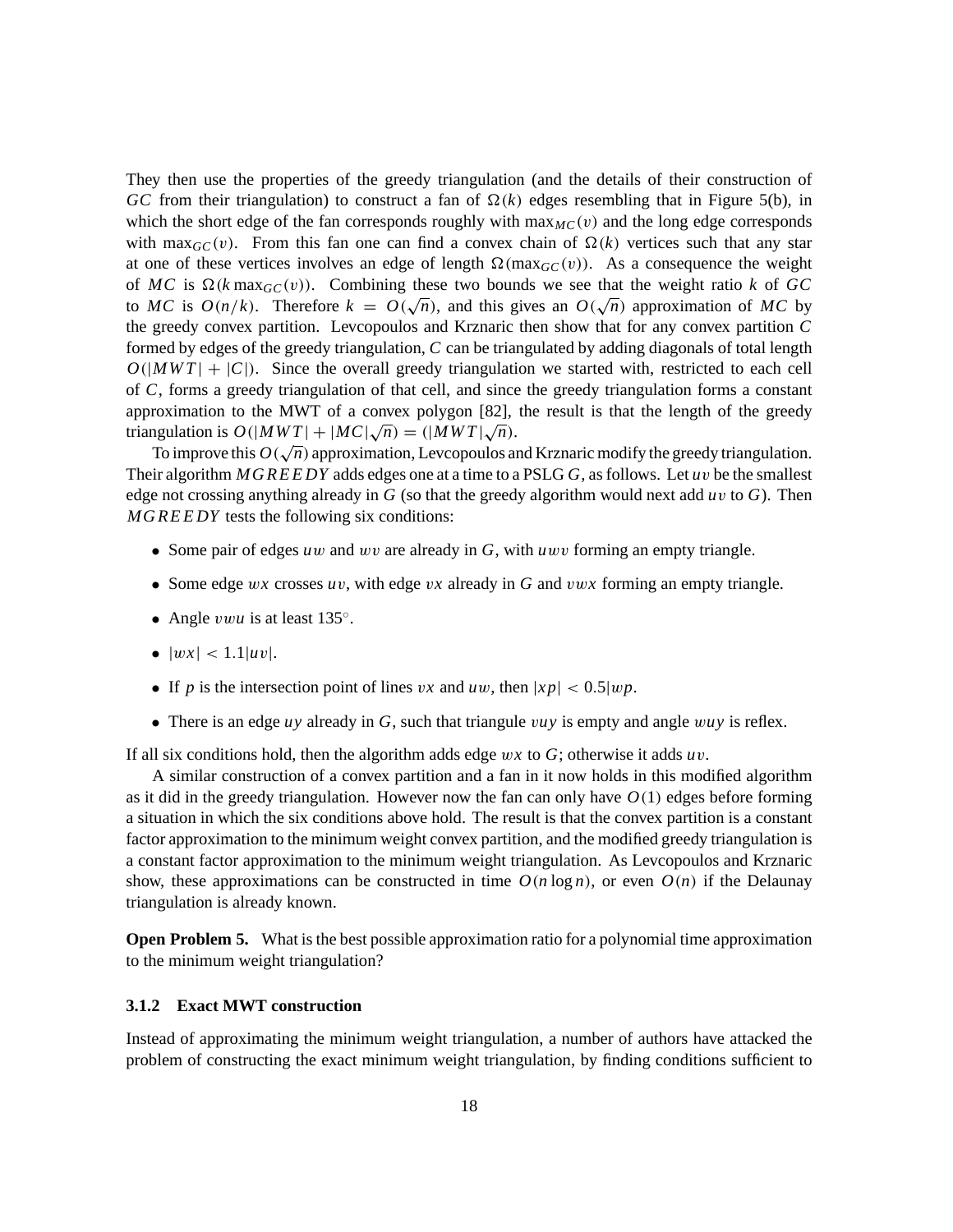They then use the properties of the greedy triangulation (and the details of their construction of *GC* from their triangulation) to construct a fan of  $\Omega(k)$  edges resembling that in Figure 5(b), in which the short edge of the fan corresponds roughly with  $max_{MC}(v)$  and the long edge corresponds with max<sub>*GC*</sub>(v). From this fan one can find a convex chain of  $\Omega(k)$  vertices such that any star at one of these vertices involves an edge of length  $\Omega(\max_{GC}(v))$ . As a consequence the weight of *MC* is  $\Omega(k \max_{G}v)$ . Combining these two bounds we see that the weight ratio *k* of *GC* to *MC* is  $O(n/k)$ . Therefore  $k = O(\sqrt{n})$ , and this gives an  $O(\sqrt{n})$  approximation of *MC* by the greedy convex partition. Levcopoulos and Krznaric then show that for any convex partition *C* formed by edges of the greedy triangulation, *C* can be triangulated by adding diagonals of total length  $O(|MWT| + |C|)$ . Since the overall greedy triangulation we started with, restricted to each cell of *C*, forms a greedy triangulation of that cell, and since the greedy triangulation forms a constant approximation to the MWT of a convex polygon [82], the result is that the length of the greedy triangulation is  $O(|MWT| + |MC|\sqrt{n}) = (|MWT|\sqrt{n}).$ 

To improve this  $O(\sqrt{n})$  approximation, Levcopoulos and Krznaric modify the greedy triangulation. Their algorithm *MGREEDY* adds edges one at a time to a PSLG *G*, as follows. Let *u*v be the smallest edge not crossing anything already in *G* (so that the greedy algorithm would next add *u*v to *G*). Then *MGREEDY* tests the following six conditions:

- Some pair of edges *u*w and wv are already in *G*, with *u*wv forming an empty triangle.
- Some edge  $wx$  crosses  $uv$ , with edge  $vx$  already in *G* and  $vwx$  forming an empty triangle.
- Angle vw*u* is at least 135◦.
- $|wx| < 1.1|uv|$ .
- If *p* is the intersection point of lines *vx* and *uw*, then  $|xp| < 0.5|wp$ .
- There is an edge *uy* already in *G*, such that triangule v*uy* is empty and angle w*uy* is reflex.

If all six conditions hold, then the algorithm adds edge w*x* to *G*; otherwise it adds *u*v.

A similar construction of a convex partition and a fan in it now holds in this modified algorithm as it did in the greedy triangulation. However now the fan can only have *O*(1) edges before forming a situation in which the six conditions above hold. The result is that the convex partition is a constant factor approximation to the minimum weight convex partition, and the modified greedy triangulation is a constant factor approximation to the minimum weight triangulation. As Levcopoulos and Krznaric show, these approximations can be constructed in time  $O(n \log n)$ , or even  $O(n)$  if the Delaunay triangulation is already known.

**Open Problem 5.** What is the best possible approximation ratio for a polynomial time approximation to the minimum weight triangulation?

#### **3.1.2 Exact MWT construction**

Instead of approximating the minimum weight triangulation, a number of authors have attacked the problem of constructing the exact minimum weight triangulation, by finding conditions sufficient to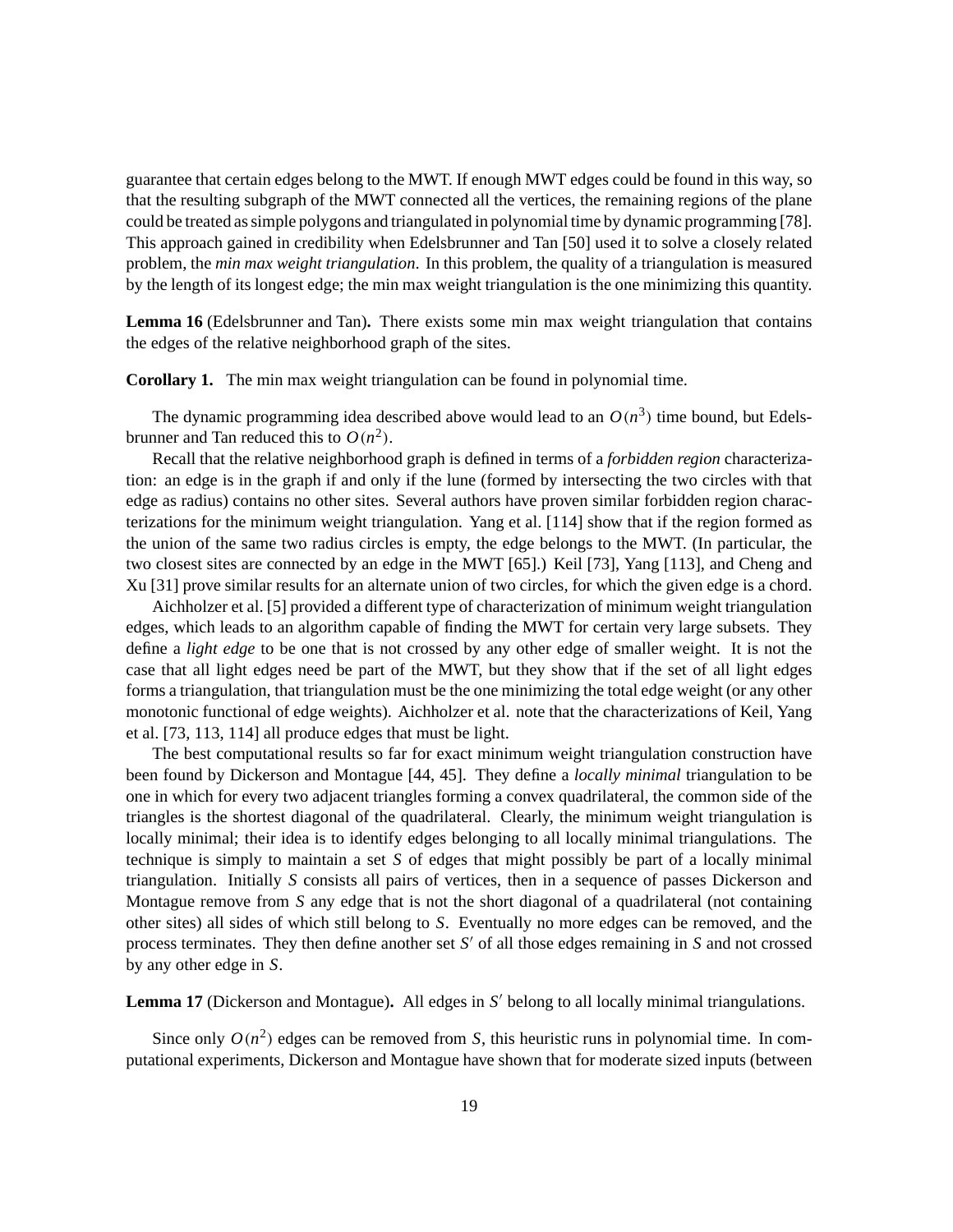guarantee that certain edges belong to the MWT. If enough MWT edges could be found in this way, so that the resulting subgraph of the MWT connected all the vertices, the remaining regions of the plane could be treated as simple polygons and triangulated in polynomial time by dynamic programming [78]. This approach gained in credibility when Edelsbrunner and Tan [50] used it to solve a closely related problem, the *min max weight triangulation*. In this problem, the quality of a triangulation is measured by the length of its longest edge; the min max weight triangulation is the one minimizing this quantity.

**Lemma 16** (Edelsbrunner and Tan)**.** There exists some min max weight triangulation that contains the edges of the relative neighborhood graph of the sites.

**Corollary 1.** The min max weight triangulation can be found in polynomial time.

The dynamic programming idea described above would lead to an  $O(n^3)$  time bound, but Edelsbrunner and Tan reduced this to  $O(n^2)$ .

Recall that the relative neighborhood graph is defined in terms of a *forbidden region* characterization: an edge is in the graph if and only if the lune (formed by intersecting the two circles with that edge as radius) contains no other sites. Several authors have proven similar forbidden region characterizations for the minimum weight triangulation. Yang et al. [114] show that if the region formed as the union of the same two radius circles is empty, the edge belongs to the MWT. (In particular, the two closest sites are connected by an edge in the MWT [65].) Keil [73], Yang [113], and Cheng and Xu [31] prove similar results for an alternate union of two circles, for which the given edge is a chord.

Aichholzer et al. [5] provided a different type of characterization of minimum weight triangulation edges, which leads to an algorithm capable of finding the MWT for certain very large subsets. They define a *light edge* to be one that is not crossed by any other edge of smaller weight. It is not the case that all light edges need be part of the MWT, but they show that if the set of all light edges forms a triangulation, that triangulation must be the one minimizing the total edge weight (or any other monotonic functional of edge weights). Aichholzer et al. note that the characterizations of Keil, Yang et al. [73, 113, 114] all produce edges that must be light.

The best computational results so far for exact minimum weight triangulation construction have been found by Dickerson and Montague [44, 45]. They define a *locally minimal* triangulation to be one in which for every two adjacent triangles forming a convex quadrilateral, the common side of the triangles is the shortest diagonal of the quadrilateral. Clearly, the minimum weight triangulation is locally minimal; their idea is to identify edges belonging to all locally minimal triangulations. The technique is simply to maintain a set *S* of edges that might possibly be part of a locally minimal triangulation. Initially *S* consists all pairs of vertices, then in a sequence of passes Dickerson and Montague remove from *S* any edge that is not the short diagonal of a quadrilateral (not containing other sites) all sides of which still belong to *S*. Eventually no more edges can be removed, and the process terminates. They then define another set  $S'$  of all those edges remaining in  $S$  and not crossed by any other edge in *S*.

**Lemma 17** (Dickerson and Montague). All edges in *S'* belong to all locally minimal triangulations.

Since only  $O(n^2)$  edges can be removed from *S*, this heuristic runs in polynomial time. In computational experiments, Dickerson and Montague have shown that for moderate sized inputs (between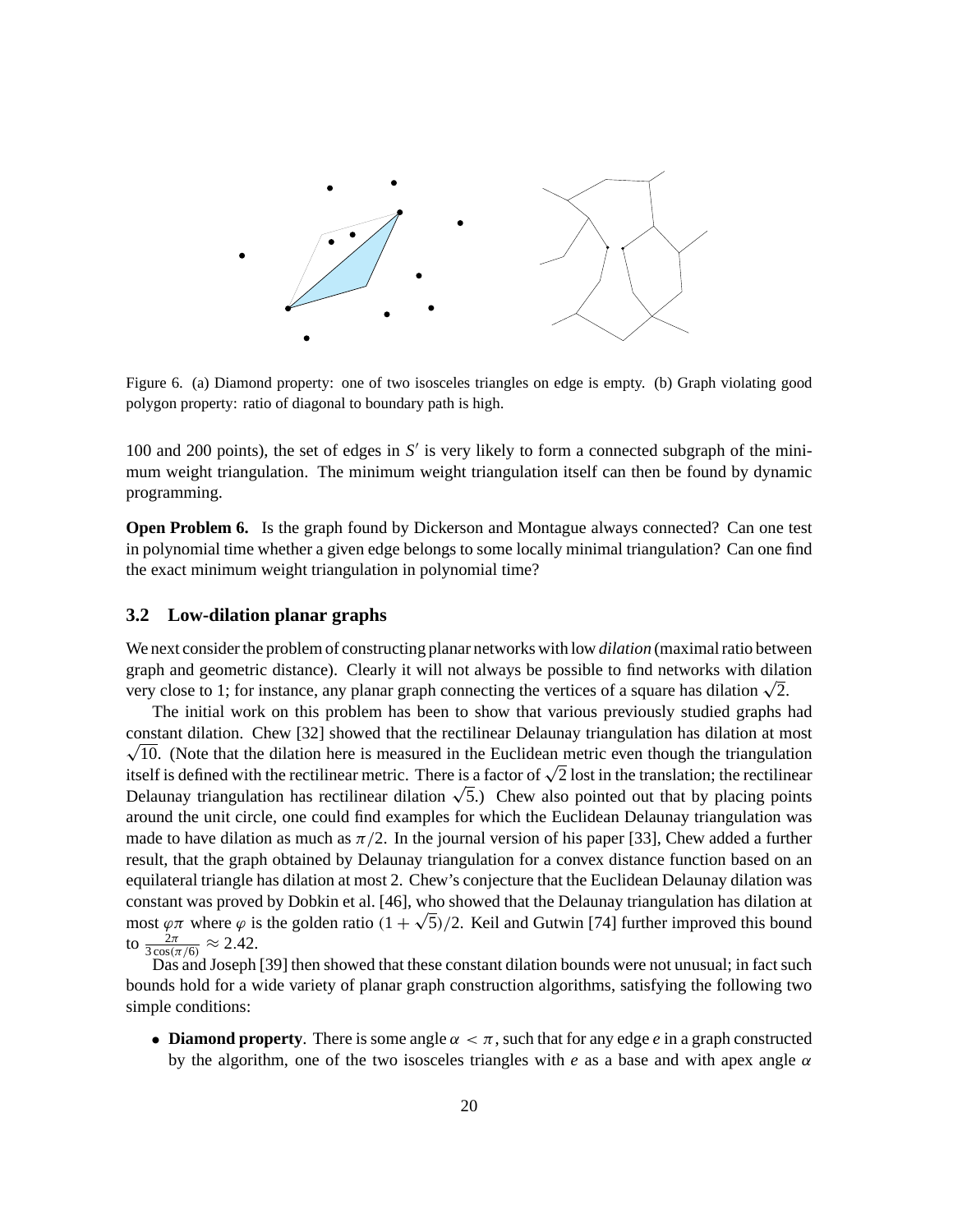

Figure 6. (a) Diamond property: one of two isosceles triangles on edge is empty. (b) Graph violating good polygon property: ratio of diagonal to boundary path is high.

100 and 200 points), the set of edges in  $S'$  is very likely to form a connected subgraph of the minimum weight triangulation. The minimum weight triangulation itself can then be found by dynamic programming.

**Open Problem 6.** Is the graph found by Dickerson and Montague always connected? Can one test in polynomial time whether a given edge belongs to some locally minimal triangulation? Can one find the exact minimum weight triangulation in polynomial time?

# **3.2 Low-dilation planar graphs**

We next consider the problem of constructing planar networks with low *dilation* (maximal ratio between graph and geometric distance). Clearly it will not always be possible to find networks with dilation very close to 1; for instance, any planar graph connecting the vertices of a square has dilation  $\sqrt{2}$ .

The initial work on this problem has been to show that various previously studied graphs had constant dilation. Chew [32] showed that the rectilinear Delaunay triangulation has dilation at most  $\sqrt{10}$ . (Note that the dilation here is measured in the Euclidean metric even though the triangulation itself is defined with the rectilinear metric. There is a factor of  $\sqrt{2}$  lost in the translation; the rectilinear Delaunay triangulation has rectilinear dilation  $\sqrt{5}$ .) Chew also pointed out that by placing points around the unit circle, one could find examples for which the Euclidean Delaunay triangulation was made to have dilation as much as  $\pi/2$ . In the journal version of his paper [33], Chew added a further result, that the graph obtained by Delaunay triangulation for a convex distance function based on an equilateral triangle has dilation at most 2. Chew's conjecture that the Euclidean Delaunay dilation was constant was proved by Dobkin et al. [46], who showed that the Delaunay triangulation has dilation at most  $\varphi \pi$  where  $\varphi$  is the golden ratio  $(1 + \sqrt{5})/2$ . Keil and Gutwin [74] further improved this bound to  $\frac{2\pi}{3\cos(\pi/6)} \approx 2.42$ .

Das and Joseph [39] then showed that these constant dilation bounds were not unusual; in fact such bounds hold for a wide variety of planar graph construction algorithms, satisfying the following two simple conditions:

• **Diamond property**. There is some angle  $\alpha < \pi$ , such that for any edge *e* in a graph constructed by the algorithm, one of the two isosceles triangles with *e* as a base and with apex angle  $\alpha$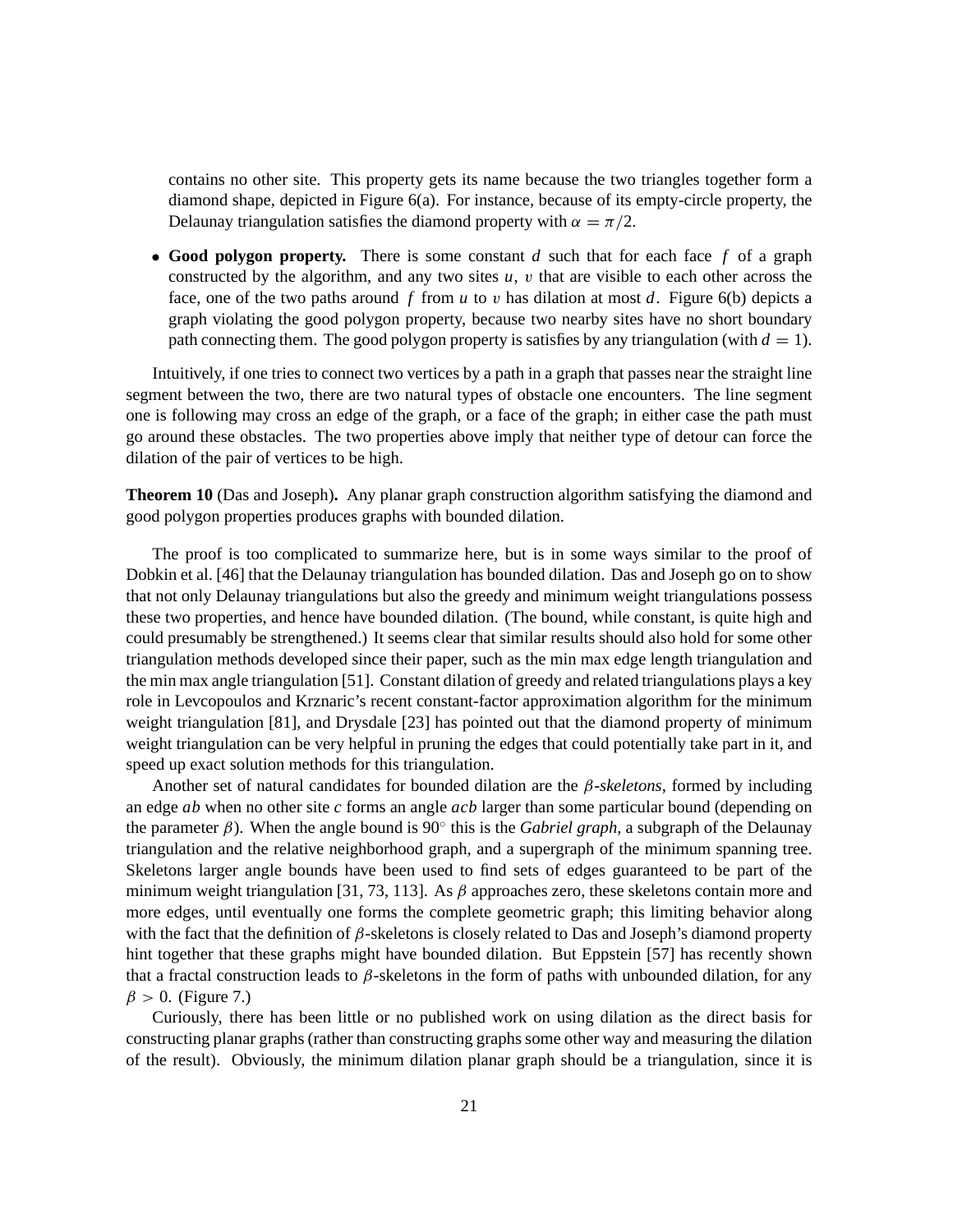contains no other site. This property gets its name because the two triangles together form a diamond shape, depicted in Figure 6(a). For instance, because of its empty-circle property, the Delaunay triangulation satisfies the diamond property with  $\alpha = \pi/2$ .

• **Good polygon property.** There is some constant *d* such that for each face *f* of a graph constructed by the algorithm, and any two sites  $u, v$  that are visible to each other across the face, one of the two paths around *f* from *u* to v has dilation at most *d*. Figure 6(b) depicts a graph violating the good polygon property, because two nearby sites have no short boundary path connecting them. The good polygon property is satisfies by any triangulation (with  $d = 1$ ).

Intuitively, if one tries to connect two vertices by a path in a graph that passes near the straight line segment between the two, there are two natural types of obstacle one encounters. The line segment one is following may cross an edge of the graph, or a face of the graph; in either case the path must go around these obstacles. The two properties above imply that neither type of detour can force the dilation of the pair of vertices to be high.

**Theorem 10** (Das and Joseph)**.** Any planar graph construction algorithm satisfying the diamond and good polygon properties produces graphs with bounded dilation.

The proof is too complicated to summarize here, but is in some ways similar to the proof of Dobkin et al. [46] that the Delaunay triangulation has bounded dilation. Das and Joseph go on to show that not only Delaunay triangulations but also the greedy and minimum weight triangulations possess these two properties, and hence have bounded dilation. (The bound, while constant, is quite high and could presumably be strengthened.) It seems clear that similar results should also hold for some other triangulation methods developed since their paper, such as the min max edge length triangulation and the min max angle triangulation [51]. Constant dilation of greedy and related triangulations plays a key role in Levcopoulos and Krznaric's recent constant-factor approximation algorithm for the minimum weight triangulation [81], and Drysdale [23] has pointed out that the diamond property of minimum weight triangulation can be very helpful in pruning the edges that could potentially take part in it, and speed up exact solution methods for this triangulation.

Another set of natural candidates for bounded dilation are the β*-skeletons*, formed by including an edge *ab* when no other site *c* forms an angle *acb* larger than some particular bound (depending on the parameter  $\beta$ ). When the angle bound is 90<sup>°</sup> this is the *Gabriel graph*, a subgraph of the Delaunay triangulation and the relative neighborhood graph, and a supergraph of the minimum spanning tree. Skeletons larger angle bounds have been used to find sets of edges guaranteed to be part of the minimum weight triangulation [31, 73, 113]. As  $\beta$  approaches zero, these skeletons contain more and more edges, until eventually one forms the complete geometric graph; this limiting behavior along with the fact that the definition of  $\beta$ -skeletons is closely related to Das and Joseph's diamond property hint together that these graphs might have bounded dilation. But Eppstein [57] has recently shown that a fractal construction leads to  $\beta$ -skeletons in the form of paths with unbounded dilation, for any  $\beta > 0$ . (Figure 7.)

Curiously, there has been little or no published work on using dilation as the direct basis for constructing planar graphs (rather than constructing graphs some other way and measuring the dilation of the result). Obviously, the minimum dilation planar graph should be a triangulation, since it is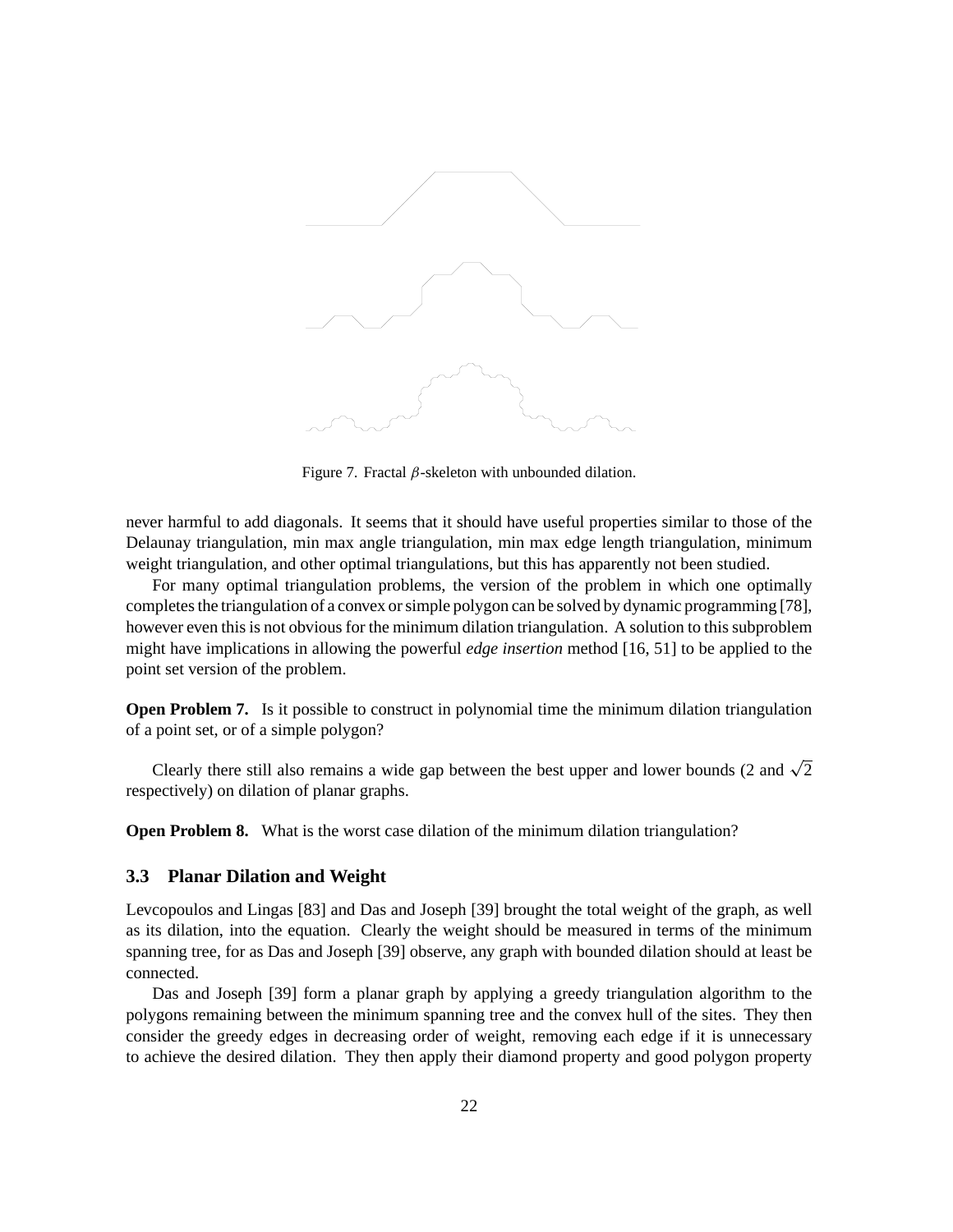

Figure 7. Fractal  $\beta$ -skeleton with unbounded dilation.

never harmful to add diagonals. It seems that it should have useful properties similar to those of the Delaunay triangulation, min max angle triangulation, min max edge length triangulation, minimum weight triangulation, and other optimal triangulations, but this has apparently not been studied.

For many optimal triangulation problems, the version of the problem in which one optimally completes the triangulation of a convex or simple polygon can be solved by dynamic programming [78], however even this is not obvious for the minimum dilation triangulation. A solution to this subproblem might have implications in allowing the powerful *edge insertion* method [16, 51] to be applied to the point set version of the problem.

**Open Problem 7.** Is it possible to construct in polynomial time the minimum dilation triangulation of a point set, or of a simple polygon?

Clearly there still also remains a wide gap between the best upper and lower bounds (2 and  $\sqrt{2}$ ) respectively) on dilation of planar graphs.

**Open Problem 8.** What is the worst case dilation of the minimum dilation triangulation?

### **3.3 Planar Dilation and Weight**

Levcopoulos and Lingas [83] and Das and Joseph [39] brought the total weight of the graph, as well as its dilation, into the equation. Clearly the weight should be measured in terms of the minimum spanning tree, for as Das and Joseph [39] observe, any graph with bounded dilation should at least be connected.

Das and Joseph [39] form a planar graph by applying a greedy triangulation algorithm to the polygons remaining between the minimum spanning tree and the convex hull of the sites. They then consider the greedy edges in decreasing order of weight, removing each edge if it is unnecessary to achieve the desired dilation. They then apply their diamond property and good polygon property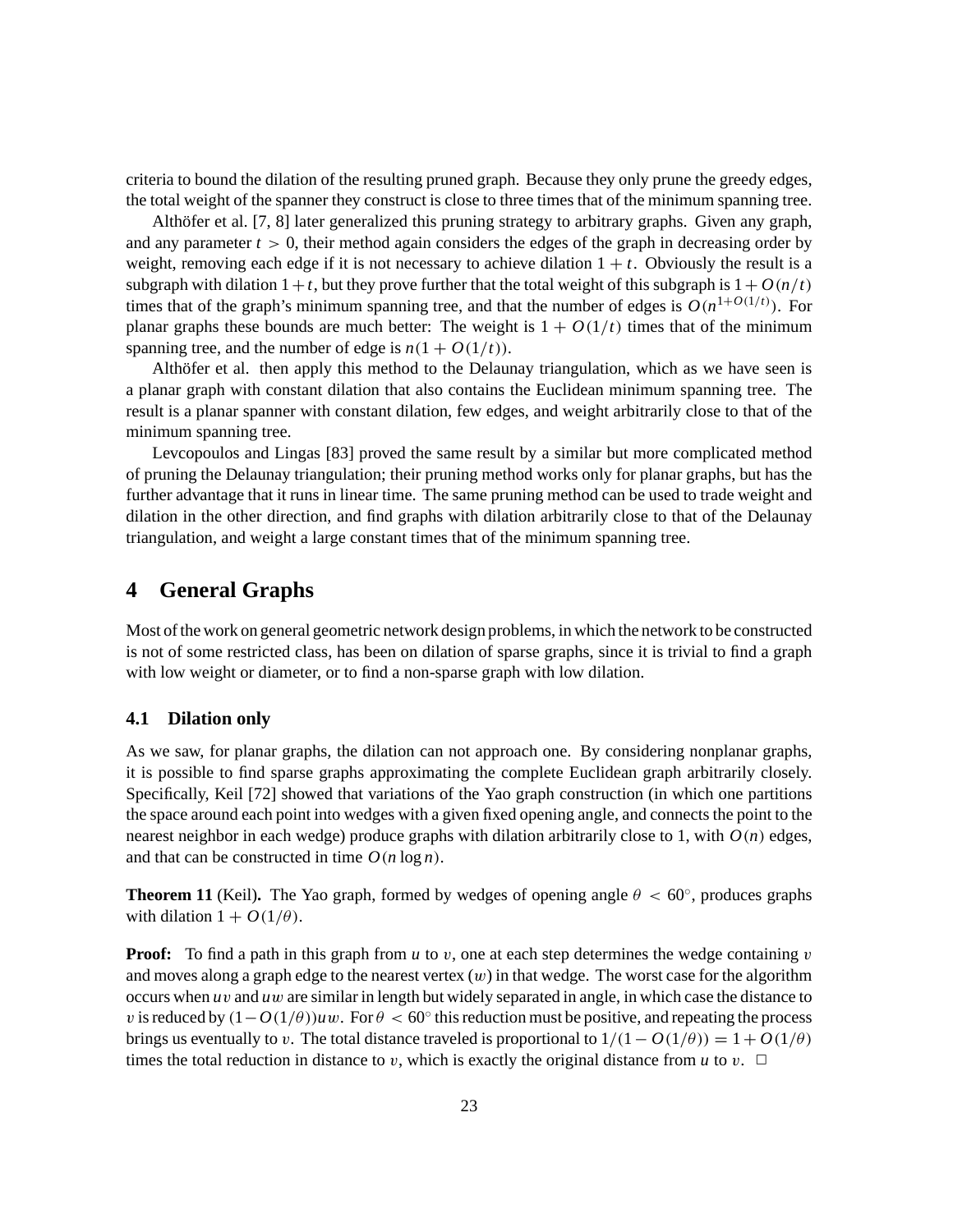criteria to bound the dilation of the resulting pruned graph. Because they only prune the greedy edges, the total weight of the spanner they construct is close to three times that of the minimum spanning tree.

Althöfer et al. [7, 8] later generalized this pruning strategy to arbitrary graphs. Given any graph, and any parameter  $t > 0$ , their method again considers the edges of the graph in decreasing order by weight, removing each edge if it is not necessary to achieve dilation  $1 + t$ . Obviously the result is a subgraph with dilation  $1+t$ , but they prove further that the total weight of this subgraph is  $1+O(n/t)$ times that of the graph's minimum spanning tree, and that the number of edges is  $O(n^{1+O(1/t)})$ . For planar graphs these bounds are much better: The weight is  $1 + O(1/t)$  times that of the minimum spanning tree, and the number of edge is  $n(1 + O(1/t))$ .

Althöfer et al. then apply this method to the Delaunay triangulation, which as we have seen is a planar graph with constant dilation that also contains the Euclidean minimum spanning tree. The result is a planar spanner with constant dilation, few edges, and weight arbitrarily close to that of the minimum spanning tree.

Levcopoulos and Lingas [83] proved the same result by a similar but more complicated method of pruning the Delaunay triangulation; their pruning method works only for planar graphs, but has the further advantage that it runs in linear time. The same pruning method can be used to trade weight and dilation in the other direction, and find graphs with dilation arbitrarily close to that of the Delaunay triangulation, and weight a large constant times that of the minimum spanning tree.

# **4 General Graphs**

Most of the work on general geometric network design problems, in which the network to be constructed is not of some restricted class, has been on dilation of sparse graphs, since it is trivial to find a graph with low weight or diameter, or to find a non-sparse graph with low dilation.

#### **4.1 Dilation only**

As we saw, for planar graphs, the dilation can not approach one. By considering nonplanar graphs, it is possible to find sparse graphs approximating the complete Euclidean graph arbitrarily closely. Specifically, Keil [72] showed that variations of the Yao graph construction (in which one partitions the space around each point into wedges with a given fixed opening angle, and connects the point to the nearest neighbor in each wedge) produce graphs with dilation arbitrarily close to 1, with *O*(*n*) edges, and that can be constructed in time  $O(n \log n)$ .

**Theorem 11** (Keil). The Yao graph, formed by wedges of opening angle  $\theta < 60^\circ$ , produces graphs with dilation  $1 + O(1/\theta)$ .

**Proof:** To find a path in this graph from  $u$  to  $v$ , one at each step determines the wedge containing  $v$ and moves along a graph edge to the nearest vertex  $(w)$  in that wedge. The worst case for the algorithm occurs when *u*v and *u*w are similar in length but widely separated in angle, in which case the distance to v is reduced by  $(1 - O(1/\theta))uw$ . For  $\theta < 60^\circ$  this reduction must be positive, and repeating the process brings us eventually to v. The total distance traveled is proportional to  $1/(1 - O(1/\theta)) = 1 + O(1/\theta)$ times the total reduction in distance to v, which is exactly the original distance from  $u$  to  $v$ .  $\Box$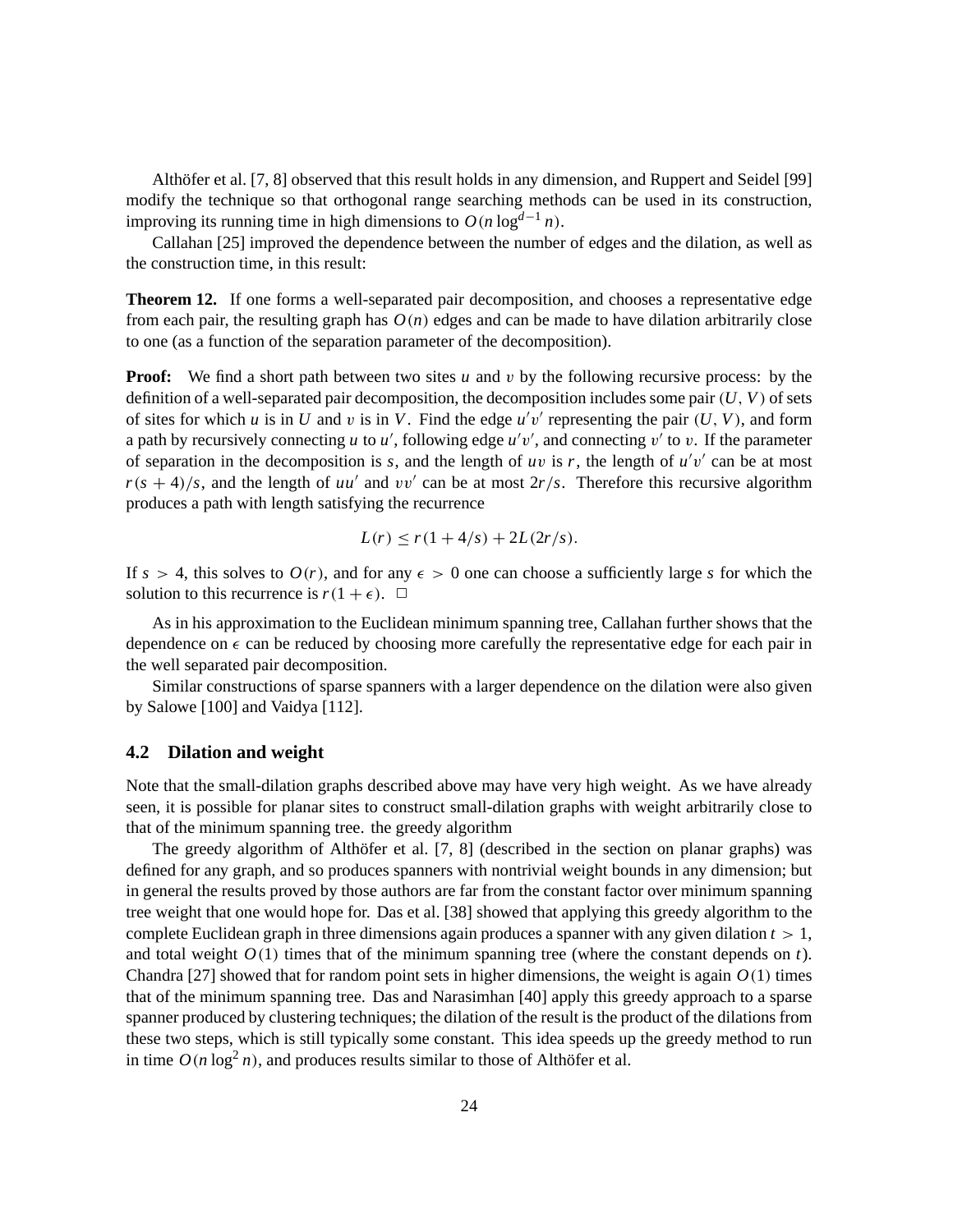Althöfer et al. [7, 8] observed that this result holds in any dimension, and Ruppert and Seidel [99] modify the technique so that orthogonal range searching methods can be used in its construction, improving its running time in high dimensions to  $O(n \log^{d-1} n)$ .

Callahan [25] improved the dependence between the number of edges and the dilation, as well as the construction time, in this result:

**Theorem 12.** If one forms a well-separated pair decomposition, and chooses a representative edge from each pair, the resulting graph has  $O(n)$  edges and can be made to have dilation arbitrarily close to one (as a function of the separation parameter of the decomposition).

**Proof:** We find a short path between two sites *u* and *v* by the following recursive process: by the definition of a well-separated pair decomposition, the decomposition includes some pair (*U*, *V*) of sets of sites for which *u* is in *U* and *v* is in *V*. Find the edge  $u'v'$  representing the pair  $(U, V)$ , and form a path by recursively connecting  $u$  to  $u'$ , following edge  $u'v'$ , and connecting  $v'$  to  $v$ . If the parameter of separation in the decomposition is  $s$ , and the length of  $uv$  is  $r$ , the length of  $u'v'$  can be at most  $r(s + 4)/s$ , and the length of *uu'* and vv' can be at most  $2r/s$ . Therefore this recursive algorithm produces a path with length satisfying the recurrence

$$
L(r) \le r(1 + 4/s) + 2L(2r/s).
$$

If  $s > 4$ , this solves to  $O(r)$ , and for any  $\epsilon > 0$  one can choose a sufficiently large *s* for which the solution to this recurrence is  $r(1 + \epsilon)$ .  $\Box$ 

As in his approximation to the Euclidean minimum spanning tree, Callahan further shows that the dependence on  $\epsilon$  can be reduced by choosing more carefully the representative edge for each pair in the well separated pair decomposition.

Similar constructions of sparse spanners with a larger dependence on the dilation were also given by Salowe [100] and Vaidya [112].

#### **4.2 Dilation and weight**

Note that the small-dilation graphs described above may have very high weight. As we have already seen, it is possible for planar sites to construct small-dilation graphs with weight arbitrarily close to that of the minimum spanning tree. the greedy algorithm

The greedy algorithm of Althöfer et al. [7, 8] (described in the section on planar graphs) was defined for any graph, and so produces spanners with nontrivial weight bounds in any dimension; but in general the results proved by those authors are far from the constant factor over minimum spanning tree weight that one would hope for. Das et al. [38] showed that applying this greedy algorithm to the complete Euclidean graph in three dimensions again produces a spanner with any given dilation  $t > 1$ , and total weight  $O(1)$  times that of the minimum spanning tree (where the constant depends on  $t$ ). Chandra [27] showed that for random point sets in higher dimensions, the weight is again  $O(1)$  times that of the minimum spanning tree. Das and Narasimhan [40] apply this greedy approach to a sparse spanner produced by clustering techniques; the dilation of the result is the product of the dilations from these two steps, which is still typically some constant. This idea speeds up the greedy method to run in time  $O(n \log^2 n)$ , and produces results similar to those of Althöfer et al.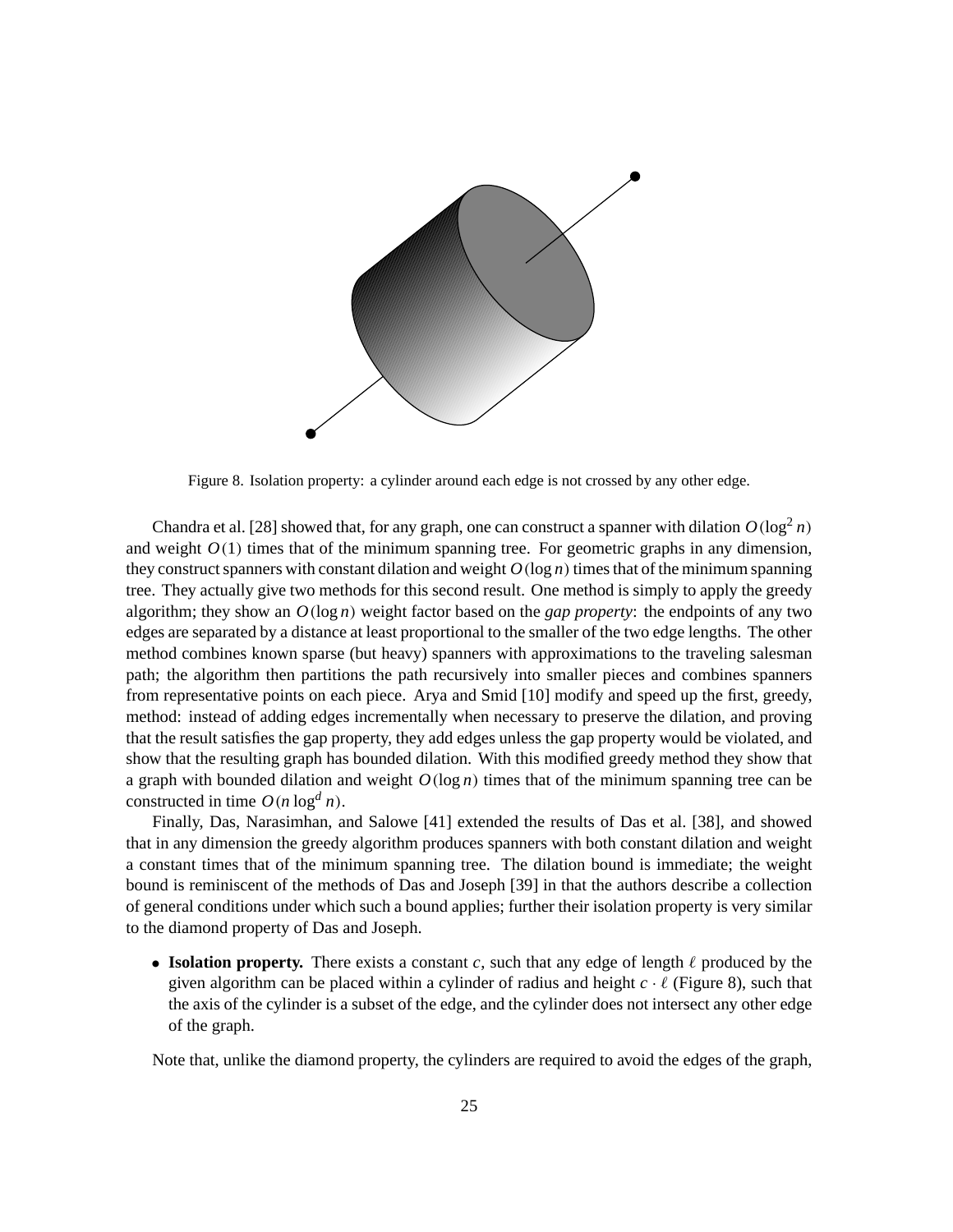

Figure 8. Isolation property: a cylinder around each edge is not crossed by any other edge.

Chandra et al. [28] showed that, for any graph, one can construct a spanner with dilation  $O(\log^2 n)$ and weight  $O(1)$  times that of the minimum spanning tree. For geometric graphs in any dimension, they construct spanners with constant dilation and weight  $O(\log n)$  times that of the minimum spanning tree. They actually give two methods for this second result. One method is simply to apply the greedy algorithm; they show an  $O(\log n)$  weight factor based on the *gap property*: the endpoints of any two edges are separated by a distance at least proportional to the smaller of the two edge lengths. The other method combines known sparse (but heavy) spanners with approximations to the traveling salesman path; the algorithm then partitions the path recursively into smaller pieces and combines spanners from representative points on each piece. Arya and Smid [10] modify and speed up the first, greedy, method: instead of adding edges incrementally when necessary to preserve the dilation, and proving that the result satisfies the gap property, they add edges unless the gap property would be violated, and show that the resulting graph has bounded dilation. With this modified greedy method they show that a graph with bounded dilation and weight  $O(log n)$  times that of the minimum spanning tree can be constructed in time  $O(n \log^d n)$ .

Finally, Das, Narasimhan, and Salowe [41] extended the results of Das et al. [38], and showed that in any dimension the greedy algorithm produces spanners with both constant dilation and weight a constant times that of the minimum spanning tree. The dilation bound is immediate; the weight bound is reminiscent of the methods of Das and Joseph [39] in that the authors describe a collection of general conditions under which such a bound applies; further their isolation property is very similar to the diamond property of Das and Joseph.

• **Isolation property.** There exists a constant  $c$ , such that any edge of length  $\ell$  produced by the given algorithm can be placed within a cylinder of radius and height  $c \cdot \ell$  (Figure 8), such that the axis of the cylinder is a subset of the edge, and the cylinder does not intersect any other edge of the graph.

Note that, unlike the diamond property, the cylinders are required to avoid the edges of the graph,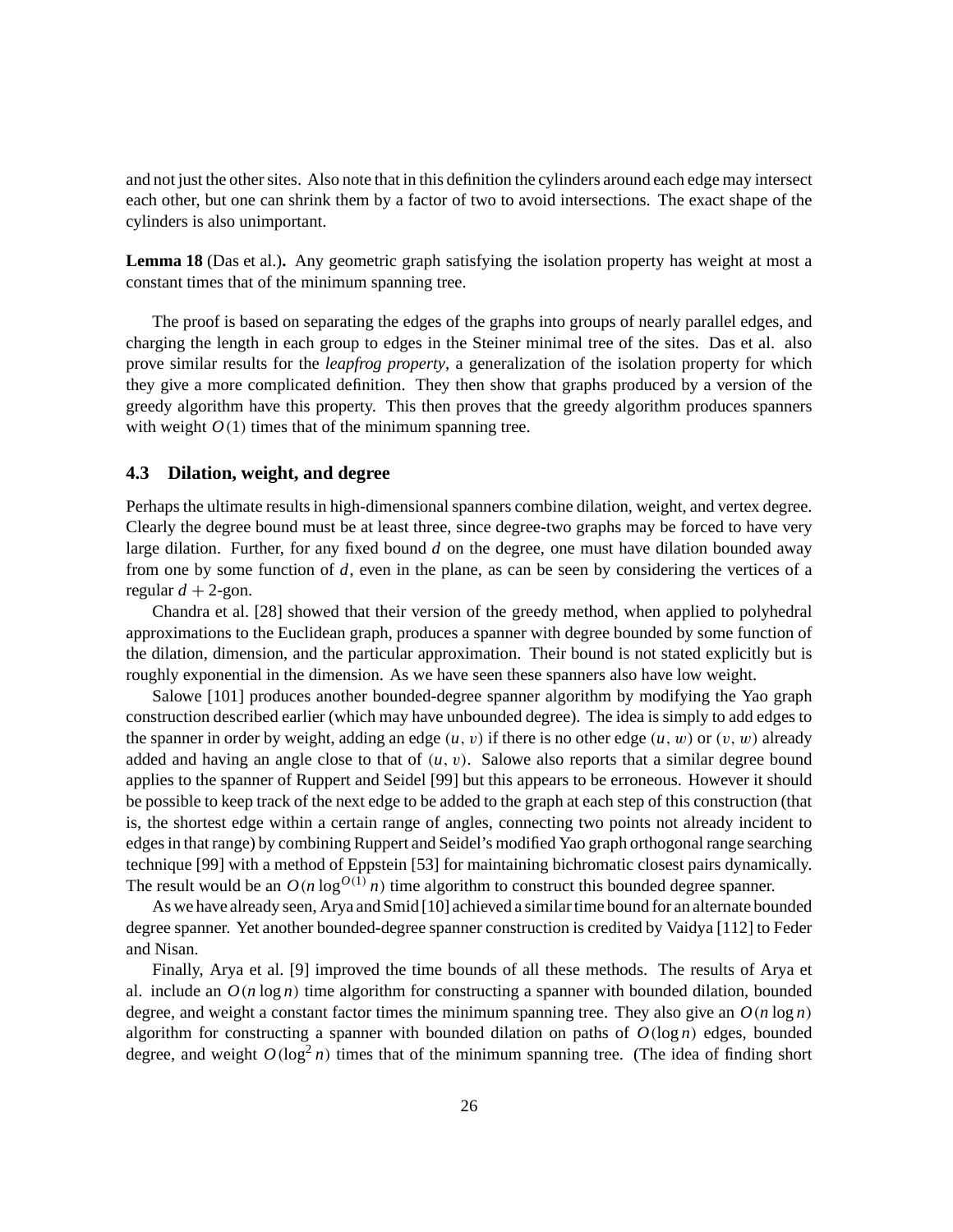and not just the other sites. Also note that in this definition the cylinders around each edge may intersect each other, but one can shrink them by a factor of two to avoid intersections. The exact shape of the cylinders is also unimportant.

**Lemma 18** (Das et al.)**.** Any geometric graph satisfying the isolation property has weight at most a constant times that of the minimum spanning tree.

The proof is based on separating the edges of the graphs into groups of nearly parallel edges, and charging the length in each group to edges in the Steiner minimal tree of the sites. Das et al. also prove similar results for the *leapfrog property*, a generalization of the isolation property for which they give a more complicated definition. They then show that graphs produced by a version of the greedy algorithm have this property. This then proves that the greedy algorithm produces spanners with weight  $O(1)$  times that of the minimum spanning tree.

#### **4.3 Dilation, weight, and degree**

Perhaps the ultimate results in high-dimensional spanners combine dilation, weight, and vertex degree. Clearly the degree bound must be at least three, since degree-two graphs may be forced to have very large dilation. Further, for any fixed bound *d* on the degree, one must have dilation bounded away from one by some function of *d*, even in the plane, as can be seen by considering the vertices of a regular  $d + 2$ -gon.

Chandra et al. [28] showed that their version of the greedy method, when applied to polyhedral approximations to the Euclidean graph, produces a spanner with degree bounded by some function of the dilation, dimension, and the particular approximation. Their bound is not stated explicitly but is roughly exponential in the dimension. As we have seen these spanners also have low weight.

Salowe [101] produces another bounded-degree spanner algorithm by modifying the Yao graph construction described earlier (which may have unbounded degree). The idea is simply to add edges to the spanner in order by weight, adding an edge  $(u, v)$  if there is no other edge  $(u, w)$  or  $(v, w)$  already added and having an angle close to that of  $(u, v)$ . Salowe also reports that a similar degree bound applies to the spanner of Ruppert and Seidel [99] but this appears to be erroneous. However it should be possible to keep track of the next edge to be added to the graph at each step of this construction (that is, the shortest edge within a certain range of angles, connecting two points not already incident to edges in that range) by combining Ruppert and Seidel's modified Yao graph orthogonal range searching technique [99] with a method of Eppstein [53] for maintaining bichromatic closest pairs dynamically. The result would be an  $O(n \log^{O(1)} n)$  time algorithm to construct this bounded degree spanner.

As we have already seen, Arya and Smid [10] achieved a similar time bound for an alternate bounded degree spanner. Yet another bounded-degree spanner construction is credited by Vaidya [112] to Feder and Nisan.

Finally, Arya et al. [9] improved the time bounds of all these methods. The results of Arya et al. include an  $O(n \log n)$  time algorithm for constructing a spanner with bounded dilation, bounded degree, and weight a constant factor times the minimum spanning tree. They also give an  $O(n \log n)$ algorithm for constructing a spanner with bounded dilation on paths of  $O(log n)$  edges, bounded degree, and weight  $O(\log^2 n)$  times that of the minimum spanning tree. (The idea of finding short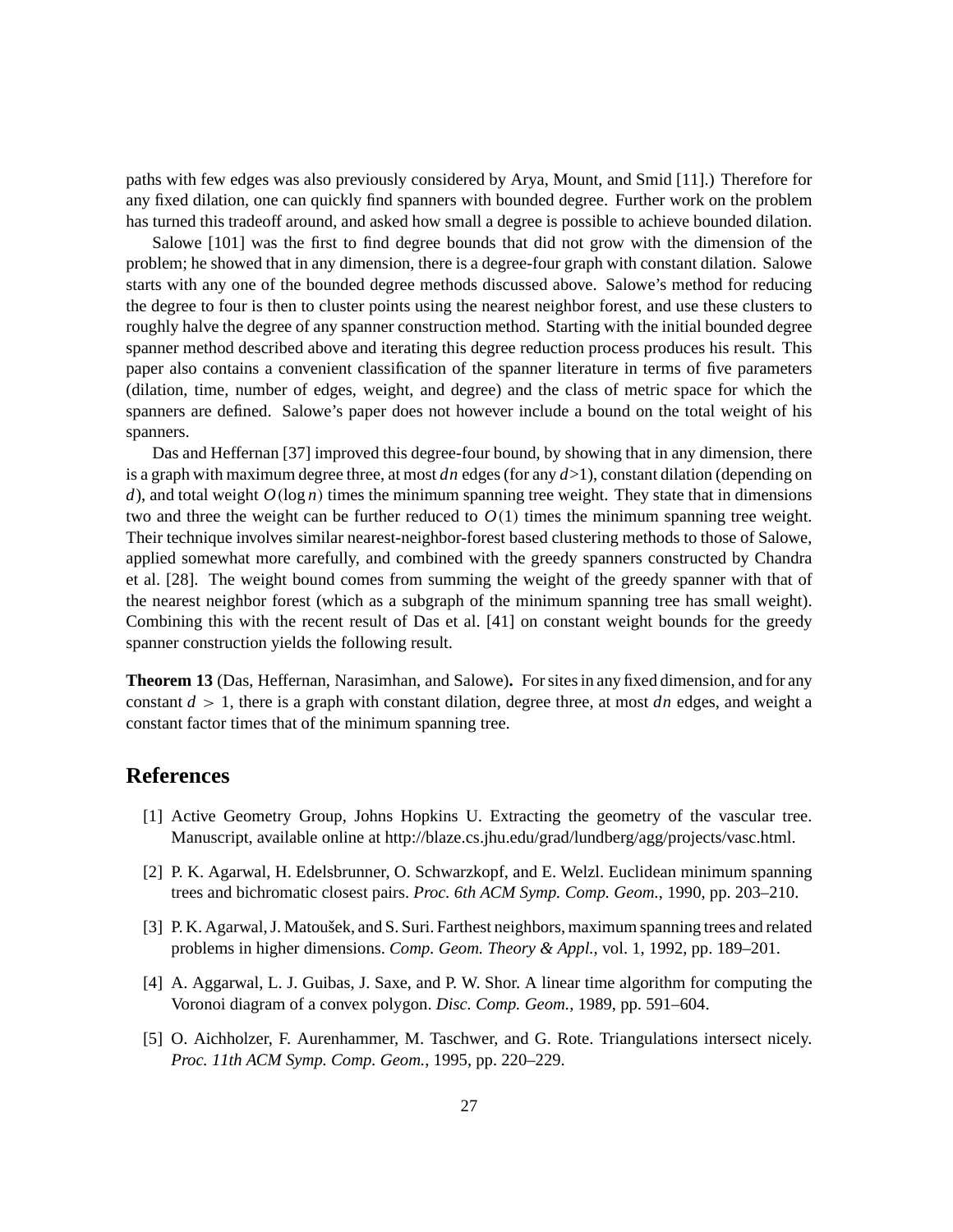paths with few edges was also previously considered by Arya, Mount, and Smid [11].) Therefore for any fixed dilation, one can quickly find spanners with bounded degree. Further work on the problem has turned this tradeoff around, and asked how small a degree is possible to achieve bounded dilation.

Salowe [101] was the first to find degree bounds that did not grow with the dimension of the problem; he showed that in any dimension, there is a degree-four graph with constant dilation. Salowe starts with any one of the bounded degree methods discussed above. Salowe's method for reducing the degree to four is then to cluster points using the nearest neighbor forest, and use these clusters to roughly halve the degree of any spanner construction method. Starting with the initial bounded degree spanner method described above and iterating this degree reduction process produces his result. This paper also contains a convenient classification of the spanner literature in terms of five parameters (dilation, time, number of edges, weight, and degree) and the class of metric space for which the spanners are defined. Salowe's paper does not however include a bound on the total weight of his spanners.

Das and Heffernan [37] improved this degree-four bound, by showing that in any dimension, there is a graph with maximum degree three, at most *dn* edges (for any *d*>1), constant dilation (depending on *d*), and total weight *O*(log *n*) times the minimum spanning tree weight. They state that in dimensions two and three the weight can be further reduced to  $O(1)$  times the minimum spanning tree weight. Their technique involves similar nearest-neighbor-forest based clustering methods to those of Salowe, applied somewhat more carefully, and combined with the greedy spanners constructed by Chandra et al. [28]. The weight bound comes from summing the weight of the greedy spanner with that of the nearest neighbor forest (which as a subgraph of the minimum spanning tree has small weight). Combining this with the recent result of Das et al. [41] on constant weight bounds for the greedy spanner construction yields the following result.

**Theorem 13** (Das, Heffernan, Narasimhan, and Salowe)**.** For sites in any fixed dimension, and for any constant  $d > 1$ , there is a graph with constant dilation, degree three, at most  $dn$  edges, and weight a constant factor times that of the minimum spanning tree.

# **References**

- [1] Active Geometry Group, Johns Hopkins U. Extracting the geometry of the vascular tree. Manuscript, available online at http://blaze.cs.jhu.edu/grad/lundberg/agg/projects/vasc.html.
- [2] P. K. Agarwal, H. Edelsbrunner, O. Schwarzkopf, and E. Welzl. Euclidean minimum spanning trees and bichromatic closest pairs. *Proc. 6th ACM Symp. Comp. Geom.*, 1990, pp. 203–210.
- [3] P. K. Agarwal, J. Matoušek, and S. Suri. Farthest neighbors, maximum spanning trees and related problems in higher dimensions. *Comp. Geom. Theory & Appl.*, vol. 1, 1992, pp. 189–201.
- [4] A. Aggarwal, L. J. Guibas, J. Saxe, and P. W. Shor. A linear time algorithm for computing the Voronoi diagram of a convex polygon. *Disc. Comp. Geom.*, 1989, pp. 591–604.
- [5] O. Aichholzer, F. Aurenhammer, M. Taschwer, and G. Rote. Triangulations intersect nicely. *Proc. 11th ACM Symp. Comp. Geom.*, 1995, pp. 220–229.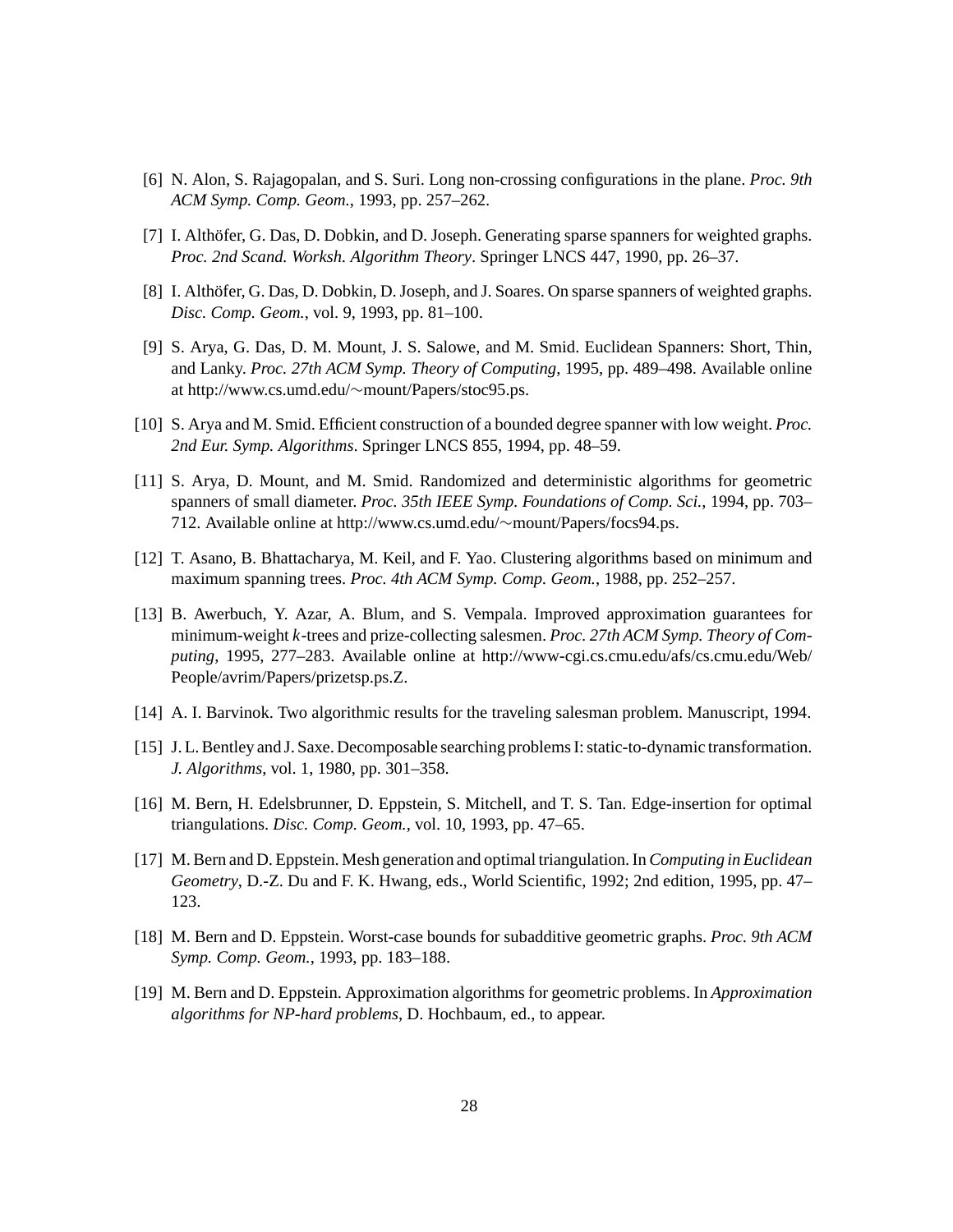- [6] N. Alon, S. Rajagopalan, and S. Suri. Long non-crossing configurations in the plane. *Proc. 9th ACM Symp. Comp. Geom.*, 1993, pp. 257–262.
- [7] I. Althöfer, G. Das, D. Dobkin, and D. Joseph. Generating sparse spanners for weighted graphs. *Proc. 2nd Scand. Worksh. Algorithm Theory*. Springer LNCS 447, 1990, pp. 26–37.
- [8] I. Althöfer, G. Das, D. Dobkin, D. Joseph, and J. Soares. On sparse spanners of weighted graphs. *Disc. Comp. Geom.*, vol. 9, 1993, pp. 81–100.
- [9] S. Arya, G. Das, D. M. Mount, J. S. Salowe, and M. Smid. Euclidean Spanners: Short, Thin, and Lanky. *Proc. 27th ACM Symp. Theory of Computing*, 1995, pp. 489–498. Available online at http://www.cs.umd.edu/∼mount/Papers/stoc95.ps.
- [10] S. Arya and M. Smid. Efficient construction of a bounded degree spanner with low weight. *Proc. 2nd Eur. Symp. Algorithms*. Springer LNCS 855, 1994, pp. 48–59.
- [11] S. Arya, D. Mount, and M. Smid. Randomized and deterministic algorithms for geometric spanners of small diameter. *Proc. 35th IEEE Symp. Foundations of Comp. Sci.*, 1994, pp. 703– 712. Available online at http://www.cs.umd.edu/∼mount/Papers/focs94.ps.
- [12] T. Asano, B. Bhattacharya, M. Keil, and F. Yao. Clustering algorithms based on minimum and maximum spanning trees. *Proc. 4th ACM Symp. Comp. Geom.*, 1988, pp. 252–257.
- [13] B. Awerbuch, Y. Azar, A. Blum, and S. Vempala. Improved approximation guarantees for minimum-weight *k*-trees and prize-collecting salesmen. *Proc. 27th ACM Symp. Theory of Computing*, 1995, 277–283. Available online at http://www-cgi.cs.cmu.edu/afs/cs.cmu.edu/Web/ People/avrim/Papers/prizetsp.ps.Z.
- [14] A. I. Barvinok. Two algorithmic results for the traveling salesman problem. Manuscript, 1994.
- [15] J. L. Bentley and J. Saxe. Decomposable searching problems I: static-to-dynamic transformation. *J. Algorithms*, vol. 1, 1980, pp. 301–358.
- [16] M. Bern, H. Edelsbrunner, D. Eppstein, S. Mitchell, and T. S. Tan. Edge-insertion for optimal triangulations. *Disc. Comp. Geom.*, vol. 10, 1993, pp. 47–65.
- [17] M. Bern and D. Eppstein. Mesh generation and optimal triangulation. In*Computing in Euclidean Geometry*, D.-Z. Du and F. K. Hwang, eds., World Scientific, 1992; 2nd edition, 1995, pp. 47– 123.
- [18] M. Bern and D. Eppstein. Worst-case bounds for subadditive geometric graphs. *Proc. 9th ACM Symp. Comp. Geom.*, 1993, pp. 183–188.
- [19] M. Bern and D. Eppstein. Approximation algorithms for geometric problems. In *Approximation algorithms for NP-hard problems*, D. Hochbaum, ed., to appear.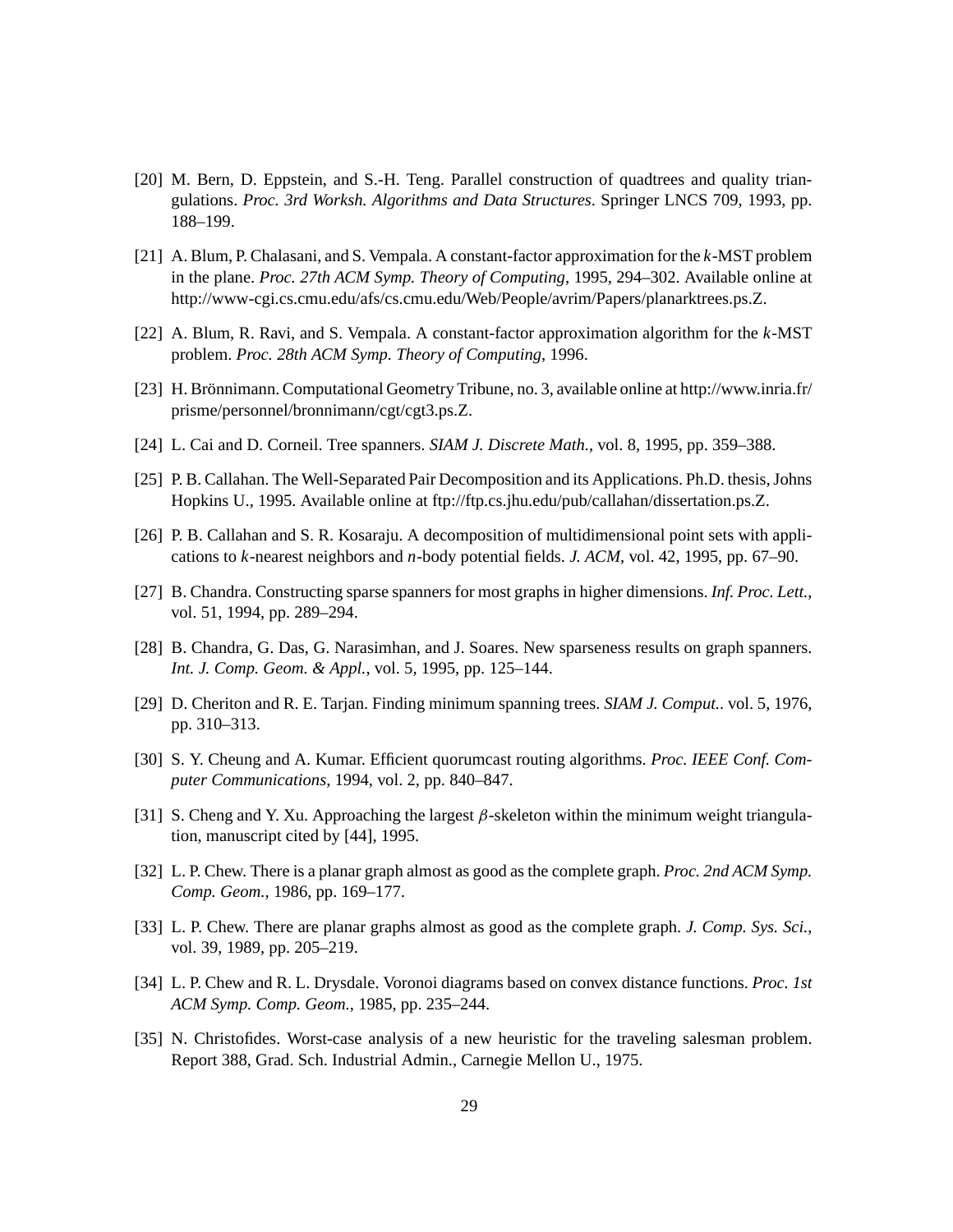- [20] M. Bern, D. Eppstein, and S.-H. Teng. Parallel construction of quadtrees and quality triangulations. *Proc. 3rd Worksh. Algorithms and Data Structures*. Springer LNCS 709, 1993, pp. 188–199.
- [21] A. Blum, P. Chalasani, and S. Vempala. A constant-factor approximation for the *k*-MST problem in the plane. *Proc. 27th ACM Symp. Theory of Computing*, 1995, 294–302. Available online at http://www-cgi.cs.cmu.edu/afs/cs.cmu.edu/Web/People/avrim/Papers/planarktrees.ps.Z.
- [22] A. Blum, R. Ravi, and S. Vempala. A constant-factor approximation algorithm for the *k*-MST problem. *Proc. 28th ACM Symp. Theory of Computing*, 1996.
- [23] H. Brönnimann. Computational Geometry Tribune, no. 3, available online at http://www.inria.fr/ prisme/personnel/bronnimann/cgt/cgt3.ps.Z.
- [24] L. Cai and D. Corneil. Tree spanners. *SIAM J. Discrete Math.*, vol. 8, 1995, pp. 359–388.
- [25] P. B. Callahan. The Well-Separated Pair Decomposition and its Applications. Ph.D. thesis, Johns Hopkins U., 1995. Available online at ftp://ftp.cs.jhu.edu/pub/callahan/dissertation.ps.Z.
- [26] P. B. Callahan and S. R. Kosaraju. A decomposition of multidimensional point sets with applications to *k*-nearest neighbors and *n*-body potential fields. *J. ACM*, vol. 42, 1995, pp. 67–90.
- [27] B. Chandra. Constructing sparse spanners for most graphs in higher dimensions. *Inf. Proc. Lett.*, vol. 51, 1994, pp. 289–294.
- [28] B. Chandra, G. Das, G. Narasimhan, and J. Soares. New sparseness results on graph spanners. *Int. J. Comp. Geom. & Appl.*, vol. 5, 1995, pp. 125–144.
- [29] D. Cheriton and R. E. Tarjan. Finding minimum spanning trees. *SIAM J. Comput.*. vol. 5, 1976, pp. 310–313.
- [30] S. Y. Cheung and A. Kumar. Efficient quorumcast routing algorithms. *Proc. IEEE Conf. Computer Communications*, 1994, vol. 2, pp. 840–847.
- [31] S. Cheng and Y. Xu. Approaching the largest  $\beta$ -skeleton within the minimum weight triangulation, manuscript cited by [44], 1995.
- [32] L. P. Chew. There is a planar graph almost as good as the complete graph. *Proc. 2nd ACM Symp. Comp. Geom.*, 1986, pp. 169–177.
- [33] L. P. Chew. There are planar graphs almost as good as the complete graph. *J. Comp. Sys. Sci.*, vol. 39, 1989, pp. 205–219.
- [34] L. P. Chew and R. L. Drysdale. Voronoi diagrams based on convex distance functions. *Proc. 1st ACM Symp. Comp. Geom.*, 1985, pp. 235–244.
- [35] N. Christofides. Worst-case analysis of a new heuristic for the traveling salesman problem. Report 388, Grad. Sch. Industrial Admin., Carnegie Mellon U., 1975.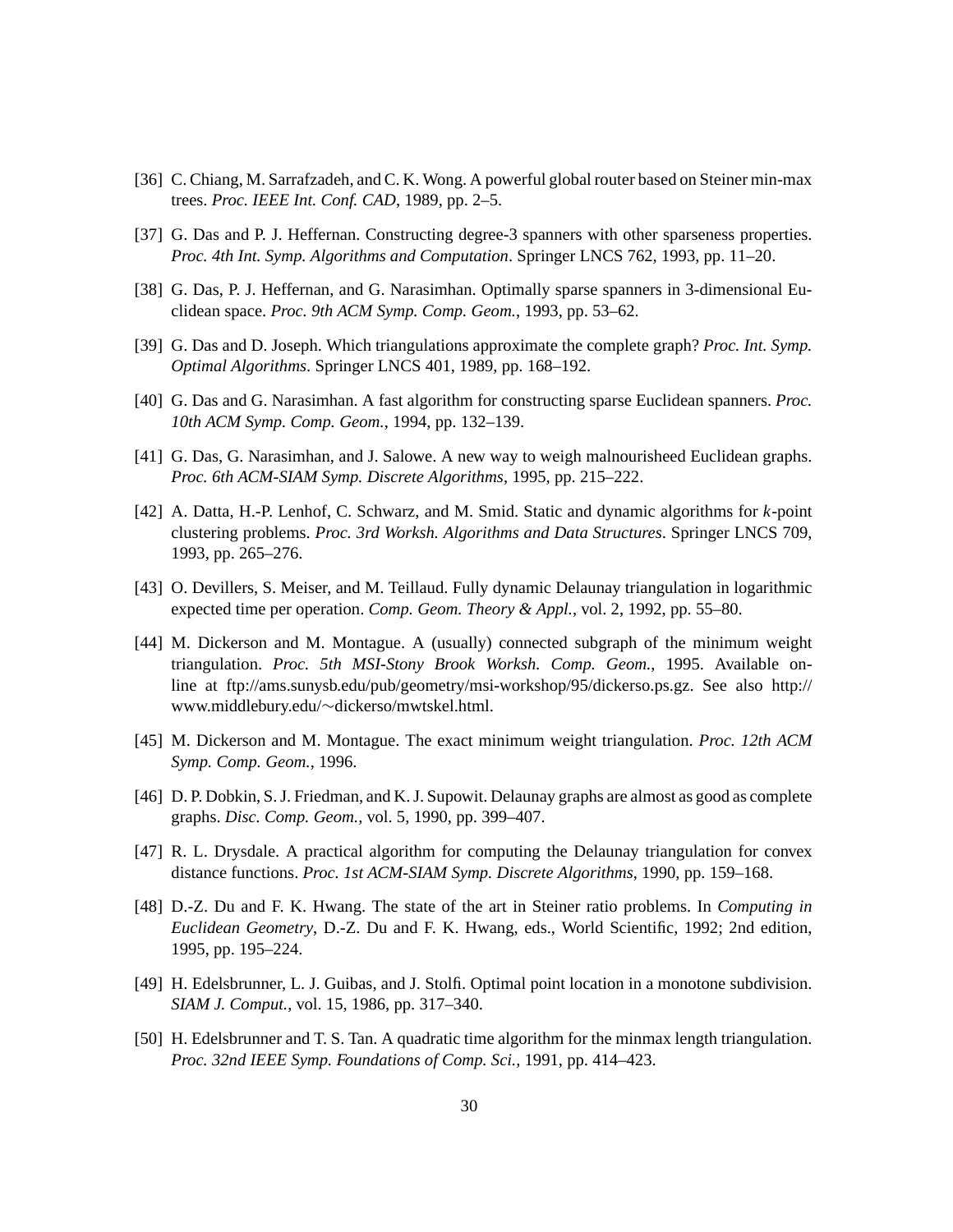- [36] C. Chiang, M. Sarrafzadeh, and C. K. Wong. A powerful global router based on Steiner min-max trees. *Proc. IEEE Int. Conf. CAD*, 1989, pp. 2–5.
- [37] G. Das and P. J. Heffernan. Constructing degree-3 spanners with other sparseness properties. *Proc. 4th Int. Symp. Algorithms and Computation*. Springer LNCS 762, 1993, pp. 11–20.
- [38] G. Das, P. J. Heffernan, and G. Narasimhan. Optimally sparse spanners in 3-dimensional Euclidean space. *Proc. 9th ACM Symp. Comp. Geom.*, 1993, pp. 53–62.
- [39] G. Das and D. Joseph. Which triangulations approximate the complete graph? *Proc. Int. Symp. Optimal Algorithms*. Springer LNCS 401, 1989, pp. 168–192.
- [40] G. Das and G. Narasimhan. A fast algorithm for constructing sparse Euclidean spanners. *Proc. 10th ACM Symp. Comp. Geom.*, 1994, pp. 132–139.
- [41] G. Das, G. Narasimhan, and J. Salowe. A new way to weigh malnourisheed Euclidean graphs. *Proc. 6th ACM-SIAM Symp. Discrete Algorithms*, 1995, pp. 215–222.
- [42] A. Datta, H.-P. Lenhof, C. Schwarz, and M. Smid. Static and dynamic algorithms for *k*-point clustering problems. *Proc. 3rd Worksh. Algorithms and Data Structures*. Springer LNCS 709, 1993, pp. 265–276.
- [43] O. Devillers, S. Meiser, and M. Teillaud. Fully dynamic Delaunay triangulation in logarithmic expected time per operation. *Comp. Geom. Theory & Appl.*, vol. 2, 1992, pp. 55–80.
- [44] M. Dickerson and M. Montague. A (usually) connected subgraph of the minimum weight triangulation. *Proc. 5th MSI-Stony Brook Worksh. Comp. Geom.*, 1995. Available online at ftp://ams.sunysb.edu/pub/geometry/msi-workshop/95/dickerso.ps.gz. See also http:// www.middlebury.edu/∼dickerso/mwtskel.html.
- [45] M. Dickerson and M. Montague. The exact minimum weight triangulation. *Proc. 12th ACM Symp. Comp. Geom.*, 1996.
- [46] D. P. Dobkin, S. J. Friedman, and K. J. Supowit. Delaunay graphs are almost as good as complete graphs. *Disc. Comp. Geom.*, vol. 5, 1990, pp. 399–407.
- [47] R. L. Drysdale. A practical algorithm for computing the Delaunay triangulation for convex distance functions. *Proc. 1st ACM-SIAM Symp. Discrete Algorithms*, 1990, pp. 159–168.
- [48] D.-Z. Du and F. K. Hwang. The state of the art in Steiner ratio problems. In *Computing in Euclidean Geometry*, D.-Z. Du and F. K. Hwang, eds., World Scientific, 1992; 2nd edition, 1995, pp. 195–224.
- [49] H. Edelsbrunner, L. J. Guibas, and J. Stolfi. Optimal point location in a monotone subdivision. *SIAM J. Comput.*, vol. 15, 1986, pp. 317–340.
- [50] H. Edelsbrunner and T. S. Tan. A quadratic time algorithm for the minmax length triangulation. *Proc. 32nd IEEE Symp. Foundations of Comp. Sci.*, 1991, pp. 414–423.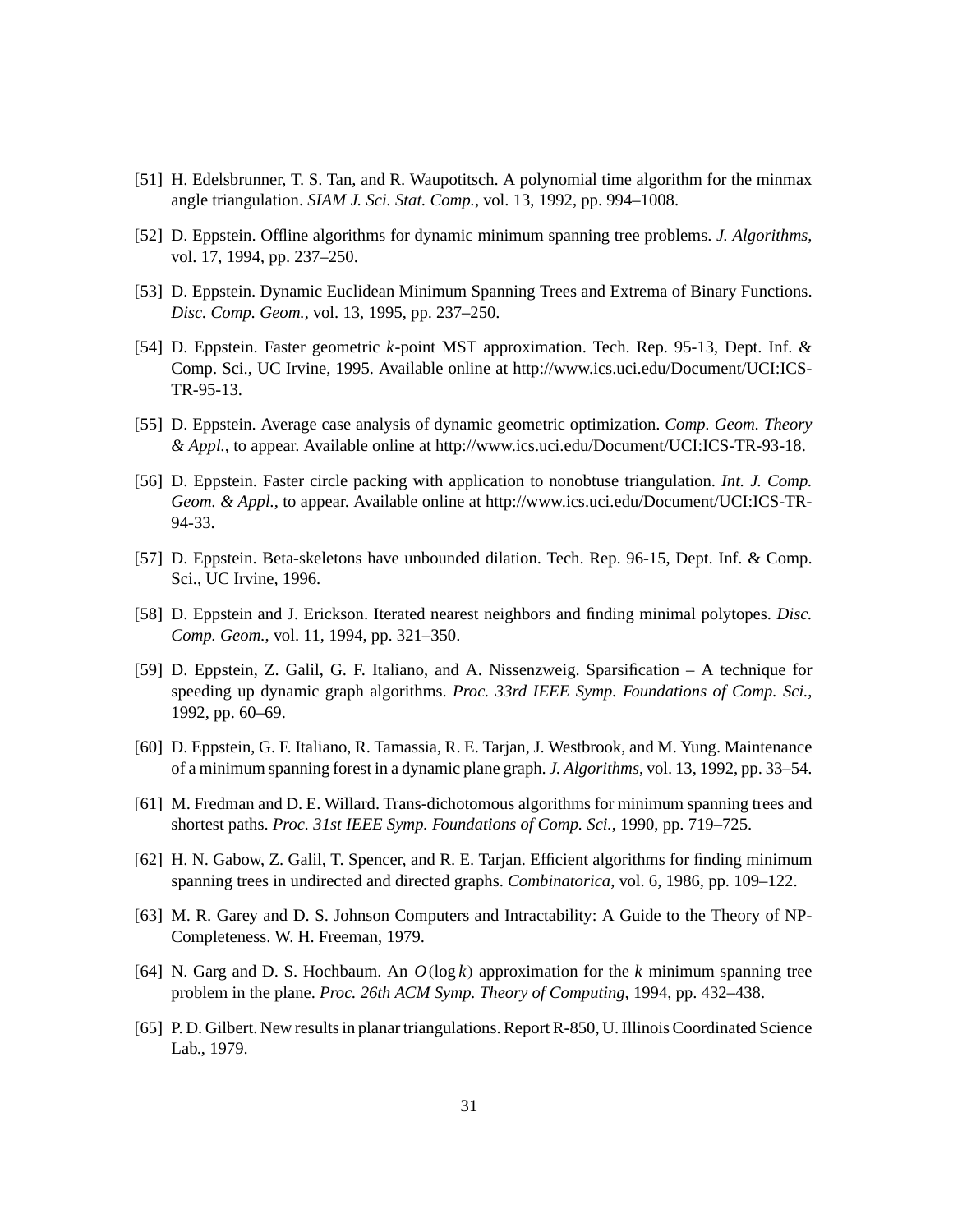- [51] H. Edelsbrunner, T. S. Tan, and R. Waupotitsch. A polynomial time algorithm for the minmax angle triangulation. *SIAM J. Sci. Stat. Comp.*, vol. 13, 1992, pp. 994–1008.
- [52] D. Eppstein. Offline algorithms for dynamic minimum spanning tree problems. *J. Algorithms*, vol. 17, 1994, pp. 237–250.
- [53] D. Eppstein. Dynamic Euclidean Minimum Spanning Trees and Extrema of Binary Functions. *Disc. Comp. Geom.*, vol. 13, 1995, pp. 237–250.
- [54] D. Eppstein. Faster geometric *k*-point MST approximation. Tech. Rep. 95-13, Dept. Inf. & Comp. Sci., UC Irvine, 1995. Available online at http://www.ics.uci.edu/Document/UCI:ICS-TR-95-13.
- [55] D. Eppstein. Average case analysis of dynamic geometric optimization. *Comp. Geom. Theory & Appl.*, to appear. Available online at http://www.ics.uci.edu/Document/UCI:ICS-TR-93-18.
- [56] D. Eppstein. Faster circle packing with application to nonobtuse triangulation. *Int. J. Comp. Geom. & Appl.*, to appear. Available online at http://www.ics.uci.edu/Document/UCI:ICS-TR-94-33.
- [57] D. Eppstein. Beta-skeletons have unbounded dilation. Tech. Rep. 96-15, Dept. Inf. & Comp. Sci., UC Irvine, 1996.
- [58] D. Eppstein and J. Erickson. Iterated nearest neighbors and finding minimal polytopes. *Disc. Comp. Geom.*, vol. 11, 1994, pp. 321–350.
- [59] D. Eppstein, Z. Galil, G. F. Italiano, and A. Nissenzweig. Sparsification A technique for speeding up dynamic graph algorithms. *Proc. 33rd IEEE Symp. Foundations of Comp. Sci.*, 1992, pp. 60–69.
- [60] D. Eppstein, G. F. Italiano, R. Tamassia, R. E. Tarjan, J. Westbrook, and M. Yung. Maintenance of a minimum spanning forest in a dynamic plane graph. *J. Algorithms*, vol. 13, 1992, pp. 33–54.
- [61] M. Fredman and D. E. Willard. Trans-dichotomous algorithms for minimum spanning trees and shortest paths. *Proc. 31st IEEE Symp. Foundations of Comp. Sci.*, 1990, pp. 719–725.
- [62] H. N. Gabow, Z. Galil, T. Spencer, and R. E. Tarjan. Efficient algorithms for finding minimum spanning trees in undirected and directed graphs. *Combinatorica*, vol. 6, 1986, pp. 109–122.
- [63] M. R. Garey and D. S. Johnson Computers and Intractability: A Guide to the Theory of NP-Completeness. W. H. Freeman, 1979.
- [64] N. Garg and D. S. Hochbaum. An *O*(log *k*) approximation for the *k* minimum spanning tree problem in the plane. *Proc. 26th ACM Symp. Theory of Computing*, 1994, pp. 432–438.
- [65] P. D. Gilbert. New results in planar triangulations. Report R-850, U. Illinois Coordinated Science Lab., 1979.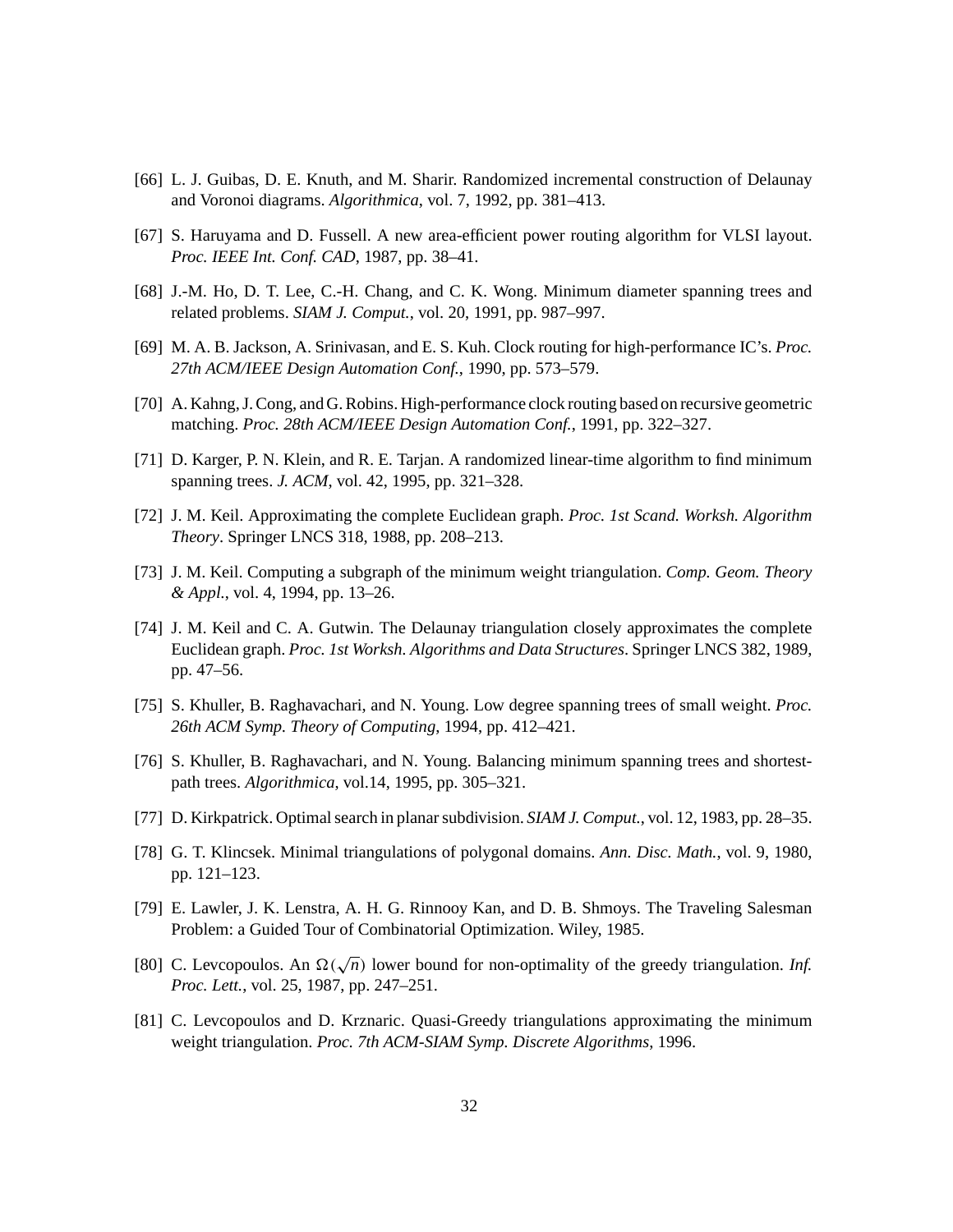- [66] L. J. Guibas, D. E. Knuth, and M. Sharir. Randomized incremental construction of Delaunay and Voronoi diagrams. *Algorithmica*, vol. 7, 1992, pp. 381–413.
- [67] S. Haruyama and D. Fussell. A new area-efficient power routing algorithm for VLSI layout. *Proc. IEEE Int. Conf. CAD*, 1987, pp. 38–41.
- [68] J.-M. Ho, D. T. Lee, C.-H. Chang, and C. K. Wong. Minimum diameter spanning trees and related problems. *SIAM J. Comput.*, vol. 20, 1991, pp. 987–997.
- [69] M. A. B. Jackson, A. Srinivasan, and E. S. Kuh. Clock routing for high-performance IC's. *Proc. 27th ACM/IEEE Design Automation Conf.*, 1990, pp. 573–579.
- [70] A. Kahng, J. Cong, and G. Robins. High-performance clock routing based on recursive geometric matching. *Proc. 28th ACM/IEEE Design Automation Conf.*, 1991, pp. 322–327.
- [71] D. Karger, P. N. Klein, and R. E. Tarjan. A randomized linear-time algorithm to find minimum spanning trees. *J. ACM*, vol. 42, 1995, pp. 321–328.
- [72] J. M. Keil. Approximating the complete Euclidean graph. *Proc. 1st Scand. Worksh. Algorithm Theory*. Springer LNCS 318, 1988, pp. 208–213.
- [73] J. M. Keil. Computing a subgraph of the minimum weight triangulation. *Comp. Geom. Theory & Appl.*, vol. 4, 1994, pp. 13–26.
- [74] J. M. Keil and C. A. Gutwin. The Delaunay triangulation closely approximates the complete Euclidean graph. *Proc. 1st Worksh. Algorithms and Data Structures*. Springer LNCS 382, 1989, pp. 47–56.
- [75] S. Khuller, B. Raghavachari, and N. Young. Low degree spanning trees of small weight. *Proc. 26th ACM Symp. Theory of Computing*, 1994, pp. 412–421.
- [76] S. Khuller, B. Raghavachari, and N. Young. Balancing minimum spanning trees and shortestpath trees. *Algorithmica*, vol.14, 1995, pp. 305–321.
- [77] D. Kirkpatrick. Optimal search in planar subdivision. *SIAM J. Comput.*, vol. 12, 1983, pp. 28–35.
- [78] G. T. Klincsek. Minimal triangulations of polygonal domains. *Ann. Disc. Math.*, vol. 9, 1980, pp. 121–123.
- [79] E. Lawler, J. K. Lenstra, A. H. G. Rinnooy Kan, and D. B. Shmoys. The Traveling Salesman Problem: a Guided Tour of Combinatorial Optimization. Wiley, 1985.
- [80] C. Levcopoulos. An  $\Omega(\sqrt{n})$  lower bound for non-optimality of the greedy triangulation. *Inf. Proc. Lett.*, vol. 25, 1987, pp. 247–251.
- [81] C. Levcopoulos and D. Krznaric. Quasi-Greedy triangulations approximating the minimum weight triangulation. *Proc. 7th ACM-SIAM Symp. Discrete Algorithms*, 1996.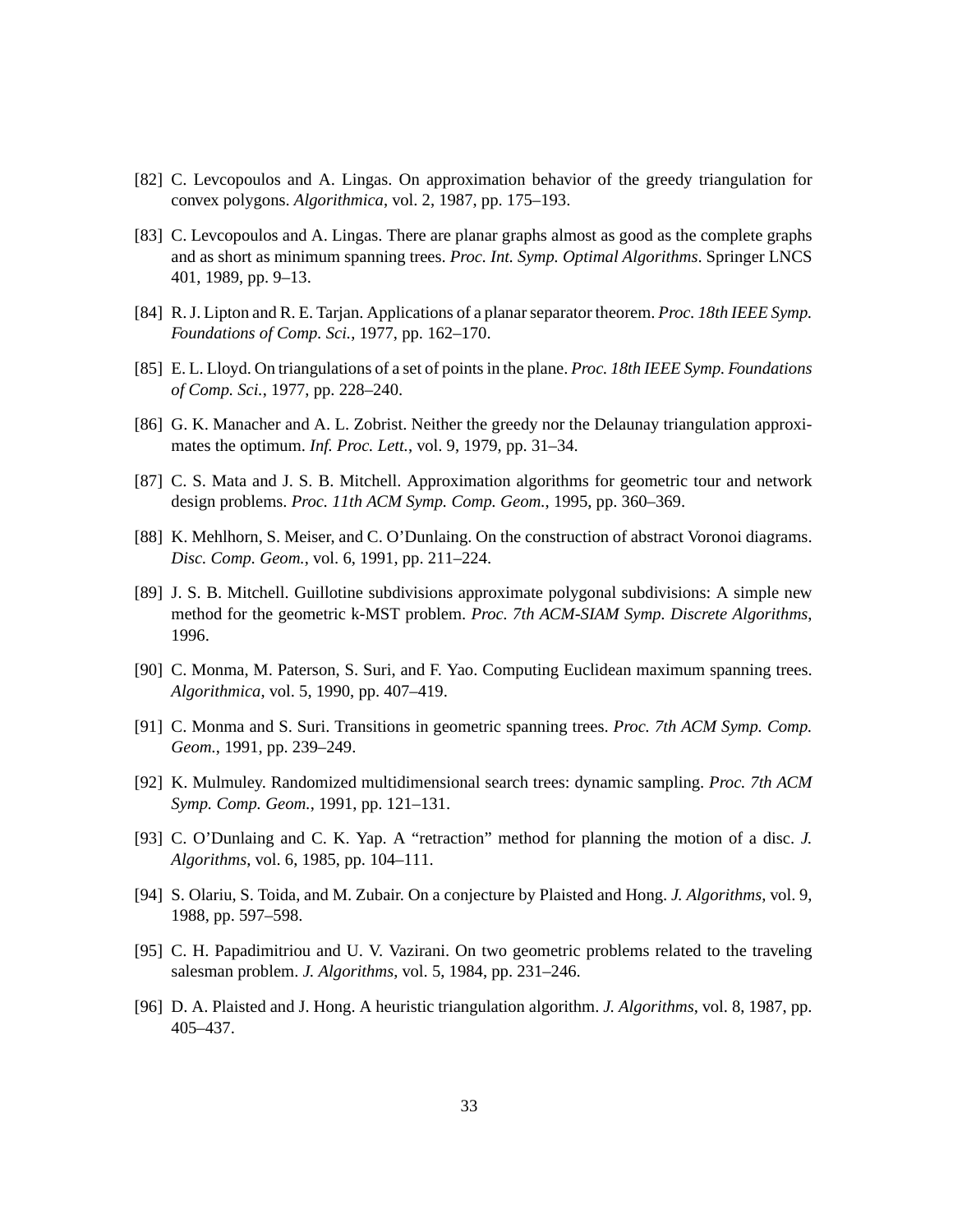- [82] C. Levcopoulos and A. Lingas. On approximation behavior of the greedy triangulation for convex polygons. *Algorithmica*, vol. 2, 1987, pp. 175–193.
- [83] C. Levcopoulos and A. Lingas. There are planar graphs almost as good as the complete graphs and as short as minimum spanning trees. *Proc. Int. Symp. Optimal Algorithms*. Springer LNCS 401, 1989, pp. 9–13.
- [84] R. J. Lipton and R. E. Tarjan. Applications of a planar separator theorem. *Proc. 18th IEEE Symp. Foundations of Comp. Sci.*, 1977, pp. 162–170.
- [85] E. L. Lloyd. On triangulations of a set of points in the plane. *Proc. 18th IEEE Symp. Foundations of Comp. Sci.*, 1977, pp. 228–240.
- [86] G. K. Manacher and A. L. Zobrist. Neither the greedy nor the Delaunay triangulation approximates the optimum. *Inf. Proc. Lett.*, vol. 9, 1979, pp. 31–34.
- [87] C. S. Mata and J. S. B. Mitchell. Approximation algorithms for geometric tour and network design problems. *Proc. 11th ACM Symp. Comp. Geom.*, 1995, pp. 360–369.
- [88] K. Mehlhorn, S. Meiser, and C. O'Dunlaing. On the construction of abstract Voronoi diagrams. *Disc. Comp. Geom.*, vol. 6, 1991, pp. 211–224.
- [89] J. S. B. Mitchell. Guillotine subdivisions approximate polygonal subdivisions: A simple new method for the geometric k-MST problem. *Proc. 7th ACM-SIAM Symp. Discrete Algorithms*, 1996.
- [90] C. Monma, M. Paterson, S. Suri, and F. Yao. Computing Euclidean maximum spanning trees. *Algorithmica*, vol. 5, 1990, pp. 407–419.
- [91] C. Monma and S. Suri. Transitions in geometric spanning trees. *Proc. 7th ACM Symp. Comp. Geom.*, 1991, pp. 239–249.
- [92] K. Mulmuley. Randomized multidimensional search trees: dynamic sampling. *Proc. 7th ACM Symp. Comp. Geom.*, 1991, pp. 121–131.
- [93] C. O'Dunlaing and C. K. Yap. A "retraction" method for planning the motion of a disc. *J. Algorithms*, vol. 6, 1985, pp. 104–111.
- [94] S. Olariu, S. Toida, and M. Zubair. On a conjecture by Plaisted and Hong. *J. Algorithms*, vol. 9, 1988, pp. 597–598.
- [95] C. H. Papadimitriou and U. V. Vazirani. On two geometric problems related to the traveling salesman problem. *J. Algorithms*, vol. 5, 1984, pp. 231–246.
- [96] D. A. Plaisted and J. Hong. A heuristic triangulation algorithm. *J. Algorithms*, vol. 8, 1987, pp. 405–437.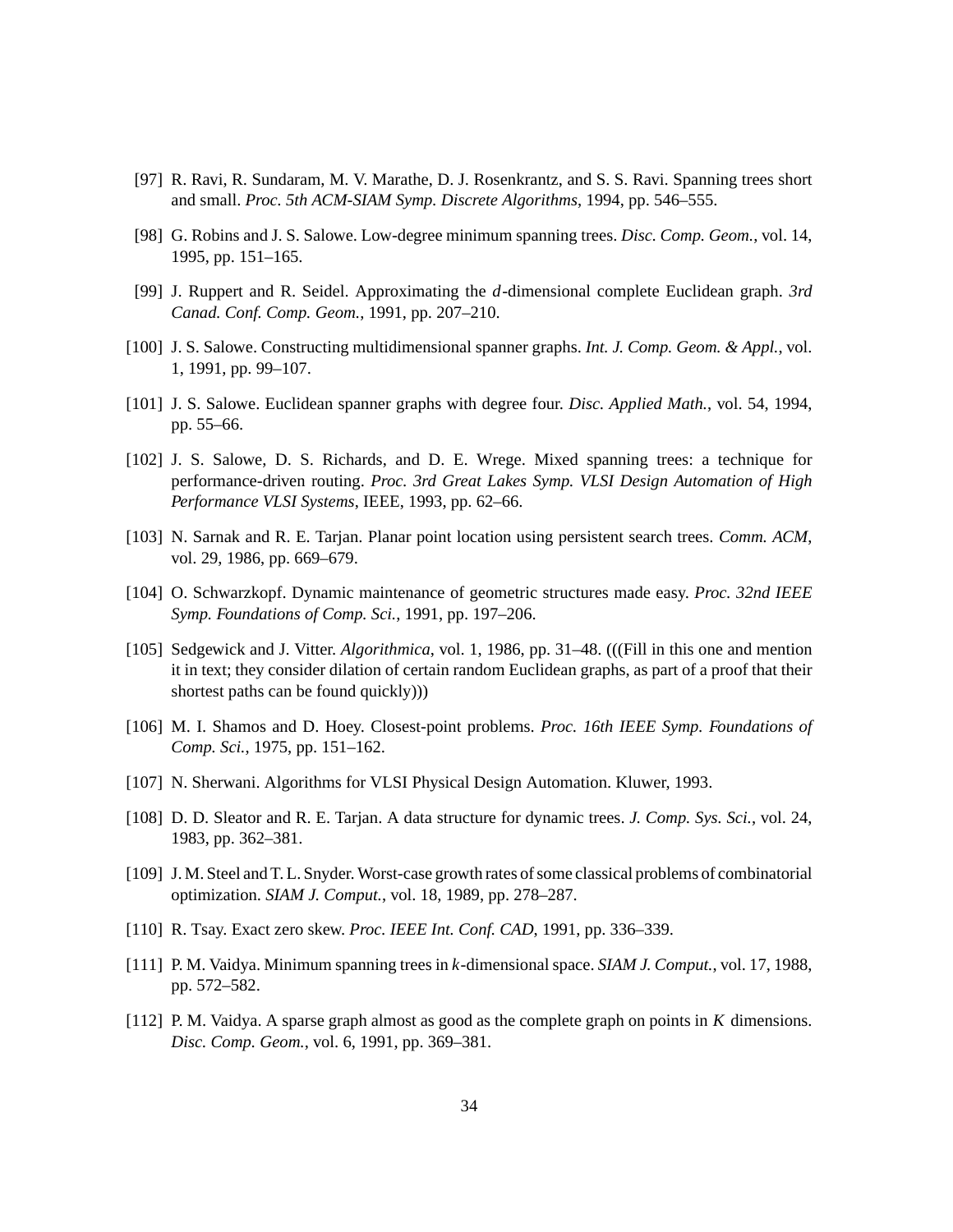- [97] R. Ravi, R. Sundaram, M. V. Marathe, D. J. Rosenkrantz, and S. S. Ravi. Spanning trees short and small. *Proc. 5th ACM-SIAM Symp. Discrete Algorithms*, 1994, pp. 546–555.
- [98] G. Robins and J. S. Salowe. Low-degree minimum spanning trees. *Disc. Comp. Geom.*, vol. 14, 1995, pp. 151–165.
- [99] J. Ruppert and R. Seidel. Approximating the *d*-dimensional complete Euclidean graph. *3rd Canad. Conf. Comp. Geom.*, 1991, pp. 207–210.
- [100] J. S. Salowe. Constructing multidimensional spanner graphs. *Int. J. Comp. Geom. & Appl.*, vol. 1, 1991, pp. 99–107.
- [101] J. S. Salowe. Euclidean spanner graphs with degree four. *Disc. Applied Math.*, vol. 54, 1994, pp. 55–66.
- [102] J. S. Salowe, D. S. Richards, and D. E. Wrege. Mixed spanning trees: a technique for performance-driven routing. *Proc. 3rd Great Lakes Symp. VLSI Design Automation of High Performance VLSI Systems*, IEEE, 1993, pp. 62–66.
- [103] N. Sarnak and R. E. Tarjan. Planar point location using persistent search trees. *Comm. ACM*, vol. 29, 1986, pp. 669–679.
- [104] O. Schwarzkopf. Dynamic maintenance of geometric structures made easy. *Proc. 32nd IEEE Symp. Foundations of Comp. Sci.*, 1991, pp. 197–206.
- [105] Sedgewick and J. Vitter. *Algorithmica*, vol. 1, 1986, pp. 31–48. (((Fill in this one and mention it in text; they consider dilation of certain random Euclidean graphs, as part of a proof that their shortest paths can be found quickly)))
- [106] M. I. Shamos and D. Hoey. Closest-point problems. *Proc. 16th IEEE Symp. Foundations of Comp. Sci.*, 1975, pp. 151–162.
- [107] N. Sherwani. Algorithms for VLSI Physical Design Automation. Kluwer, 1993.
- [108] D. D. Sleator and R. E. Tarjan. A data structure for dynamic trees. *J. Comp. Sys. Sci.*, vol. 24, 1983, pp. 362–381.
- [109] J. M. Steel and T. L. Snyder. Worst-case growth rates of some classical problems of combinatorial optimization. *SIAM J. Comput.*, vol. 18, 1989, pp. 278–287.
- [110] R. Tsay. Exact zero skew. *Proc. IEEE Int. Conf. CAD*, 1991, pp. 336–339.
- [111] P. M. Vaidya. Minimum spanning trees in *k*-dimensional space. *SIAM J. Comput.*, vol. 17, 1988, pp. 572–582.
- [112] P. M. Vaidya. A sparse graph almost as good as the complete graph on points in *K* dimensions. *Disc. Comp. Geom.*, vol. 6, 1991, pp. 369–381.